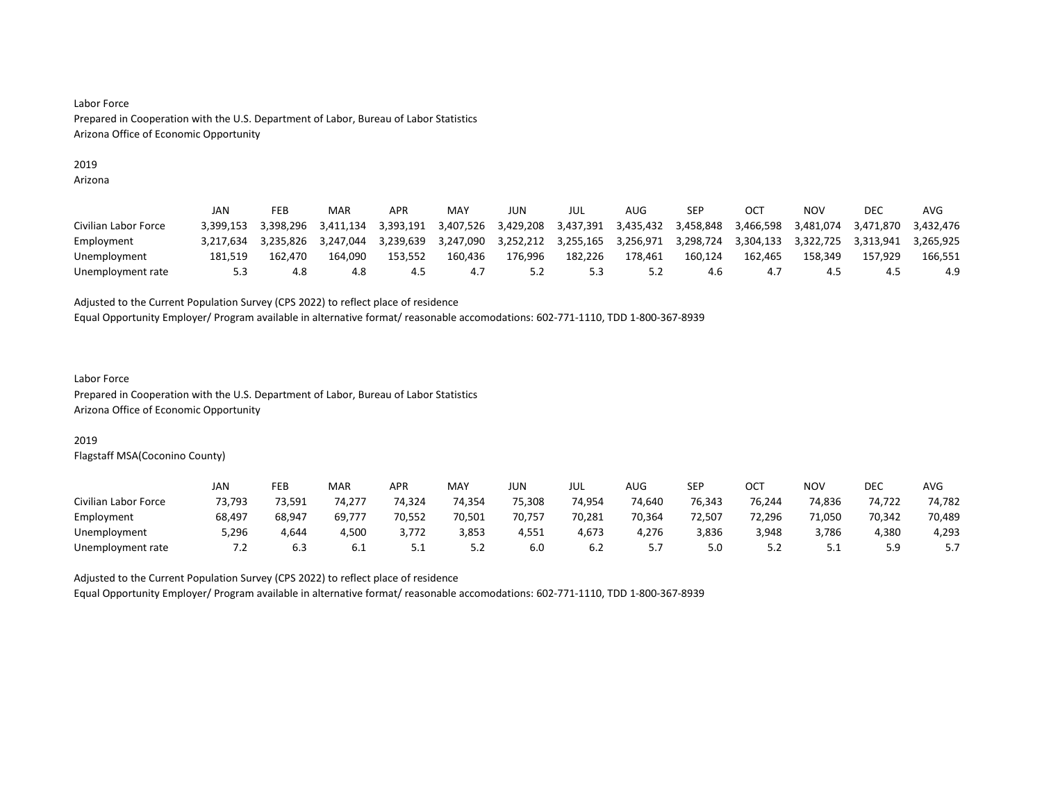# 2019

Arizona

|                      | JAN       | FEB       | MAR       | <b>APR</b> | MAY       | JUN       | JUL       | AUG       | <b>SEP</b> | OC        | NOV       | DEC       | AVG       |
|----------------------|-----------|-----------|-----------|------------|-----------|-----------|-----------|-----------|------------|-----------|-----------|-----------|-----------|
| Civilian Labor Force | 3.399.153 | 3.398.296 | 3.411.134 | 3.393.191  | 3,407,526 | 3,429,208 | 3,437,391 | 3,435,432 | 3.458.848  | 3,466,598 | 3.481.074 | 3.471.870 | 3.432.476 |
| Employment           | 3.217.634 | 3.235.826 | 3.247.044 | 3.239.639  | 3.247.090 | 3.252.212 | 3.255.165 | 3.256.971 | 3.298.724  | 3,304,133 | 3.322.725 | 3.313.941 | 3.265.925 |
| Unemployment         | 181.519   | 162.470   | 164.090   | 153.552    | 160.436   | 176.996   | 182,226   | 178.461   | 160.124    | 162.465   | 158.349   | 157.929   | 166.551   |
| Unemployment rate    | 5.3       | 4.8       | 4.8       | 4.5        |           |           | 5.3       |           | 4.6        |           | 4.5       |           | 4.9       |

Adjusted to the Current Population Survey (CPS 2022) to reflect place of residence

Equal Opportunity Employer/ Program available in alternative format/ reasonable accomodations: 602-771-1110, TDD 1-800-367-8939

#### Labor Force Prepared in Cooperation with the U.S. Department of Labor, Bureau of Labor Statistics Arizona Office of Economic Opportunity

## 2019

Flagstaff MSA(Coconino County)

|                      | JAN    | FEB    | MAR    | <b>APR</b> | <b>MAY</b> | <b>JUN</b> | JUL    | AUG    | SEP    | OCT    | NO۱    | DEC    | <b>AVG</b> |
|----------------------|--------|--------|--------|------------|------------|------------|--------|--------|--------|--------|--------|--------|------------|
| Civilian Labor Force | 73.793 | 73,591 | 74.277 | 74,324     | 74.354     | 75,308     | 74.954 | 74.640 | 76.343 | 76.244 | 74.836 | 74.722 | 74,782     |
| Employment           | 68,497 | 68,947 | 69,777 | 70,552     | 70,501     | 70,757     | 70,281 | 70,364 | 72,507 | 72,296 | 71,050 | 70,342 | 70,489     |
| Unemployment         | 5.296  | 4.644  | 4.500  | 3.772      | 3,853      | 4,551      | 4,673  | 4,276  | 3,836  | 3,948  | 3,786  | 4.380  | 4,293      |
| Unemployment rate    | 7.2    | 6.3    | 6.1    | ــــ       | 5.2        | 6.0        | 6.2    | .      | 5.0    | ے . ۔  | ـ . ـ  | ر.ر    |            |

Adjusted to the Current Population Survey (CPS 2022) to reflect place of residence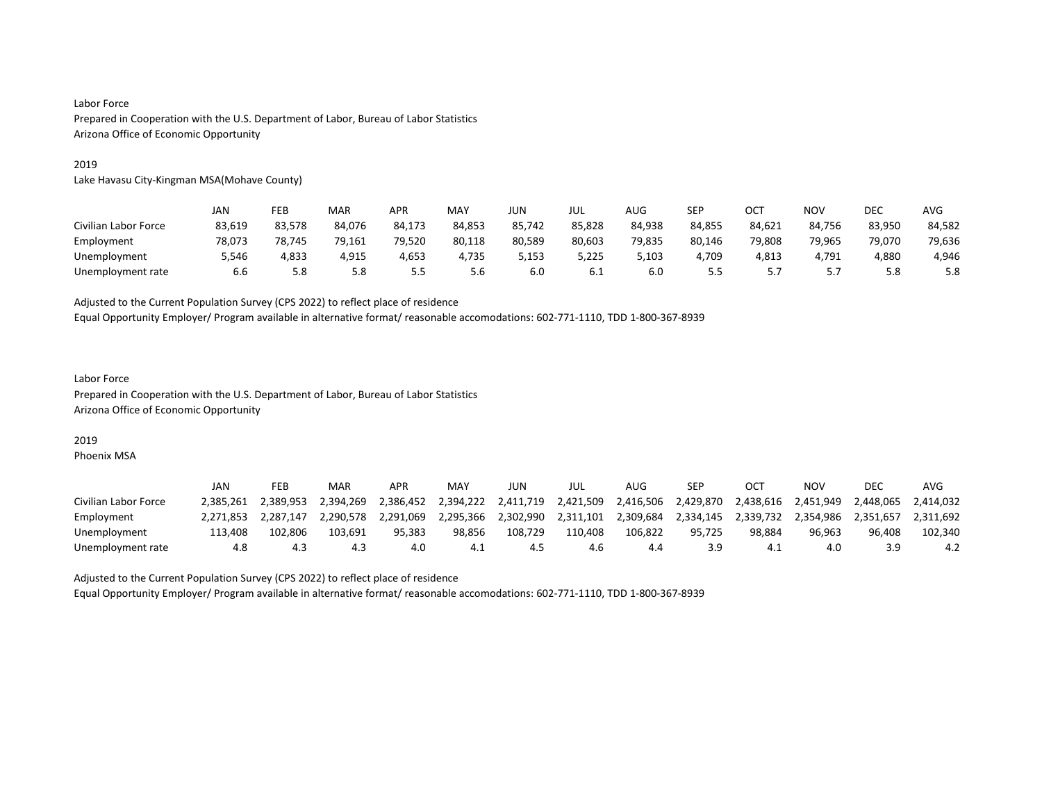#### 2019

Lake Havasu City-Kingman MSA(Mohave County)

|                      | JAN    | FEB    | MAR    | APR    | MAY    | JUN    | JUL    | AUG    | SEP    | OC1    | NOV    | DEC    | AVG    |
|----------------------|--------|--------|--------|--------|--------|--------|--------|--------|--------|--------|--------|--------|--------|
| Civilian Labor Force | 83,619 | 83,578 | 84.076 | 84,173 | 84,853 | 85,742 | 85,828 | 84,938 | 84,855 | 84,621 | 84,756 | 83,950 | 84,582 |
| Employment           | 78.073 | 78.745 | 79.161 | 79.520 | 80,118 | 80.589 | 80,603 | 79.835 | 80.146 | 79.808 | 79.965 | 79.070 | 79,636 |
| Unemployment         | 5,546  | 4,833  | 4,915  | 4,653  | 4,735  | 5,153  | 5,225  | 5,103  | 4,709  | 4,813  | 4,791  | 4,880  | 4,946  |
| Unemployment rate    | 6.6    | 5.8    | 5.8    | 5.5    | 5.6    | 6.0    | 6.1    | 6.0    | 5.5    |        |        | 5.8    | 5.8    |

Adjusted to the Current Population Survey (CPS 2022) to reflect place of residence

Equal Opportunity Employer/ Program available in alternative format/ reasonable accomodations: 602-771-1110, TDD 1-800-367-8939

# Labor Force Prepared in Cooperation with the U.S. Department of Labor, Bureau of Labor Statistics Arizona Office of Economic Opportunity

## 2019

Phoenix MSA

|                      | <b>JAN</b> | FEB       | MAR       | APR       | MAY       | JUN       | JUL       | AUG       | SEP       |           | ΝΟν       | <b>DEC</b> | AVG       |
|----------------------|------------|-----------|-----------|-----------|-----------|-----------|-----------|-----------|-----------|-----------|-----------|------------|-----------|
| Civilian Labor Force | 2.385.261  | 2.389.953 | 2.394.269 | 2.386.452 | 2.394.222 | 2,411,719 | 2,421,509 | 2.416.506 | 2.429.870 | 2.438.616 | 2.451.949 | 2.448.065  | 2.414.032 |
| Employment           | 2.271.853  | 2.287.147 | 2.290.578 | 2.291.069 | 2,295,366 | 2,302,990 | 2,311,101 | 2,309,684 | 2,334,145 | 2,339,732 | 2.354.986 | 2.351.657  | 2.311.692 |
| Unemployment         | 113.408    | 102.806   | 103.691   | 95.383    | 98.856    | 108.729   | 110.408   | 106.822   | 95.725    | 98.884    | 96.963    | 96.408     | 102,340   |
| Unemployment rate    | 4.8        | د.4       | 4.3       | 4.0       | 4.1       | 4.5       | 4.6       | 4.4       | 3.9       | -4.1      | 4.0       |            | 4.2       |

Adjusted to the Current Population Survey (CPS 2022) to reflect place of residence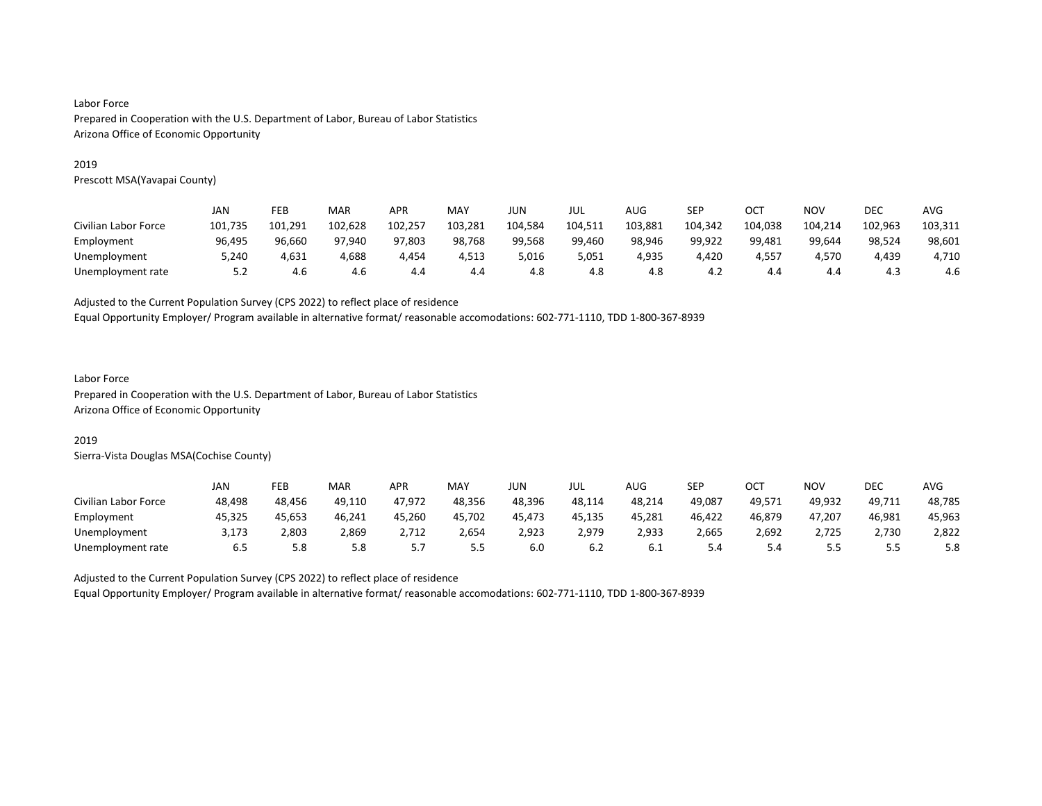#### 2019

Prescott MSA(Yavapai County)

|                      | JAN     | FEB     | MAR     | APR     | MAY     | JUN     | JUL     | AUG     | SEP     | OCT     | <b>NOV</b> | DEC     | <b>AVG</b> |
|----------------------|---------|---------|---------|---------|---------|---------|---------|---------|---------|---------|------------|---------|------------|
| Civilian Labor Force | 101,735 | 101.291 | 102,628 | 102,257 | 103,281 | 104,584 | 104,511 | 103,881 | 104,342 | 104,038 | 104,214    | 102,963 | 103,311    |
| Employment           | 96.495  | 96.660  | 97.940  | 97,803  | 98,768  | 99.568  | 99,460  | 98,946  | 99,922  | 99,481  | 99.644     | 98,524  | 98,601     |
| Unemployment         | 5,240   | 4,631   | 4,688   | 4,454   | 4,513   | 5,016   | 5,051   | 4,935   | 4,420   | 4,557   | 4.570      | 4,439   | 4,710      |
| Unemployment rate    | 5.2     | 4.6     | 4.6     | 4.4     | 4.4     | 4.8     | 4.8     | 4.8     | 4.2     | 4.4     | 4.4        | 4.3     | 4.6        |

Adjusted to the Current Population Survey (CPS 2022) to reflect place of residence

Equal Opportunity Employer/ Program available in alternative format/ reasonable accomodations: 602-771-1110, TDD 1-800-367-8939

# Labor Force

Prepared in Cooperation with the U.S. Department of Labor, Bureau of Labor Statistics Arizona Office of Economic Opportunity

#### 2019

Sierra-Vista Douglas MSA(Cochise County)

|                      | JAN    | FEB    | MAR    | <b>APR</b> | MAY    | <b>JUN</b> | JUL    | AUG    | SEP    | ост    | NO٧        | <b>DEC</b> | AVG    |
|----------------------|--------|--------|--------|------------|--------|------------|--------|--------|--------|--------|------------|------------|--------|
| Civilian Labor Force | 48,498 | 48.456 | 49,110 | 47,972     | 48,356 | 48,396     | 48,114 | 48,214 | 49,087 | 49,571 | 49,932     | 49,711     | 48,785 |
| Employment           | 45.325 | 45.653 | 46,241 | 45,260     | 45,702 | 45.473     | 45.135 | 45,281 | 46,422 | 46,879 | 47.207     | 46,981     | 45,963 |
| Unemployment         | 3.173  | 2,803  | 2,869  | 2.712      | 2,654  | 2,923      | 2,979  | 2,933  | 2,665  | 2,692  | 2,725      | 2.730      | 2,822  |
| Unemployment rate    | 6.5    | 5.8    | 5.8    | ، ، ب      | 5.5    | 6.0        | 6.2    | 6.I    | 5.4    | 5.4    | . .<br>ر.ر | ر.ر        | 5.8    |

Adjusted to the Current Population Survey (CPS 2022) to reflect place of residence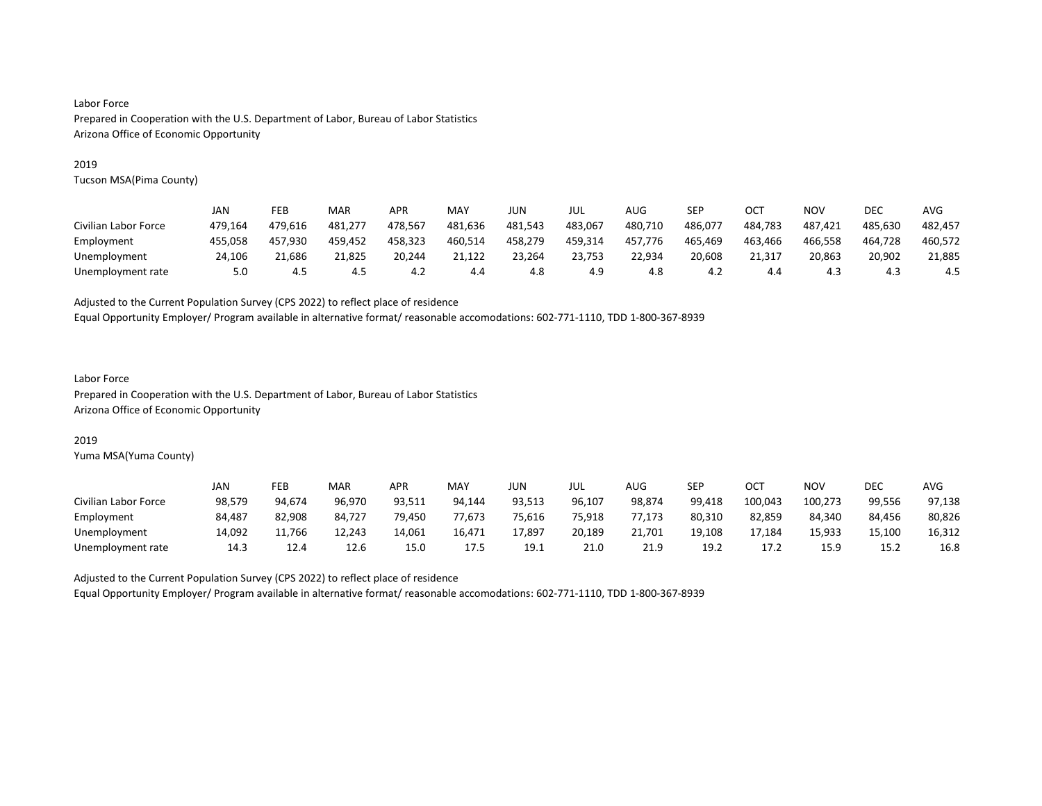#### 2019

Tucson MSA(Pima County)

|                      | JAN     | FEB     | MAR     | APR     | MAY     | JUN     | JUL     | AUG     | SEP     | OC1     | NOV     | DEC     | AVG     |
|----------------------|---------|---------|---------|---------|---------|---------|---------|---------|---------|---------|---------|---------|---------|
| Civilian Labor Force | 479.164 | 479.616 | 481.277 | 478.567 | 481,636 | 481,543 | 483,067 | 480,710 | 486,077 | 484.783 | 487,421 | 485.630 | 482,457 |
| Employment           | 455.058 | 457.930 | 459,452 | 458.323 | 460,514 | 458,279 | 459,314 | 457.776 | 465,469 | 463,466 | 466,558 | 464.728 | 460,572 |
| Unemployment         | 24.106  | 21.686  | 21.825  | 20.244  | 21.122  | 23.264  | 23,753  | 22.934  | 20.608  | 21.317  | 20.863  | 20.902  | 21,885  |
| Unemployment rate    | 5.0     | 4.5     | 4.5     | 4.2     | 4.4     | 4.8     | 4.9     | 4.8     | 4.2     | 4.4     | 4.3     | 4.3     | 4.5     |

Adjusted to the Current Population Survey (CPS 2022) to reflect place of residence

Equal Opportunity Employer/ Program available in alternative format/ reasonable accomodations: 602-771-1110, TDD 1-800-367-8939

# Labor Force

Prepared in Cooperation with the U.S. Department of Labor, Bureau of Labor Statistics Arizona Office of Economic Opportunity

## 2019

Yuma MSA(Yuma County)

|                      | JAN    | FEB    | MAR    | <b>APR</b> | MAY    | JUN    | JUL    | AUG    | SEP    | ост     | <b>NOV</b> | <b>DEC</b> | <b>AVG</b> |
|----------------------|--------|--------|--------|------------|--------|--------|--------|--------|--------|---------|------------|------------|------------|
| Civilian Labor Force | 98,579 | 94.674 | 96.970 | 93,511     | 94.144 | 93,513 | 96,107 | 98,874 | 99,418 | 100,043 | 100,273    | 99,556     | 97,138     |
| Employment           | 84,487 | 82,908 | 84,727 | 79,450     | 77,673 | 75,616 | 75,918 | 77,173 | 80,310 | 82,859  | 84.340     | 84.456     | 80,826     |
| Unemployment         | 14.092 | 11.766 | 12.243 | 14,061     | 16,471 | 17,897 | 20,189 | 21.701 | 19.108 | 17.184  | 15.933     | 15,100     | 16,312     |
| Unemployment rate    | 14.3   | 12.4   | 12.6   | 15.0       | 17.5   | 19.1   | 21.0   | 21.9   | 19.2   |         | 15.9       | 15.2       | 16.8       |

Adjusted to the Current Population Survey (CPS 2022) to reflect place of residence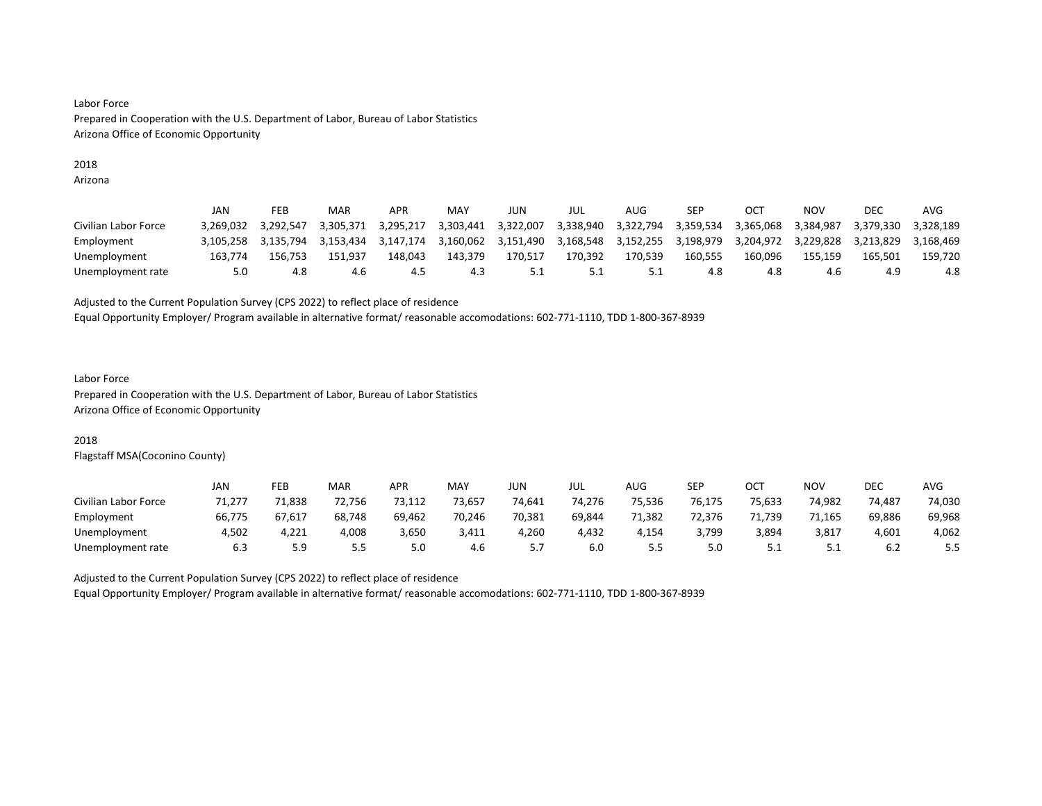### 2018

Arizona

|                      | JAN       | FEB       | MAR       | APR       | MAY       | JUN       | JUL       | AUG       | SEP       | OС        | NOV       | DEC       | AVG       |
|----------------------|-----------|-----------|-----------|-----------|-----------|-----------|-----------|-----------|-----------|-----------|-----------|-----------|-----------|
| Civilian Labor Force | 3.269.032 | 3.292.547 | 3.305.371 | 3.295.217 | 3.303.441 | 3.322.007 | 3,338,940 | 3.322.794 | 3.359.534 | 3.365.068 | 3.384.987 | 3.379.330 | 3.328.189 |
| Employment           | 3.105.258 | 3.135.794 | 3.153.434 | 3.147.174 | 3,160,062 | 3,151,490 | 3.168.548 | 3.152.255 | 3.198.979 | 3.204.972 | 3.229.828 | 3.213.829 | 3.168.469 |
| Unemployment         | 163.774   | 156.753   | 151.937   | 148.043   | 143.379   | 170.517   | 170.392   | 170.539   | 160.555   | 160.096   | 155.159   | 165.501   | 159.720   |
| Unemployment rate    | 5.0       | 4.8       | 4.6       | 4.5       | 4.3       | 5.1       | 5.1       | 5.1       | 4.8       | 4.8       | 4.6       | 4.9       | 4.8       |

#### Adjusted to the Current Population Survey (CPS 2022) to reflect place of residence

Equal Opportunity Employer/ Program available in alternative format/ reasonable accomodations: 602-771-1110, TDD 1-800-367-8939

# Labor Force

Prepared in Cooperation with the U.S. Department of Labor, Bureau of Labor Statistics Arizona Office of Economic Opportunity

## 2018

Flagstaff MSA(Coconino County)

|                      | JAN    | FEB        | MAR        | <b>APR</b> | <b>MAY</b> | <b>JUN</b> | JUL    | AUG    | <b>SEP</b> | OCT    | NO۱    | DEC    | <b>AVG</b> |
|----------------------|--------|------------|------------|------------|------------|------------|--------|--------|------------|--------|--------|--------|------------|
| Civilian Labor Force | 71.277 | 71.838     | 72.756     | 73,112     | 73.657     | 74,641     | 74.276 | 75.536 | 76.175     | 75.633 | 74.982 | 74.487 | 74,030     |
| Employment           | 66,775 | 67,617     | 68,748     | 69,462     | 70,246     | 70,381     | 69,844 | 71,382 | 72.376     | 71,739 | 71,165 | 69,886 | 69,968     |
| Unemployment         | 4.502  | 4,221      | 4,008      | 3,650      | 3,411      | 1.260      | 4.432  | 4.154  | 3,799      | 3,894  | 3,817  | 4,601  | 4,062      |
| Unemployment rate    | 6.3    | : a<br>ت.ر | - -<br>ر.ر | 5.0        | 4.6        | ، ، ب      | 6.0    | ر.ر    | 5.0        | ــــ   |        | 6.2    | 5.5        |

Adjusted to the Current Population Survey (CPS 2022) to reflect place of residence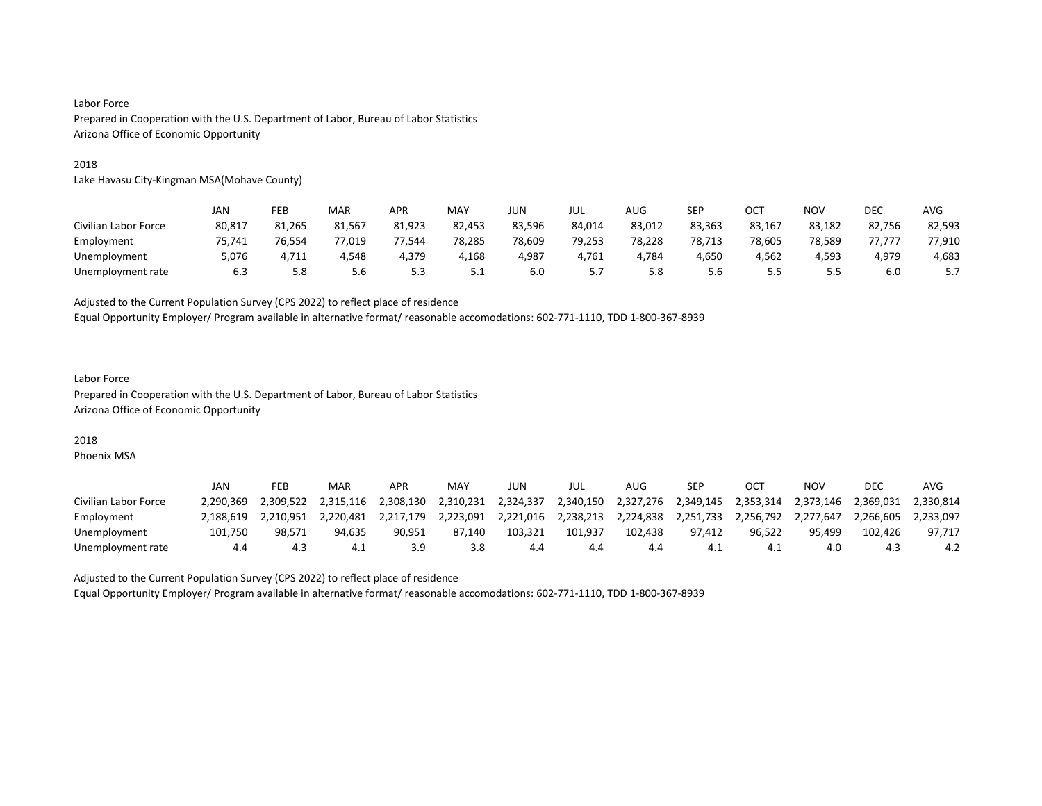#### 2018

Lake Havasu City-Kingman MSA(Mohave County)

|                      | JAN    | FEB    | MAR    | APR    | MAY    | JUN    | JUL    | AUG    | SEP    | OCT    | ΝΟν    | DEC    | <b>AVG</b> |
|----------------------|--------|--------|--------|--------|--------|--------|--------|--------|--------|--------|--------|--------|------------|
| Civilian Labor Force | 80,817 | 81,265 | 81,567 | 81,923 | 82,453 | 83,596 | 84,014 | 83,012 | 83,363 | 83,167 | 83,182 | 82,756 | 82,593     |
| Employment           | 75.741 | 76.554 | 77.019 | 77.544 | 78,285 | 78.609 | 79,253 | 78.228 | 78.713 | 78.605 | 78.589 | 77.777 | 77,910     |
| Unemployment         | 5,076  | 4,711  | 4,548  | 4,379  | 4,168  | 4,987  | 4,761  | 4,784  | 4,650  | 4,562  | 4,593  | 4,979  | 4,683      |
| Unemployment rate    | 6.3    | 5.8    | 5.6    | 5.3    | ـ      | 6.0    |        | 5.8    | 5.6    | כ.כ    | 5.5    | 6.0    |            |

Adjusted to the Current Population Survey (CPS 2022) to reflect place of residence

Equal Opportunity Employer/ Program available in alternative format/ reasonable accomodations: 602-771-1110, TDD 1-800-367-8939

# Labor Force Prepared in Cooperation with the U.S. Department of Labor, Bureau of Labor Statistics Arizona Office of Economic Opportunity

#### 2018

Phoenix MSA

|                      | JAN       | FEB       | MAR       | <b>APR</b> | MAY       | JUN       | JUL       | AUG       | SEP       | CT        | NO۱       | DEC       | AVG       |
|----------------------|-----------|-----------|-----------|------------|-----------|-----------|-----------|-----------|-----------|-----------|-----------|-----------|-----------|
| Civilian Labor Force | 2.290.369 | 2.309.522 | 2.315.116 | 2.308.130  | 2,310,231 | 2.324.337 | 2,340,150 | 2,327,276 | 2,349,145 | 2.353.314 | 2.373.146 | 2.369.031 | 2.330.814 |
| Employment           | 2.188.619 | 2.210.951 | 2.220.481 | 2.217.179  | 2.223.091 | 2,221,016 | 2.238.213 | 2.224.838 | 2,251,733 | 2,256,792 | 2.277.647 | 2.266.605 | 2.233.097 |
| Unemployment         | 101.750   | 98.571    | 94.635    | 90.951     | 87.140    | 103.321   | 101.937   | 102.438   | 97.412    | 96.522    | 95.499    | 102.426   | 97.717    |
| Unemployment rate    | 4.4       | د.4       | 4.1       |            | 3.8       | 4.4       | 4.4       |           |           |           | 4.0       |           | 4.2       |

Adjusted to the Current Population Survey (CPS 2022) to reflect place of residence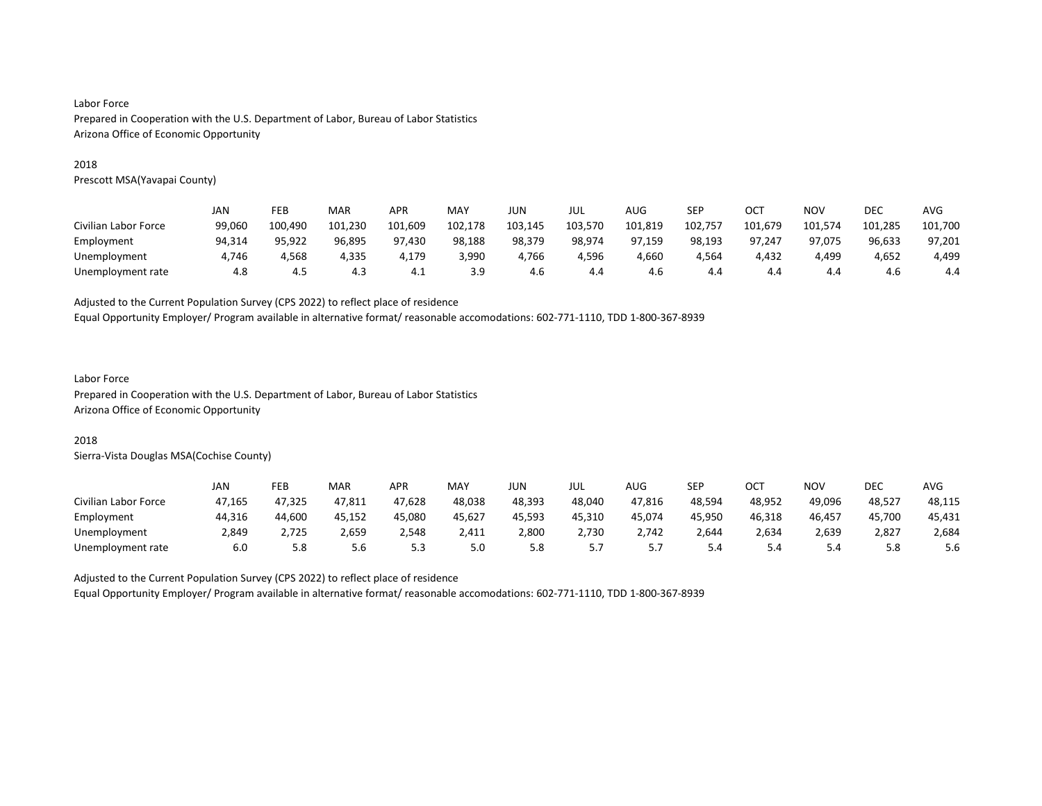#### 2018

Prescott MSA(Yavapai County)

|                      | JAN    | FEB     | MAR     | APR     | MAY     | JUN     | JUL     | AUG     | SEP     | OCT     | NOV     | DEC     | <b>AVG</b> |
|----------------------|--------|---------|---------|---------|---------|---------|---------|---------|---------|---------|---------|---------|------------|
| Civilian Labor Force | 99.060 | 100.490 | 101,230 | 101,609 | 102,178 | 103,145 | 103,570 | 101,819 | 102,757 | 101,679 | 101,574 | 101,285 | 101,700    |
| Employment           | 94.314 | 95.922  | 96.895  | 97.430  | 98,188  | 98,379  | 98,974  | 97.159  | 98,193  | 97.247  | 97.075  | 96,633  | 97,201     |
| Unemployment         | 4,746  | 4.568   | 4,335   | 4,179   | 3,990   | 4.766   | 4,596   | 4,660   | 4.564   | 4,432   | 4,499   | 4,652   | 4,499      |
| Unemployment rate    | 4.8    | 4.5     | 4.3     | 4.⊥     | 3.9     | 4.6     | 4.4     | 4.6     | 4.4     | 4.4     | 4.4     | 4.6     | 4.4        |

Adjusted to the Current Population Survey (CPS 2022) to reflect place of residence

Equal Opportunity Employer/ Program available in alternative format/ reasonable accomodations: 602-771-1110, TDD 1-800-367-8939

# Labor Force

Prepared in Cooperation with the U.S. Department of Labor, Bureau of Labor Statistics Arizona Office of Economic Opportunity

#### 2018

Sierra-Vista Douglas MSA(Cochise County)

|                      | JAN    | FEB    | <b>MAR</b> | APR    | <b>MAY</b> | JUN    | JUL    | AUG        | SEP    | OCT    | NO۱    | DEC    | AVG    |
|----------------------|--------|--------|------------|--------|------------|--------|--------|------------|--------|--------|--------|--------|--------|
| Civilian Labor Force | 47.165 | 47.325 | 47,811     | 47,628 | 48.038     | 48.393 | 48.040 | 47,816     | 48.594 | 48.952 | 49.096 | 48,527 | 48,115 |
| Employment           | 44,316 | 44,600 | 45.152     | 45,080 | 45,627     | 45.593 | 45,310 | 45,074     | 45.950 | 46,318 | 46,457 | 45,700 | 45,431 |
| Unemployment         | 2.849  | 2.725  | 2,659      | 2.548  | 2.411      | 2,800  | 2.730  | 2.742      | 2.644  | 2,634  | 2,639  | 2,827  | 2,684  |
| Unemployment rate    | 6.0    | 5.8    | 5.6        | 5.3    | 5.0        | 5.8    | .      | <u>. .</u> | 5.4    | 5.4    | 5.4    | 5.8    | 5.6    |

Adjusted to the Current Population Survey (CPS 2022) to reflect place of residence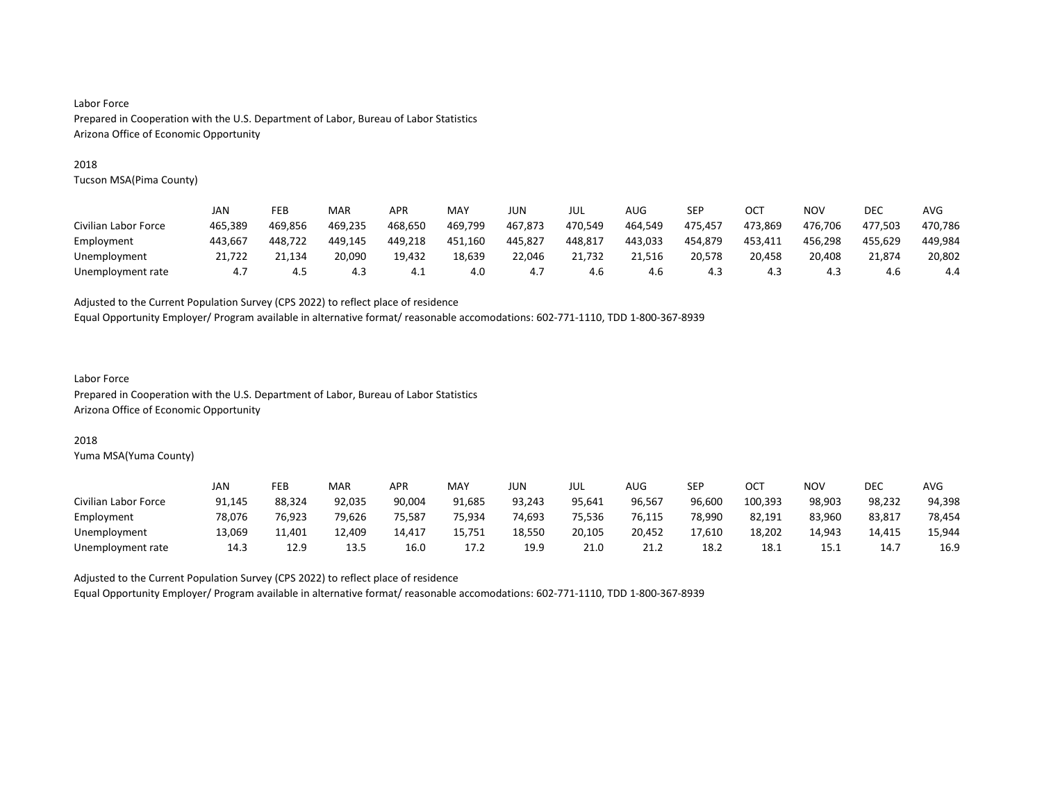#### 2018

Tucson MSA(Pima County)

|                      | JAN     | FEB     | MAR     | APR     | MAY     | JUN     | JUL     | AUG     | SEP     | OC1     | NOV     | DEC     | AVG     |
|----------------------|---------|---------|---------|---------|---------|---------|---------|---------|---------|---------|---------|---------|---------|
| Civilian Labor Force | 465.389 | 469.856 | 469.235 | 468.650 | 469,799 | 467.873 | 470.549 | 464,549 | 475,457 | 473.869 | 476.706 | 477.503 | 470,786 |
| Employment           | 443.667 | 448.722 | 449.145 | 449.218 | 451,160 | 445.827 | 448,817 | 443.033 | 454,879 | 453,411 | 456,298 | 455.629 | 449,984 |
| Unemployment         | .722    | 21.134  | 20.090  | 19.432  | 18.639  | 22.046  | 21.732  | 21.516  | 20.578  | 20.458  | 20.408  | 21.874  | 20.802  |
| Unemployment rate    | 4.7     | 4.5     | 4.3     | 4.1     | 4.0     | 4.7     | 4.6     | 4.6     | 4.3     | 4.3     | 4.3     | 4.6     | 4.4     |

Adjusted to the Current Population Survey (CPS 2022) to reflect place of residence

Equal Opportunity Employer/ Program available in alternative format/ reasonable accomodations: 602-771-1110, TDD 1-800-367-8939

# Labor Force

Prepared in Cooperation with the U.S. Department of Labor, Bureau of Labor Statistics Arizona Office of Economic Opportunity

## 2018

Yuma MSA(Yuma County)

|                      | JAN    | FEB    | MAR    | APR    | MAY    | JUN.   | JUL    | <b>AUG</b> | SEP    | ост     | NO٧    | DEC    | <b>AVG</b> |
|----------------------|--------|--------|--------|--------|--------|--------|--------|------------|--------|---------|--------|--------|------------|
| Civilian Labor Force | 91,145 | 88.324 | 92.035 | 90.004 | 91.685 | 93.243 | 95.641 | 96.567     | 96.600 | 100,393 | 98.903 | 98,232 | 94,398     |
| Employment           | 78.076 | 76.923 | 79.626 | 75,587 | 75.934 | 74,693 | 75.536 | 76.115     | 78.990 | 82,191  | 83.960 | 83,817 | 78,454     |
| Unemployment         | 13.069 | 11.401 | 12.409 | 14.417 | 15.751 | 18.550 | 20,105 | 20,452     | 17.610 | 18,202  | 14.943 | 14.415 | 15,944     |
| Unemployment rate    | 14.3   | 12.9   | 13.5   | 16.0   | 17.2   | 19.9   | 21.0   | 21.2       | 18.2   | 18.1    | 15.1   | 14.7   | 16.9       |

Adjusted to the Current Population Survey (CPS 2022) to reflect place of residence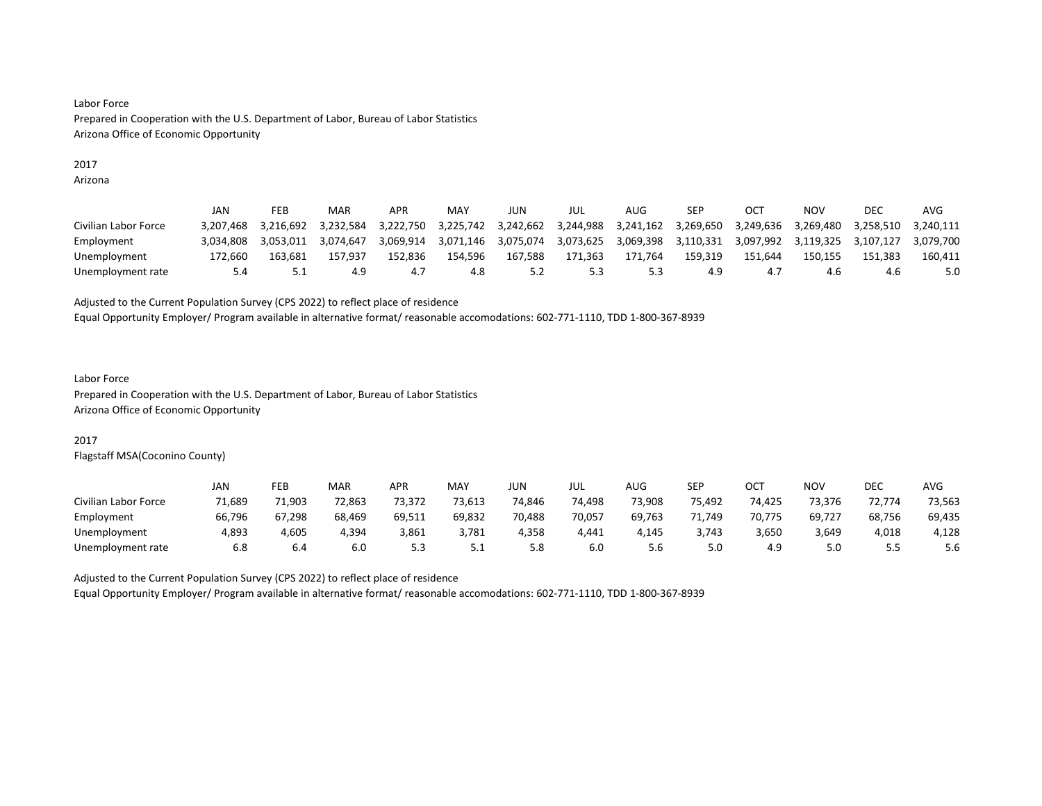# 2017

Arizona

|                      | JAN       | FEB       | MAR       | APR       | MAY       | JUN       | JUL       | AUG       | SEP       | CT        | ΝΟν       | DEC       | AVG       |
|----------------------|-----------|-----------|-----------|-----------|-----------|-----------|-----------|-----------|-----------|-----------|-----------|-----------|-----------|
| Civilian Labor Force | 3.207.468 | 3.216.692 | 3.232.584 | 3.222.750 | 3,225,742 | 3,242,662 | 3,244,988 | 3,241,162 | 3.269.650 | 3,249,636 | 3.269.480 | 3.258.510 | 3.240.111 |
| Employment           | 3.034.808 | 3.053.011 | 3.074.647 | 3.069.914 | 3,071,146 | 3,075,074 | 3,073,625 | 3,069,398 | 3.110.331 | 3,097,992 | 3.119.325 | 3.107.127 | 3.079.700 |
| Unemployment         | 172.660   | 163.681   | 157.937   | 152.836   | 154.596   | 167.588   | 171.363   | 171.764   | 159.319   | 151.644   | 150.155   | 151.383   | 160.411   |
| Unemployment rate    | 5.4       | ـ . ـ     | 4.9       |           | 4.8       | 5.2       | 5.3       |           | 4.9       |           | 4.6       | 4.6       | 5.0       |

#### Adjusted to the Current Population Survey (CPS 2022) to reflect place of residence

Equal Opportunity Employer/ Program available in alternative format/ reasonable accomodations: 602-771-1110, TDD 1-800-367-8939

#### Labor Force Prepared in Cooperation with the U.S. Department of Labor, Bureau of Labor Statistics Arizona Office of Economic Opportunity

# 2017

Flagstaff MSA(Coconino County)

|                      | JAN    | FEB    | MAR    | <b>APR</b> | MAY    | JUN    | JUL    | AUG    | <b>SEP</b> | OCT    | NO۱    | DEC    | <b>AVG</b> |
|----------------------|--------|--------|--------|------------|--------|--------|--------|--------|------------|--------|--------|--------|------------|
| Civilian Labor Force | 71.689 | 71.903 | 72.863 | 73,372     | 73.613 | 74,846 | 74.498 | 73.908 | 75.492     | 74.425 | 73.376 | 72,774 | 73,563     |
| Employment           | 66,796 | 67,298 | 68,469 | 69,511     | 69,832 | 70,488 | 70,057 | 69,763 | 71,749     | 70,775 | 69,727 | 68,756 | 69,435     |
| Unemployment         | 4,893  | 4,605  | 4.394  | 3,861      | 3,781  | 4.358  | 4.441  | 4.145  | 3.743      | 3,650  | 3,649  | 4,018  | 4,128      |
| Unemployment rate    | 6.8    | 6.4    | 6.0    | ر.ر        | ـ . ـ  | 5.8    | 6.0    | 5.6    | 5.0        | 4.9    | 5.0    | ر.ر    | 5.6        |

Adjusted to the Current Population Survey (CPS 2022) to reflect place of residence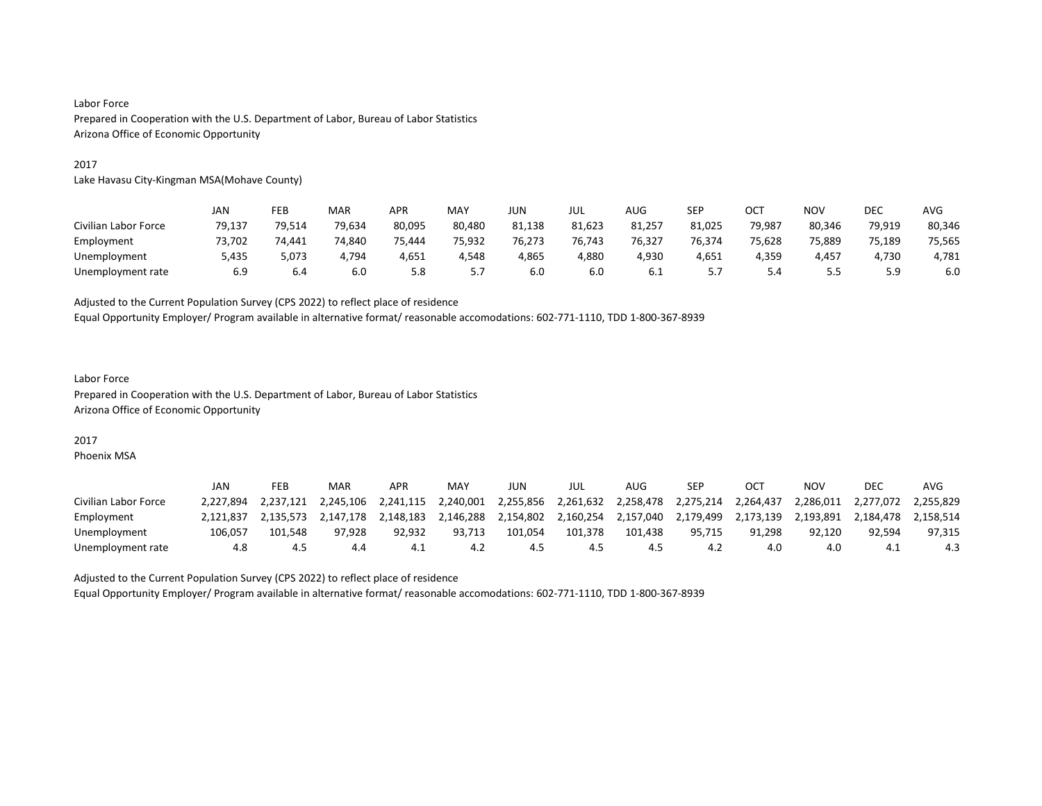#### 2017

Lake Havasu City-Kingman MSA(Mohave County)

|                      | JAN    | FEB    | MAR    | APR    | MAY    | <b>JUN</b> | JUL    | AUG    | <b>SEP</b> | OCT    | <b>NOV</b> | <b>DEC</b> | AVG    |
|----------------------|--------|--------|--------|--------|--------|------------|--------|--------|------------|--------|------------|------------|--------|
| Civilian Labor Force | 79,137 | 79,514 | 79,634 | 80,095 | 80,480 | 81,138     | 81,623 | 81,257 | 81,025     | 79,987 | 80,346     | 79,919     | 80,346 |
| Employment           | 73.702 | 74.441 | 74.840 | 75.444 | 75.932 | 76.273     | 76.743 | 76,327 | 76.374     | 75.628 | 75.889     | 75.189     | 75,565 |
| Unemployment         | 5,435  | 5,073  | 4,794  | 4,651  | 4,548  | 4,865      | 4,880  | 4,930  | 4,651      | 4,359  | 4,457      | 1,730      | 4,781  |
| Unemployment rate    | 6.9    | 6.4    | 6.0    | 5.8    | ر . د  | 6.0        | 6.0    | 6.1    |            |        | - -<br>ر.ر |            | 6.0    |

Adjusted to the Current Population Survey (CPS 2022) to reflect place of residence

Equal Opportunity Employer/ Program available in alternative format/ reasonable accomodations: 602-771-1110, TDD 1-800-367-8939

# Labor Force Prepared in Cooperation with the U.S. Department of Labor, Bureau of Labor Statistics Arizona Office of Economic Opportunity

# 2017

Phoenix MSA

|                      | JAN       | FEB       | MAR       | APR       | MAY       | JUN       | JUL       | AUG       | <b>SEP</b> |           | ΝΟν       | <b>DEC</b> | AVG       |
|----------------------|-----------|-----------|-----------|-----------|-----------|-----------|-----------|-----------|------------|-----------|-----------|------------|-----------|
| Civilian Labor Force | 2.227.894 | 2.237.121 | 2.245.106 | 2.241.115 | 2.240.001 | 2.255.856 | 2,261,632 | 2.258.478 | 2.275.214  | 2,264,437 | 2.286.011 | 2.277.072  | 2.255.829 |
| Employment           | 2.121.837 | 2.135.573 | 2.147.178 | 2.148.183 | 2,146,288 | 2,154,802 | 2,160,254 | 2,157,040 | 2,179,499  | 2,173,139 | 2,193,891 | 2.184.478  | 2.158.514 |
| Unemployment         | 106.057   | 101.548   | 97.928    | 92.932    | 93.713    | 101.054   | 101,378   | 101.438   | 95.715     | 91.298    | 92.120    | 92.594     | 97,315    |
| Unemployment rate    | 4.8       | 4.5       | 4.4       | 4.1       | 4.2       | 4.5       | 4.5       | 4.5       | 4.2        | 4.0       | 4.0       | -4.1       | 4.3       |

Adjusted to the Current Population Survey (CPS 2022) to reflect place of residence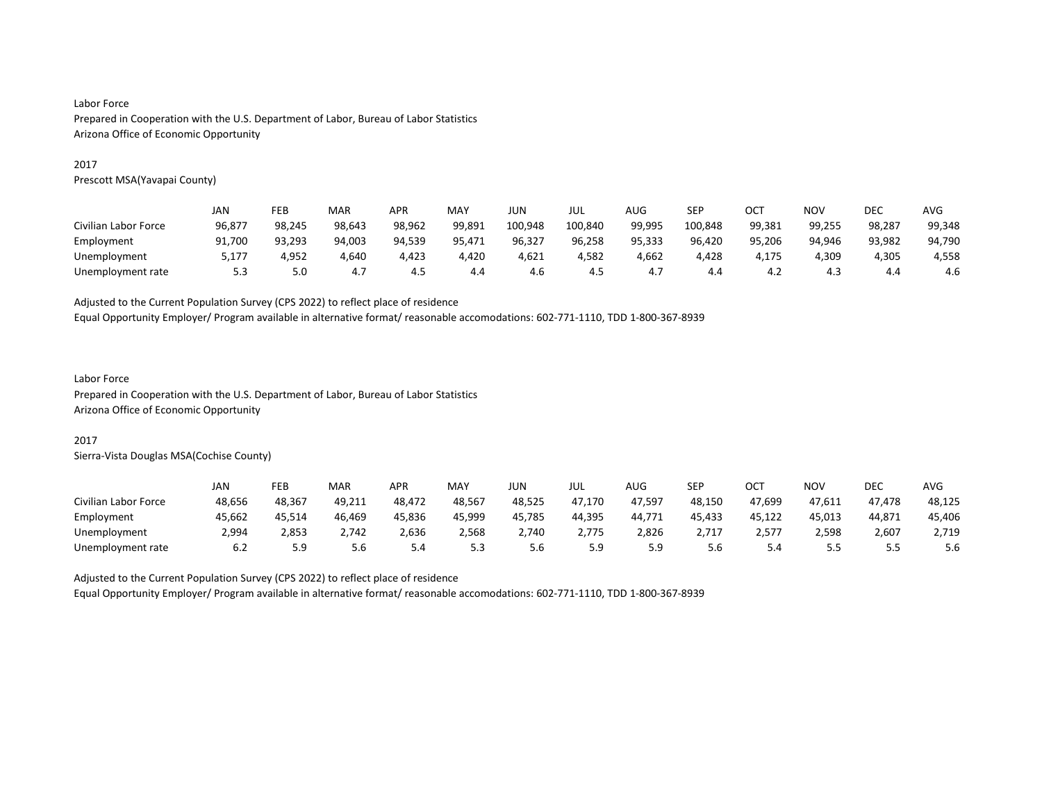#### 2017

Prescott MSA(Yavapai County)

|                      | JAN    | FEB    | MAR    | APR    | MAY    | JUN     | JUL     | AUG    | SEP     | OCT    | <b>NOV</b> | DEC    | <b>AVG</b> |
|----------------------|--------|--------|--------|--------|--------|---------|---------|--------|---------|--------|------------|--------|------------|
| Civilian Labor Force | 96,877 | 98.245 | 98,643 | 98,962 | 99,891 | 100,948 | 100,840 | 99,995 | 100,848 | 99,381 | 99,255     | 98,287 | 99,348     |
| Employment           | 91.700 | 93.293 | 94.003 | 94,539 | 95,471 | 96,327  | 96,258  | 95,333 | 96,420  | 95,206 | 94.946     | 93,982 | 94,790     |
| Unemployment         | 5,177  | 4,952  | 4,640  | 4,423  | 4,420  | 4,621   | 4,582   | 4,662  | 4,428   | 4.175  | 4,309      | 4,305  | 4,558      |
| Unemployment rate    | 5.3    | 5.0    | 4.7    | 4.5    | 4.4    | 4.6     | 4.5     | 4.,    | 4.4     | 4.2    | 4.3        | 4.4    | 4.6        |

Adjusted to the Current Population Survey (CPS 2022) to reflect place of residence

Equal Opportunity Employer/ Program available in alternative format/ reasonable accomodations: 602-771-1110, TDD 1-800-367-8939

# Labor Force

Prepared in Cooperation with the U.S. Department of Labor, Bureau of Labor Statistics Arizona Office of Economic Opportunity

# 2017

Sierra-Vista Douglas MSA(Cochise County)

|                      | JAN    | FEB    | MAR    | <b>APR</b> | MAY    | <b>JUN</b> | JUL    | <b>AUG</b> | SEP    | ост    | NO٧        | <b>DEC</b> | AVG    |
|----------------------|--------|--------|--------|------------|--------|------------|--------|------------|--------|--------|------------|------------|--------|
| Civilian Labor Force | 48,656 | 48.367 | 49,211 | 48,472     | 48.567 | 48,525     | 47,170 | 47,597     | 48,150 | 47,699 | 47,611     | 47.478     | 48,125 |
| Employment           | 45.662 | 45.514 | 46,469 | 45,836     | 45.999 | 45,785     | 44,395 | 44.771     | 45,433 | 45.122 | 45,013     | 44,871     | 45,406 |
| Unemployment         | 2.994  | 2,853  | 2,742  | 2,636      | 2,568  | 2.740      | 2.775  | 2,826      | 2.717  | 2,577  | 2.598      | 2,607      | 2,719  |
| Unemployment rate    | 6.2    | 5.9    | 5.6    | 5.4        | ر.ر    | 5.6        | 5.9    | 5.9        | 5.6    | 5.4    | . .<br>ر.ر | ر.ر        | 5.6    |

Adjusted to the Current Population Survey (CPS 2022) to reflect place of residence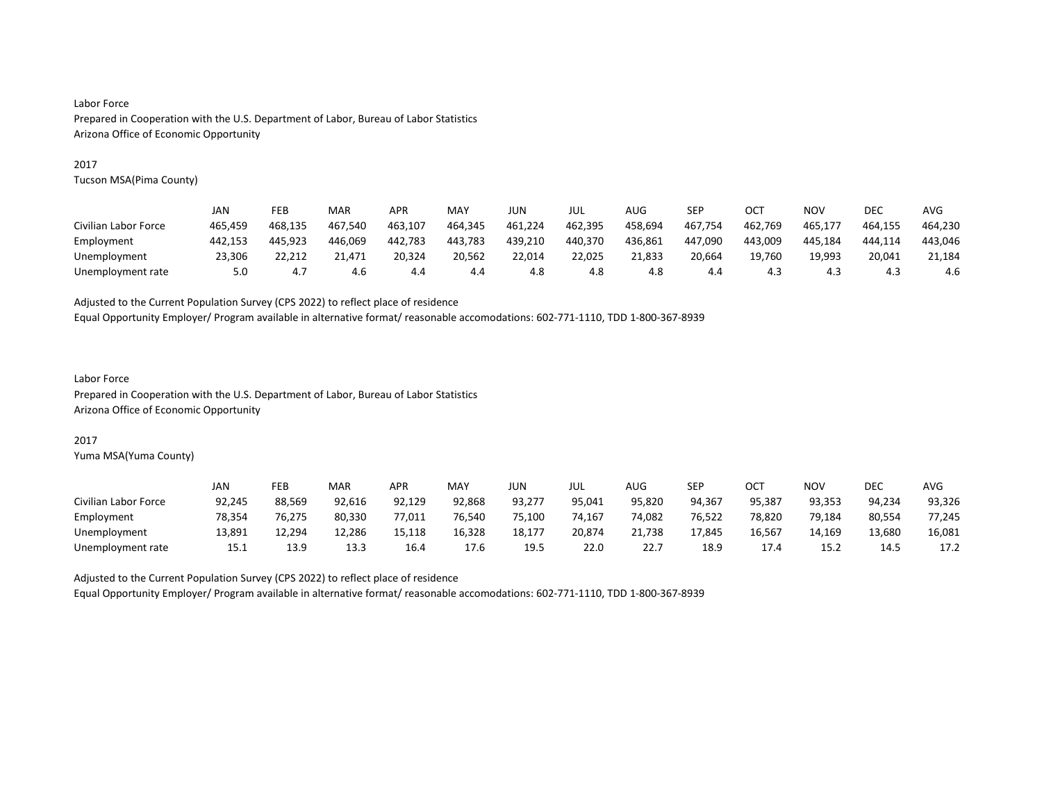#### 2017

Tucson MSA(Pima County)

|                      | JAN     | FEB     | MAR     | <b>APR</b> | MAY     | JUN     | jul     | AUG     | SEP     | OC1     | <b>NOV</b> | DEC     | AVG     |
|----------------------|---------|---------|---------|------------|---------|---------|---------|---------|---------|---------|------------|---------|---------|
| Civilian Labor Force | 465.459 | 468.135 | 467.540 | 463.107    | 464,345 | 461,224 | 462,395 | 458,694 | 467,754 | 462,769 | 465,177    | 464.155 | 464,230 |
| Employment           | 442.153 | 445.923 | 446.069 | 442.783    | 443.783 | 439.210 | 440,370 | 436.861 | 447.090 | 443.009 | 445.184    | 444.114 | 443,046 |
| Unemployment         | 23.306  | 22.212  | 21.471  | 20.324     | 20.562  | 22.014  | 22.025  | 21.833  | 20.664  | 19.760  | 19.993     | 20.041  | 21.184  |
| Unemployment rate    | 5.0     | 4.7     | 4.6     | 4.4        | 4.4     | 4.8     | 4.8     | 4.8     | 4.4     | 4.3     | 4.3        | 4.3     | 4.6     |

Adjusted to the Current Population Survey (CPS 2022) to reflect place of residence

Equal Opportunity Employer/ Program available in alternative format/ reasonable accomodations: 602-771-1110, TDD 1-800-367-8939

# Labor Force

Prepared in Cooperation with the U.S. Department of Labor, Bureau of Labor Statistics Arizona Office of Economic Opportunity

## 2017

Yuma MSA(Yuma County)

|                      | JAN    | FEB    | MAR    | <b>APR</b> | MAY    | JUN    | JUL    | AUG    | SEP    | OCT    | NO٧    | <b>DEC</b> | <b>AVG</b> |
|----------------------|--------|--------|--------|------------|--------|--------|--------|--------|--------|--------|--------|------------|------------|
| Civilian Labor Force | 92,245 | 88.569 | 92.616 | 92,129     | 92,868 | 93,277 | 95.041 | 95,820 | 94.367 | 95,387 | 93.353 | 94.234     | 93,326     |
| Employment           | 78,354 | 76,275 | 80,330 | 77,011     | 76.540 | 75,100 | 74,167 | 74,082 | 76,522 | 78,820 | 79,184 | 80,554     | 77,245     |
| Unemployment         | 13.891 | 12.294 | 12.286 | 15.118     | 16,328 | 18,177 | 20,874 | 21.738 | 17.845 | 16,567 | 14.169 | 13,680     | 16,081     |
| Unemployment rate    | 15.1   | 13.9   | 13.3   | 16.4       | 17.6   | 19.5   | 22.0   | 22.7   | 18.9   | 17.4   | 15.2   | 14.5       | 17.2       |

Adjusted to the Current Population Survey (CPS 2022) to reflect place of residence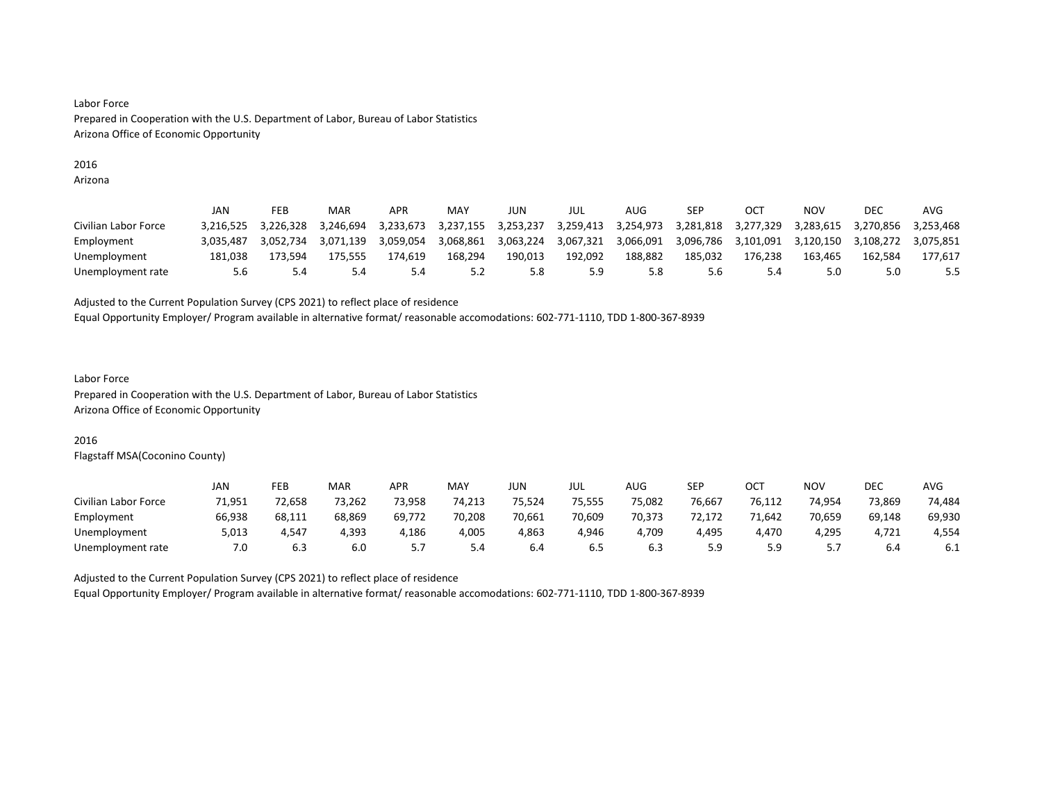# 2016

Arizona

|                      | JAN       | FEB       | MAR       | APR       | MAY       | JUN       | JUL       | AUG       | SEP       | OCT       | NOV       | DEC       | AVG       |
|----------------------|-----------|-----------|-----------|-----------|-----------|-----------|-----------|-----------|-----------|-----------|-----------|-----------|-----------|
| Civilian Labor Force | 3.216.525 | 3.226.328 | 3.246.694 | 3.233.673 | 3.237.155 | 3.253.237 | 3,259,413 | 3.254.973 | 3.281.818 | 3.277.329 | 3.283.615 | 3.270.856 | 3.253.468 |
| Employment           | 3.035.487 | 3.052.734 | 3.071.139 | 3.059.054 | 3.068.861 | 3.063.224 | 3.067.321 | 3.066.091 | 3.096.786 | 3.101.091 | 3.120.150 | 3.108.272 | 3.075.851 |
| Unemployment         | 181.038   | 173.594   | 175.555   | 174.619   | 168.294   | 190.013   | 192.092   | 188.882   | 185.032   | 176.238   | 163.465   | 162.584   | 177.617   |
| Unemployment rate    | 5.6       |           | 5.4       | 5.4       | 5.2       | 5.8       | 5.9       | 5.8       | 5.6       |           | 5.0       | 5.0       |           |

#### Adjusted to the Current Population Survey (CPS 2021) to reflect place of residence

Equal Opportunity Employer/ Program available in alternative format/ reasonable accomodations: 602-771-1110, TDD 1-800-367-8939

# Labor Force

Prepared in Cooperation with the U.S. Department of Labor, Bureau of Labor Statistics Arizona Office of Economic Opportunity

# 2016

Flagstaff MSA(Coconino County)

|                      | JAN    | FEB    | MAR    | APR    | MAY    | JUN    | JUL    | <b>AUG</b> | SEP    | ОСТ    | NOV       | DEC    | <b>AVG</b> |
|----------------------|--------|--------|--------|--------|--------|--------|--------|------------|--------|--------|-----------|--------|------------|
| Civilian Labor Force | 71.951 | 72.658 | 73,262 | 73.958 | 74,213 | 75,524 | 75.555 | 75,082     | 76.667 | 76,112 | 74.954    | 73,869 | 74,484     |
| Employment           | 66.938 | 68.111 | 68.869 | 69.772 | 70.208 | 70,661 | 70.609 | 70.373     | 72.172 | 71.642 | 70.659    | 69,148 | 69,930     |
| Unemployment         | 5,013  | 4.547  | 4.393  | 4,186  | 4,005  | 4,863  | 4.946  | 4.709      | 4,495  | 4.470  | 4,295     | 4,721  | 4,554      |
| Unemployment rate    | 7.0    | 6.3    | 6.0    |        | 5.4    | 6.4    | ხ.5    | 6.3        | 5.9    | : a    | <u>.,</u> | 6.4    | b.1        |

Adjusted to the Current Population Survey (CPS 2021) to reflect place of residence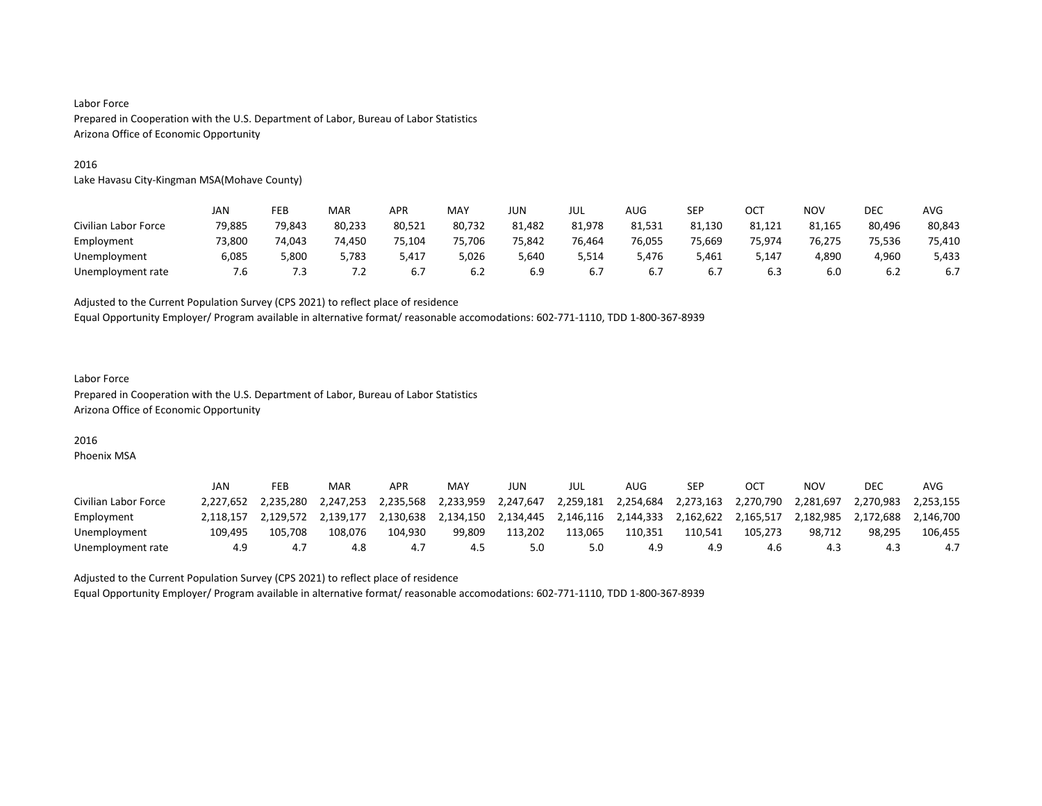#### 2016

Lake Havasu City-Kingman MSA(Mohave County)

|                      | JAN    | FEB    | MAR    | APR    | MAY    | <b>JUN</b> | JUL    | AUG    | SEP    | OC <sup>T</sup> | <b>NOV</b> | <b>DEC</b> | <b>AVG</b> |
|----------------------|--------|--------|--------|--------|--------|------------|--------|--------|--------|-----------------|------------|------------|------------|
| Civilian Labor Force | 79,885 | 79,843 | 80,233 | 80,521 | 80,732 | 81,482     | 81,978 | 81,531 | 81,130 | 81,121          | 81,165     | 80,496     | 80,843     |
| Employment           | 73.800 | 74.043 | 74.450 | 75.104 | 75,706 | 75.842     | 76.464 | 76.055 | 75.669 | 75.974          | 76.275     | 75.536     | 75,410     |
| Unemployment         | 6,085  | 5,800  | 5,783  | 5,417  | 5,026  | 5,640      | 5,514  | 5,476  | 5,461  | 147,د           | 4,890      | 4,960      | 5,433      |
| Unemployment rate    | '.ხ    | '.3    | 7.2    | 6.7    | 6.2    | 6.9        | 6.7    |        | 6.7    | 6.3             | 6.0        | 6.2        | 6.7        |

Adjusted to the Current Population Survey (CPS 2021) to reflect place of residence

Equal Opportunity Employer/ Program available in alternative format/ reasonable accomodations: 602-771-1110, TDD 1-800-367-8939

# Labor Force Prepared in Cooperation with the U.S. Department of Labor, Bureau of Labor Statistics Arizona Office of Economic Opportunity

# 2016

Phoenix MSA

|                      | JAN       | FEB       | MAR       | APR       | MAY       | JUN       | JUL       | AUG       | <b>SEP</b> |           | ΝΟν       | <b>DEC</b> | AVG       |
|----------------------|-----------|-----------|-----------|-----------|-----------|-----------|-----------|-----------|------------|-----------|-----------|------------|-----------|
| Civilian Labor Force | 2.227.652 | 2.235.280 | 2.247.253 | 2.235.568 | 2.233.959 | 2,247,647 | 2,259,181 | 2,254,684 | 2,273,163  | 2.270.790 | 2.281.697 | 2.270.983  | 2.253.155 |
| Employment           |           | 2.129.572 | 2.139.177 | 2.130.638 | 2,134,150 | 2,134,445 | 2,146,116 | 2,144,333 | 2,162,622  | 2,165,517 | 2.182.985 | 2.172.688  | 2,146,700 |
| Unemployment         | 109.495   | 105.708   | 108.076   | 104.930   | 99,809    | 113.202   | 113.065   | 110.351   | 110.541    | 105.273   | 98.712    | 98.295     | 106,455   |
| Unemployment rate    | 4.9       | 4.,       | 4.8       | 4.        | 4.5       | 5.0       | 5.0       | 4.9       | 4.9        | 4.6       | 4.3       | 4.3        | 4.7       |

Adjusted to the Current Population Survey (CPS 2021) to reflect place of residence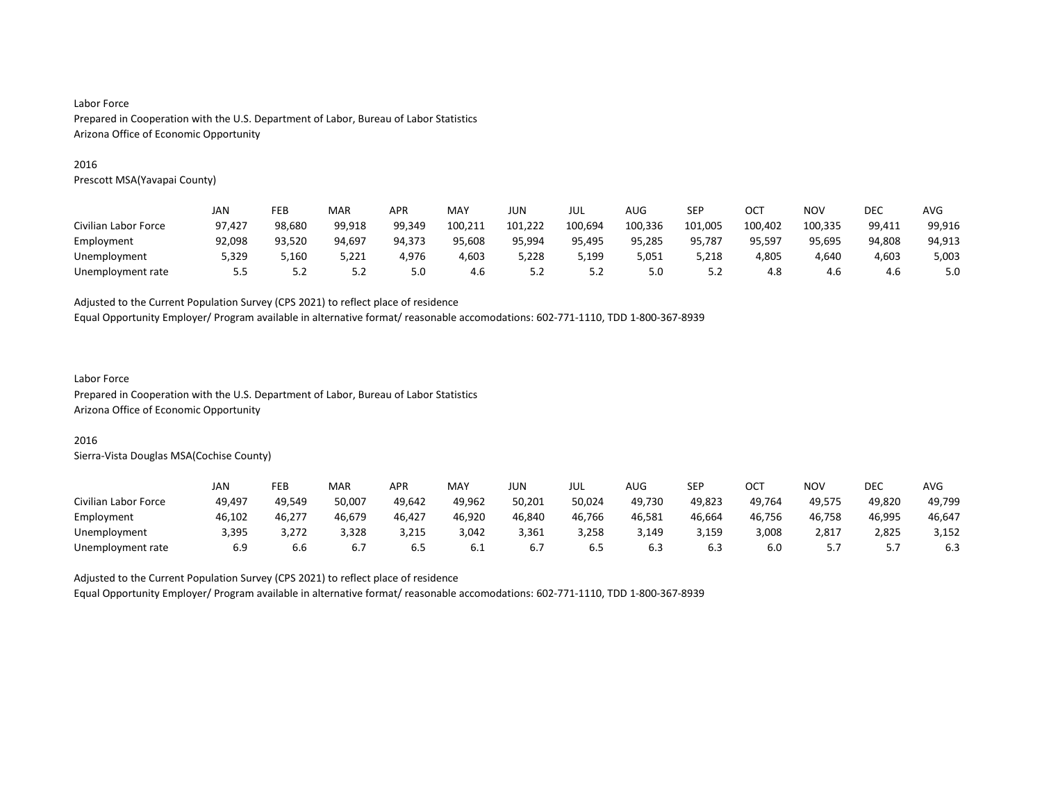#### 2016

Prescott MSA(Yavapai County)

|                      | JAN    | FEB    | MAR    | APR    | MAY     | JUN     | JUL     | AUG     | SEP     | ост     | <b>NOV</b> | DEC    | AVG    |
|----------------------|--------|--------|--------|--------|---------|---------|---------|---------|---------|---------|------------|--------|--------|
| Civilian Labor Force | 97.427 | 98.680 | 99.918 | 99.349 | 100.211 | 101.222 | 100,694 | 100,336 | 101,005 | 100.402 | 100,335    | 99,411 | 99,916 |
| Employment           | 92,098 | 93,520 | 94.697 | 94.373 | 95,608  | 95.994  | 95,495  | 95,285  | 95,787  | 95,597  | 95,695     | 94.808 | 94,913 |
| Unemployment         | 5,329  | 5.160  | 5.221  | 4.976  | 4,603   | 5.228   | 5,199   | 5,051   | 5,218   | 4,805   | 4.640      | 4,603  | 5,003  |
| Unemployment rate    | 5.5    | 5.2    | 5.2    | 5.0    | 4.6     | 5.2     | 5.2     | 5.0     | 5.2     | 4.8     | 4.6        | 4.6    | 5.0    |

#### Adjusted to the Current Population Survey (CPS 2021) to reflect place of residence

Equal Opportunity Employer/ Program available in alternative format/ reasonable accomodations: 602-771-1110, TDD 1-800-367-8939

#### Labor Force

Prepared in Cooperation with the U.S. Department of Labor, Bureau of Labor Statistics Arizona Office of Economic Opportunity

#### 2016

Sierra-Vista Douglas MSA(Cochise County)

|                      | JAN    | FEB    | <b>MAR</b> | <b>APR</b> | MAY    | <b>JUN</b> | JUL    | AUG    | SEP    | OCT    | NO۱    | DEC    | <b>AVG</b> |
|----------------------|--------|--------|------------|------------|--------|------------|--------|--------|--------|--------|--------|--------|------------|
| Civilian Labor Force | 49,497 | 49.549 | 50.007     | 49.642     | 49.962 | 50,201     | 50,024 | 49.730 | 49,823 | 49.764 | 49.575 | 49.820 | 49,799     |
| Employment           | 46,102 | 46,277 | 46,679     | 46,427     | 46,920 | 46,840     | 46,766 | 46,581 | 46,664 | 46,756 | 46,758 | 46,995 | 46,647     |
| Unemployment         | 3,395  | 3.272  | 3,328      | 3,215      | 3,042  | 3,361      | 3.258  | 3,149  | 3,159  | 3,008  | 2,817  | 2,825  | 3,152      |
| Unemployment rate    | 6.9    | b.b    |            | 6.5        | 6.I    | b. /       | 6.5    | 6.3    | 6.3    | 6.0    | .      | ، ، ب  | 6.3        |

Adjusted to the Current Population Survey (CPS 2021) to reflect place of residence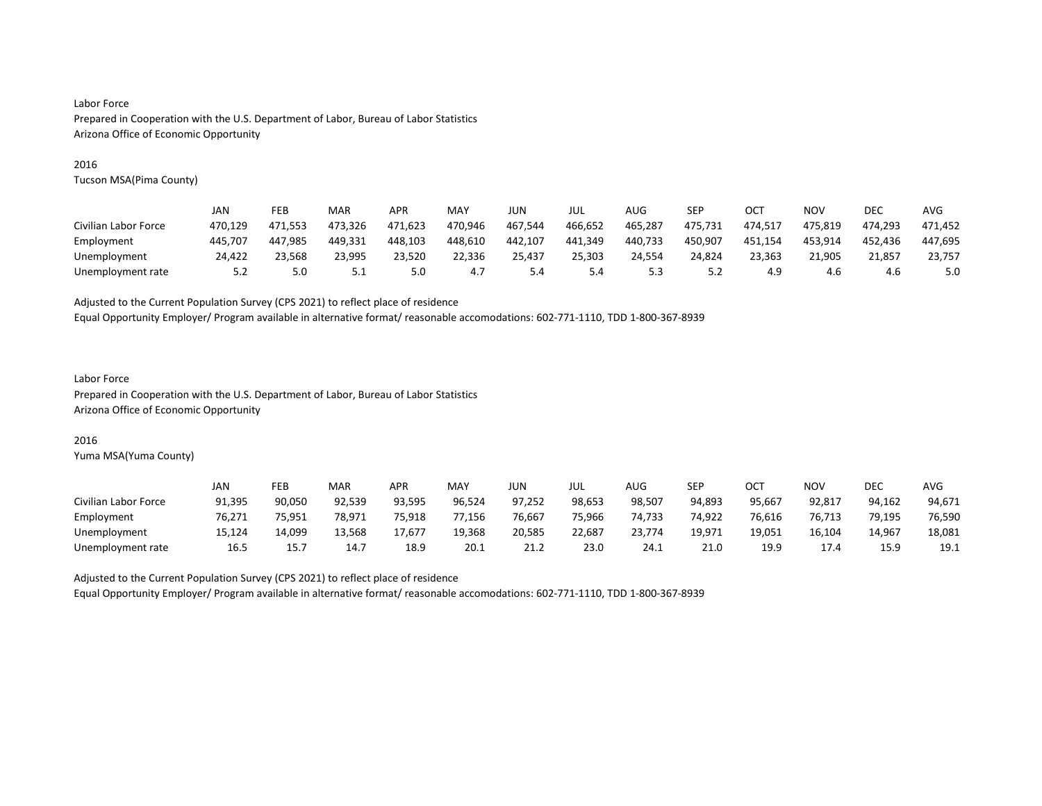#### 2016

Tucson MSA(Pima County)

|                      | JAN     | FEB     | MAR     | <b>APR</b> | MAY     | JUN     | JUL     | AUG     | SEP     | OCT     | NOV     | DEC     | AVG     |
|----------------------|---------|---------|---------|------------|---------|---------|---------|---------|---------|---------|---------|---------|---------|
| Civilian Labor Force | 470.129 | 471.553 | 473.326 | 471.623    | 470.946 | 467.544 | 466.652 | 465.287 | 475.731 | 474.517 | 475.819 | 474.293 | 471.452 |
| Employment           | 445.707 | 447.985 | 449.331 | 448.103    | 448,610 | 442.107 | 441,349 | 440,733 | 450,907 | 451,154 | 453,914 | 452.436 | 447,695 |
| Unemployment         | 24.422  | 23.568  | 23.995  | 23.520     | 22,336  | 25.437  | 25.303  | 24.554  | 24,824  | 23.363  | 21.905  | 21.857  | 23.757  |
| Unemployment rate    | 5.2     | 5.0     | ے . ۔   | 5.0        | 4.7     | 5.4     | 5.4     | 5.3     | 5.2     | 4.9     | 4.6     | 4.6     | 5.0     |

Adjusted to the Current Population Survey (CPS 2021) to reflect place of residence

Equal Opportunity Employer/ Program available in alternative format/ reasonable accomodations: 602-771-1110, TDD 1-800-367-8939

#### Labor Force Prepared in Cooperation with the U.S. Department of Labor, Bureau of Labor Statistics Arizona Office of Economic Opportunity

#### 2016

Yuma MSA(Yuma County)

|                      | JAN    | FEB    | MAR    | <b>APR</b> | MAY    | JUN    | JUL    | AUG    | SEP    | OCT    | NO٧    | <b>DEC</b> | <b>AVG</b> |
|----------------------|--------|--------|--------|------------|--------|--------|--------|--------|--------|--------|--------|------------|------------|
| Civilian Labor Force | 91,395 | 90,050 | 92.539 | 93.595     | 96.524 | 97,252 | 98.653 | 98,507 | 94.893 | 95,667 | 92.817 | 94.162     | 94,671     |
| Employment           | 76,271 | 75,951 | 78.971 | 75,918     | 77,156 | 76,667 | 75,966 | 74,733 | 74,922 | 76,616 | 76,713 | 79,195     | 76,590     |
| Unemployment         | 15.124 | 14.099 | 13.568 | 17.677     | 19.368 | 20,585 | 22,687 | 23.774 | 19.971 | 19.051 | 16.104 | 14.967     | 18,081     |
| Unemployment rate    | 16.5   | 15.7   | 14.7   | 18.9       | 20.1   | 21.2   | 23.0   | 24.1   | 21.0   | 19.9   | 17.4   | 15.9       | 19.1       |

Adjusted to the Current Population Survey (CPS 2021) to reflect place of residence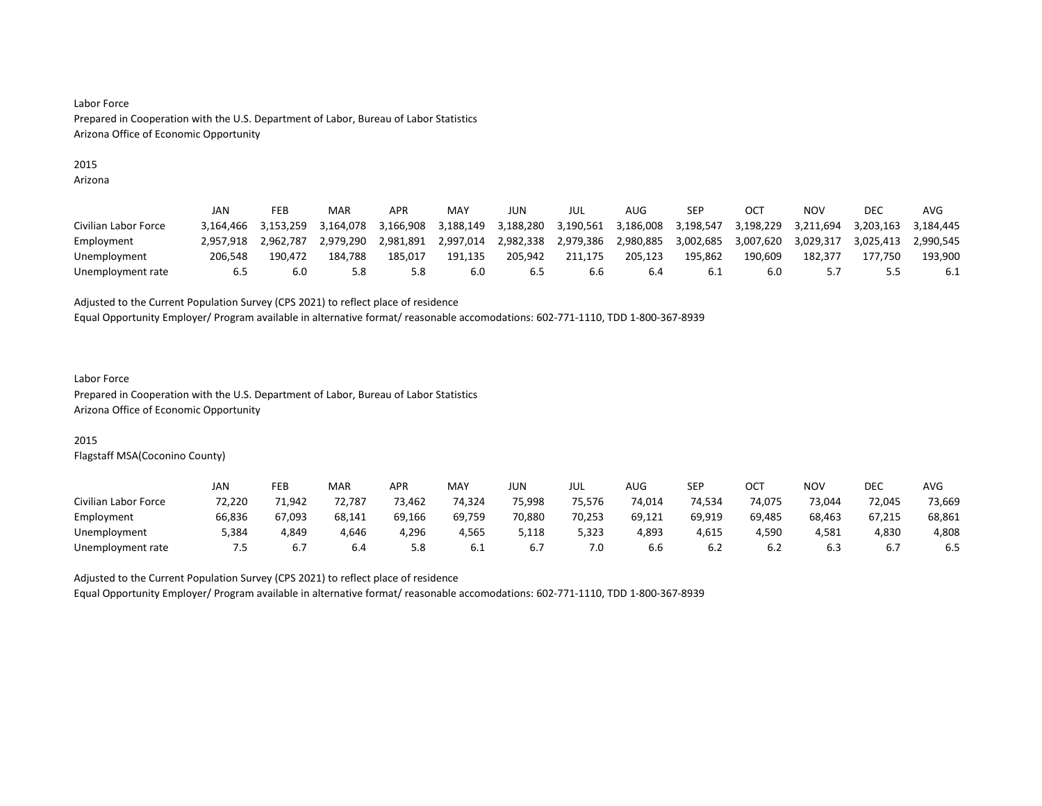# 2015

Arizona

|                      | JAN       | FEB       | MAR       | APR       | MAY       | JUN       | JUL       | AUG       | SEP       | OС        | NOV         | DEC       | AVG       |
|----------------------|-----------|-----------|-----------|-----------|-----------|-----------|-----------|-----------|-----------|-----------|-------------|-----------|-----------|
| Civilian Labor Force | 3.164.466 | 3.153.259 | 3.164.078 | 3.166.908 | 3.188.149 | 3.188.280 | 3.190.561 | 3,186,008 | 3.198.547 | 3.198.229 | 3.211.694   | 3.203.163 | 3.184.445 |
| Employment           | 2.957.918 | 2.962.787 | 2.979.290 | 2.981.891 | 2,997,014 | 2,982,338 | 2,979,386 | 2,980,885 | 3,002,685 | 3,007,620 | 3.029.317   | 3.025.413 | 2.990.545 |
| Unemployment         | 206.548   | 190.472   | 184.788   | 185.017   | 191.135   | 205.942   | 211.175   | 205.123   | 195.862   | 190.609   | 182.377     | 177.750   | 193.900   |
| Unemployment rate    | 6.5       | 6.0       | 5.8       | 5.8       | 6.0       | 6.5       | 6.6       | 6.4       | -6.1      | 6.0       | 55<br>ر . د |           | 6.1       |

#### Adjusted to the Current Population Survey (CPS 2021) to reflect place of residence

Equal Opportunity Employer/ Program available in alternative format/ reasonable accomodations: 602-771-1110, TDD 1-800-367-8939

#### Labor Force

Prepared in Cooperation with the U.S. Department of Labor, Bureau of Labor Statistics Arizona Office of Economic Opportunity

# 2015

Flagstaff MSA(Coconino County)

|                      | JAN    | FEB    | MAR    | <b>APR</b> | MAY    | <b>JUN</b> | JUL    | AUG    | SEP    | OCT    | NO۱    | DEC    | <b>AVG</b> |
|----------------------|--------|--------|--------|------------|--------|------------|--------|--------|--------|--------|--------|--------|------------|
| Civilian Labor Force | 72.220 | 71.942 | 72.787 | 73.462     | 74,324 | 75.998     | 75.576 | 74,014 | 74.534 | 74.075 | 73.044 | 72.045 | 73,669     |
| Employment           | 66,836 | 67,093 | 68,141 | 69,166     | 69,759 | 70,880     | 70,253 | 69,121 | 69,919 | 69,485 | 68,463 | 67,215 | 68,861     |
| Unemployment         | 5,384  | 4,849  | 4.646  | 4,296      | 4,565  | 5,118      | 5,323  | 4,893  | 4,615  | 4.590  | 4,581  | 4,830  | 4,808      |
| Unemployment rate    | כ.'    |        | 6.4    | 5.8        | b.1    | b. /       | 7.0    | b.b    | 6.2    | b.2    | 6.3    |        | 6.5        |

Adjusted to the Current Population Survey (CPS 2021) to reflect place of residence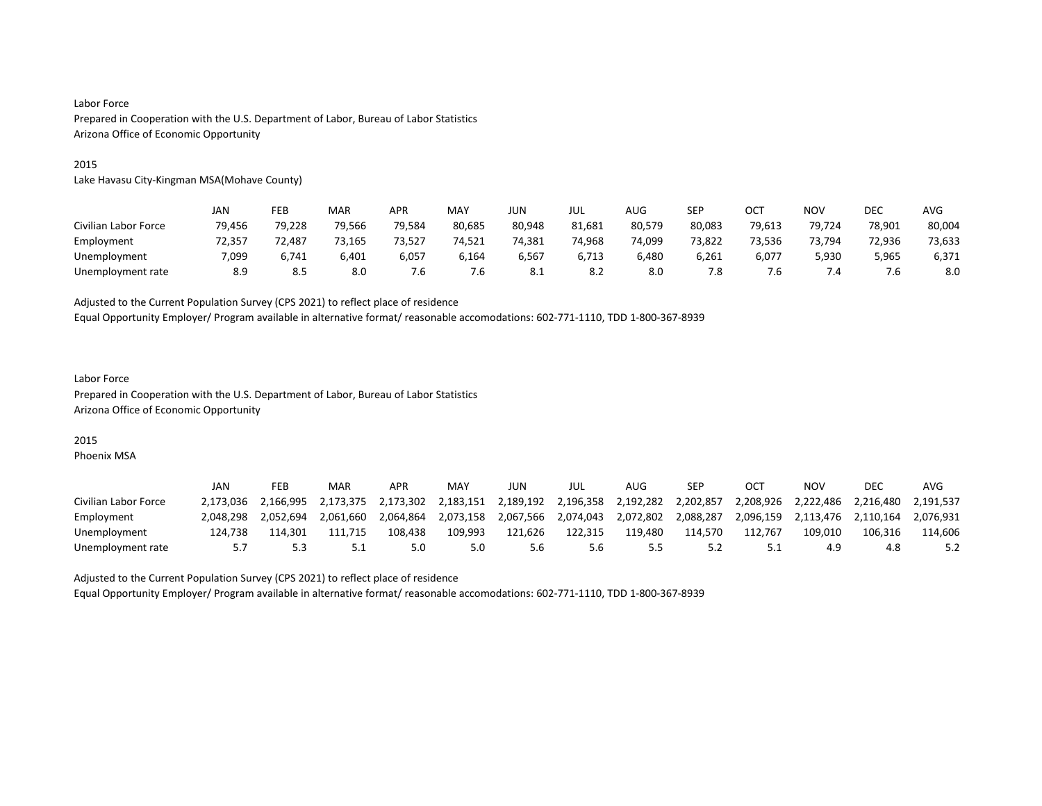#### 2015

Lake Havasu City-Kingman MSA(Mohave County)

|                      | JAN    | FEB    | MAR    | APR    | MAY    | <b>JUN</b> | JUL    | AUG    | SEP    | OCT    | <b>NOV</b> | <b>DEC</b> | AVG    |
|----------------------|--------|--------|--------|--------|--------|------------|--------|--------|--------|--------|------------|------------|--------|
| Civilian Labor Force | 79,456 | 79,228 | 79,566 | 79,584 | 80,685 | 80,948     | 81,681 | 80,579 | 80,083 | 79,613 | 79,724     | 78,901     | 80,004 |
| Employment           | 72.357 | 72.487 | 73.165 | 73.527 | 74.521 | 74.381     | 74.968 | 74.099 | 73.822 | 73.536 | 73.794     | 72.936     | 73,633 |
| Unemployment         | 7,099  | 6,741  | 6,401  | 6,057  | 6,164  | 6,567      | 6,713  | 6,480  | 6,261  | 6,077  | 5,930      | 5,965      | 6,371  |
| Unemployment rate    | 8.9    | 8.5    | 8.0    | '.b    | 7.6    | 8.1        | 8.2    | 8.0    | 7.8    |        | 7.4        |            | 8.0    |

Adjusted to the Current Population Survey (CPS 2021) to reflect place of residence

Equal Opportunity Employer/ Program available in alternative format/ reasonable accomodations: 602-771-1110, TDD 1-800-367-8939

# Labor Force Prepared in Cooperation with the U.S. Department of Labor, Bureau of Labor Statistics Arizona Office of Economic Opportunity

# 2015

Phoenix MSA

|                      | JAN       | FEB       | MAR       | APR       | MAY       | JUN       | JUL       | AUG       | <b>SEP</b> | OC <sup>T</sup> | ΝΟν       | DEC       | AVG       |
|----------------------|-----------|-----------|-----------|-----------|-----------|-----------|-----------|-----------|------------|-----------------|-----------|-----------|-----------|
| Civilian Labor Force | 2.173.036 | 2.166.995 | 2.173.375 | 2.173.302 | 2.183.151 | 2.189.192 | 2,196,358 | 2.192.282 | 2.202.857  | 2.208.926       | 2.222.486 | 2.216.480 | 2.191.537 |
| Employment           | 2.048.298 | 2.052.694 | 2.061.660 | 2.064.864 | 2.073.158 | 2.067.566 | 2,074,043 | 2,072,802 | 2.088.287  | 2.096.159       | 2.113.476 | 2.110.164 | 2.076.931 |
| Unemployment         | 124.738   | 114.301   | 111.715   | 108.438   | 109.993   | 121.626   | 122.315   | 119.480   | 114.570    | 112.767         | 109,010   | 106.316   | 114.606   |
| Unemployment rate    |           |           | <u>.</u>  | 5.0       | 5.0       |           | 5.6       |           | 5.2        |                 | 4.9       | 4.8       |           |

Adjusted to the Current Population Survey (CPS 2021) to reflect place of residence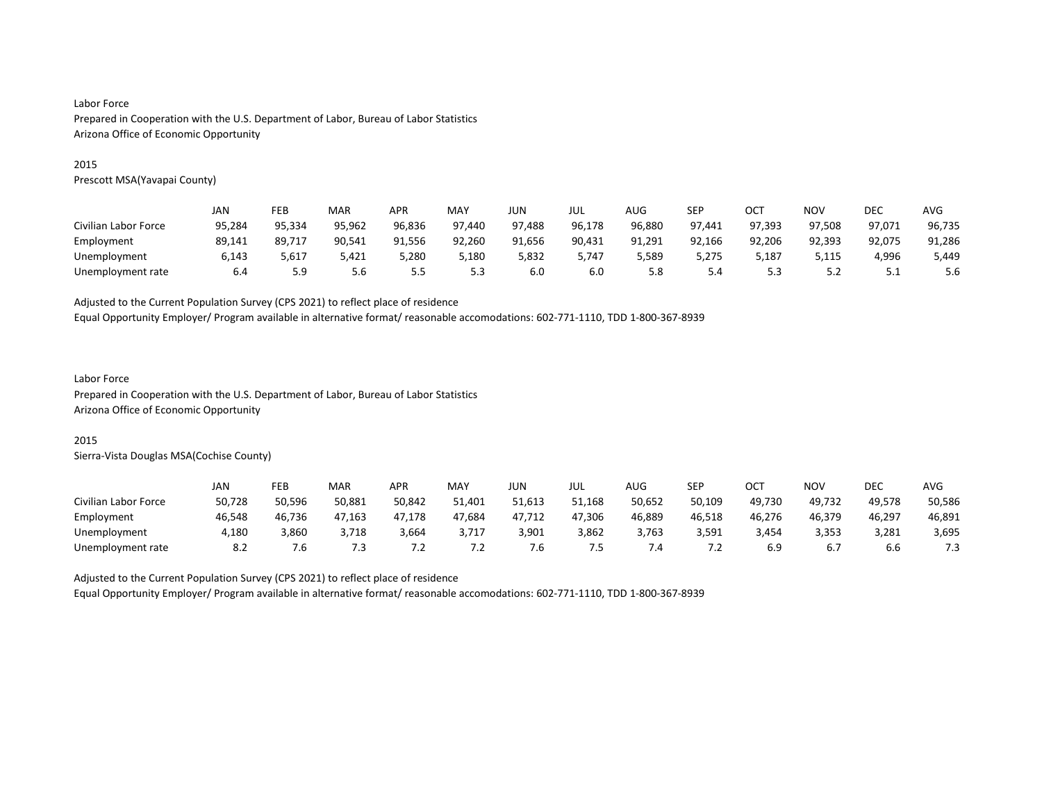#### 2015

Prescott MSA(Yavapai County)

|                      | JAN    | FEB    | MAR    | APR    | <b>MAY</b> | JUN    | JUL    | AUG    | SEP    | OC1    | <b>NOV</b> | DEC    | AVG    |
|----------------------|--------|--------|--------|--------|------------|--------|--------|--------|--------|--------|------------|--------|--------|
| Civilian Labor Force | 95,284 | 95,334 | 95,962 | 96,836 | 97,440     | 97,488 | 96,178 | 96,880 | 97,441 | 97,393 | 97,508     | 97,071 | 96,735 |
| Employment           | 89,141 | 89,717 | 90,541 | 91,556 | 92,260     | 91,656 | 90,431 | 91,291 | 92,166 | 92,206 | 92,393     | 92,075 | 91,286 |
| Unemployment         | 6,143  | 5,617  | 5,421  | 5,280  | 5,180      | 5,832  | 5.747  | 5,589  | 5,275  | 5,187  | 5,115      | 4,996  | 5,449  |
| Unemployment rate    | 6.4    | 5.9    | 5.6    | 5.5    | 5.3        | 6.0    | 6.0    | 5.8    | 5.4    | ں . ب  | 5.2        | ـ . ـ  | 5.6    |

#### Adjusted to the Current Population Survey (CPS 2021) to reflect place of residence

Equal Opportunity Employer/ Program available in alternative format/ reasonable accomodations: 602-771-1110, TDD 1-800-367-8939

#### Labor Force

Prepared in Cooperation with the U.S. Department of Labor, Bureau of Labor Statistics Arizona Office of Economic Opportunity

## 2015

Sierra-Vista Douglas MSA(Cochise County)

|                      | JAN    | FEB    | MAR    | <b>APR</b>               | MAY                      | JUN    | JUL    | AUG           | <b>SEP</b>               | OCT    | NO۱    | DEC    | <b>AVG</b> |
|----------------------|--------|--------|--------|--------------------------|--------------------------|--------|--------|---------------|--------------------------|--------|--------|--------|------------|
| Civilian Labor Force | 50,728 | 50.596 | 50,881 | 50,842                   | 51,401                   | 51,613 | 51,168 | 50,652        | 50,109                   | 49.730 | 49.732 | 49.578 | 50,586     |
| Employment           | 46,548 | 46,736 | 47,163 | 47,178                   | 47,684                   | 47,712 | 47,306 | 46,889        | 46,518                   | 46,276 | 46,379 | 46,297 | 46,891     |
| Unemployment         | 4.180  | 3,860  | 3.718  | 3,664                    | 3.717                    | 3,901  | 3,862  | 3.763         | 3,591                    | 3.454  | 3,353  | 3,281  | 3,695      |
| Unemployment rate    | 8.2    | '.б    | 7.3    | $\overline{\phantom{a}}$ | $\overline{\phantom{a}}$ | ี.6    | د.     | $^{\prime}.4$ | $\overline{\phantom{a}}$ |        | 6.7    | b.b    | 7.3        |

Adjusted to the Current Population Survey (CPS 2021) to reflect place of residence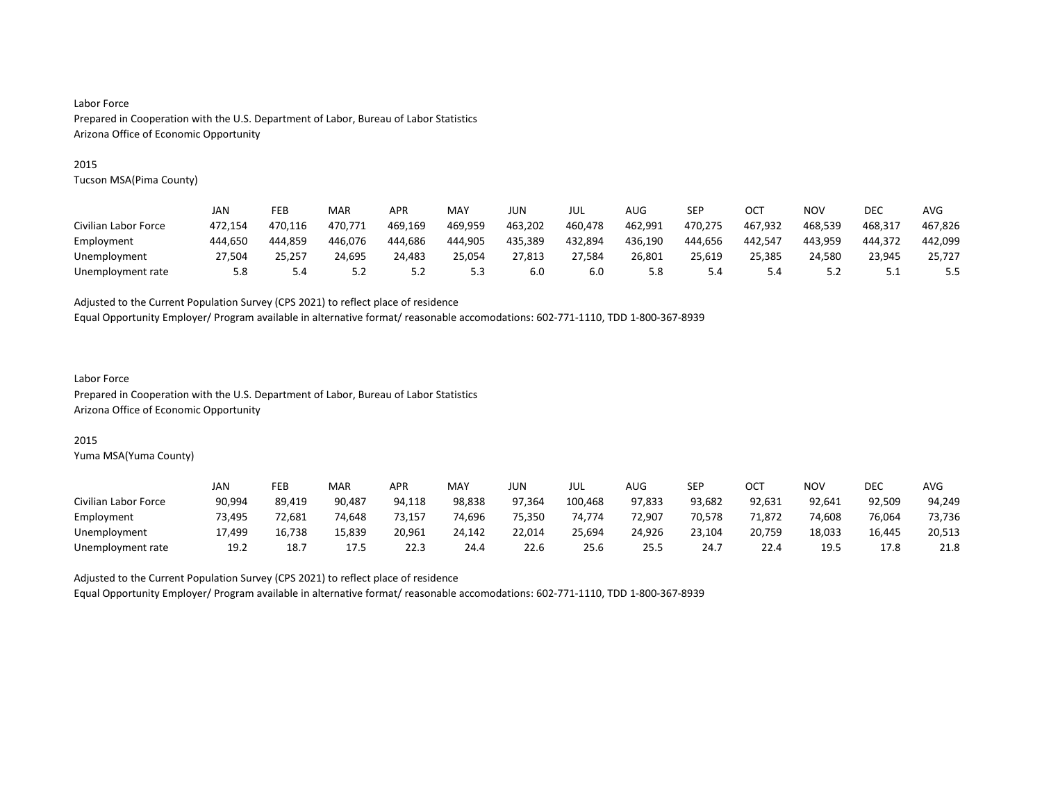#### 2015

Tucson MSA(Pima County)

|                      | JAN     | FEB     | MAR     | <b>APR</b> | MAY     | JUN     | JUL     | AUG     | SEP     | OCT     | NOV     | DEC     | AVG     |
|----------------------|---------|---------|---------|------------|---------|---------|---------|---------|---------|---------|---------|---------|---------|
| Civilian Labor Force | 472.154 | 470.116 | 470.771 | 469.169    | 469.959 | 463.202 | 460.478 | 462.991 | 470.275 | 467.932 | 468.539 | 468.317 | 467.826 |
| Employment           | 444.650 | 444.859 | 446.076 | 444.686    | 444,905 | 435.389 | 432,894 | 436.190 | 444,656 | 442.547 | 443.959 | 444.372 | 442,099 |
| Unemployment         | 27.504  | 25.257  | 24.695  | 24.483     | 25.054  | 27.813  | 27.584  | 26.801  | 25.619  | 25.385  | 24.580  | 23.945  | 25.727  |
| Unemployment rate    | 5.8     | 5.4     | 5.2     | 5.2        | 5.3     | 6.0     | 6.0     | 5.8     | 5.4     | 5.4     | 5.2     | ـ . ـ   | 5.5     |

Adjusted to the Current Population Survey (CPS 2021) to reflect place of residence

Equal Opportunity Employer/ Program available in alternative format/ reasonable accomodations: 602-771-1110, TDD 1-800-367-8939

# Labor Force

Prepared in Cooperation with the U.S. Department of Labor, Bureau of Labor Statistics Arizona Office of Economic Opportunity

## 2015

Yuma MSA(Yuma County)

|                      | JAN    | FEB    | MAR    | <b>APR</b> | MAY    | JUN    | JUL     | AUG           | SEP    | OCT    | NO٧    | <b>DEC</b> | <b>AVG</b> |
|----------------------|--------|--------|--------|------------|--------|--------|---------|---------------|--------|--------|--------|------------|------------|
| Civilian Labor Force | 90,994 | 89.419 | 90.487 | 94.118     | 98,838 | 97.364 | 100,468 | 97,833        | 93.682 | 92,631 | 92.641 | 92.509     | 94,249     |
| Employment           | 73,495 | 72,681 | 74.648 | 73,157     | 74,696 | 75,350 | 74.774  | 72,907        | 70.578 | 71,872 | 74,608 | 76,064     | 73,736     |
| Unemployment         | 17.499 | 16.738 | 15.839 | 20,961     | 24.142 | 22,014 | 25.694  | 24.926        | 23.104 | 20,759 | 18.033 | 16,445     | 20,513     |
| Unemployment rate    | 19.2   | 18.7   | 17.5   | 22.3       | 24.4   | 22.6   | 25.6    | $- -$<br>25.5 | 24.7   | 22.4   | 19.5   | 17.8       | 21.8       |

Adjusted to the Current Population Survey (CPS 2021) to reflect place of residence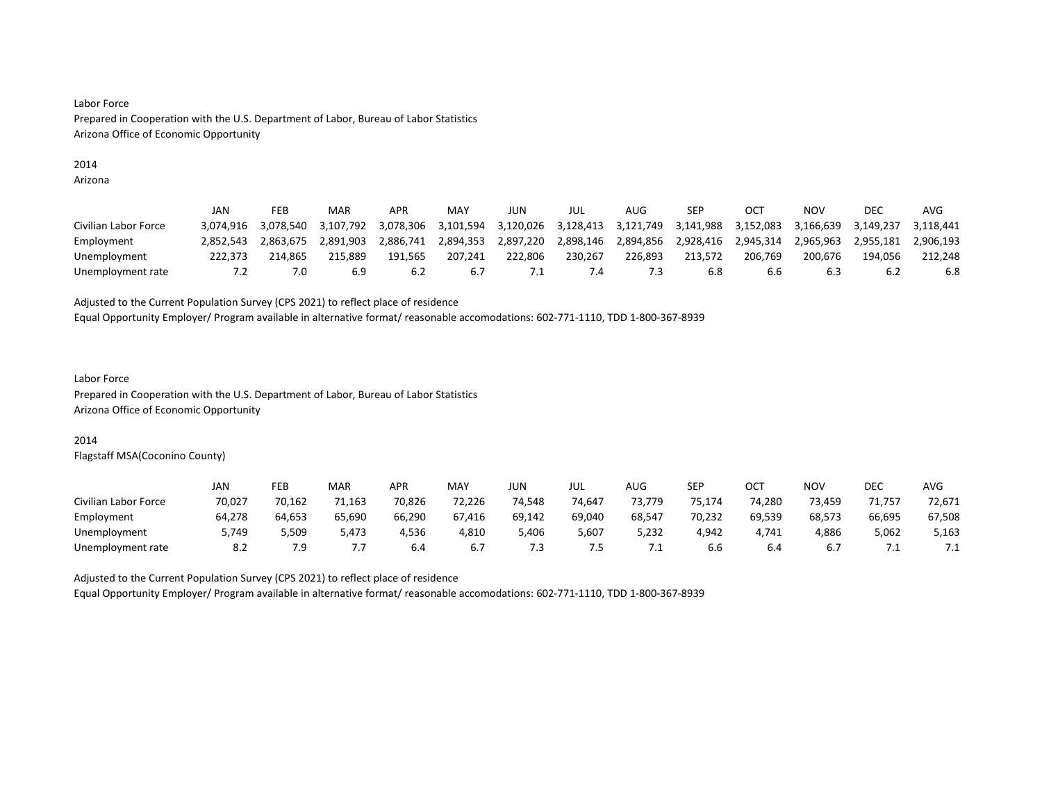# 2014

Arizona

|                      | JAN       | FEB       | MAR       | APR       | MAY       | JUN       | JUL       | AUG       | SEP       | OCT       | NOV       | DEC       | AVG       |
|----------------------|-----------|-----------|-----------|-----------|-----------|-----------|-----------|-----------|-----------|-----------|-----------|-----------|-----------|
| Civilian Labor Force | 3.074.916 | 3.078.540 | 3.107.792 | 3.078.306 | 3.101.594 | 3,120,026 | 3,128,413 | 3,121,749 | 3.141.988 | 3.152.083 | 3.166.639 | 3.149.237 | 3.118.441 |
| Employment           | 2.852.543 | 2.863.675 | 2.891.903 | 2.886.741 | 2.894.353 | 2.897.220 | 2,898,146 | 2.894.856 | 2.928.416 | 2.945.314 | 2.965.963 | 2.955.181 | 2.906.193 |
| Unemployment         | 222.373   | 214.865   | 215.889   | 191.565   | 207.241   | 222.806   | 230.267   | 226.893   | 213.572   | 206.769   | 200.676   | 194.056   | 212.248   |
| Unemployment rate    | 7.2       | 7.0       | 6.9       | 6.2       | 6.7       | ٠.        | 4. /      |           | 6.8       | 6.6       | 6.3       | 6.2       | 6.8       |

Adjusted to the Current Population Survey (CPS 2021) to reflect place of residence

Equal Opportunity Employer/ Program available in alternative format/ reasonable accomodations: 602-771-1110, TDD 1-800-367-8939

#### Labor Force Prepared in Cooperation with the U.S. Department of Labor, Bureau of Labor Statistics Arizona Office of Economic Opportunity

#### 2014

Flagstaff MSA(Coconino County)

|                      | JAN    | FEB    | MAR    | <b>APR</b> | MAY    | <b>JUN</b> | JUL    | AUG    | SEP    | ост    | NO٧    | <b>DEC</b> | AVG    |
|----------------------|--------|--------|--------|------------|--------|------------|--------|--------|--------|--------|--------|------------|--------|
| Civilian Labor Force | 70,027 | 70.162 | 71,163 | 70,826     | 72,226 | 74.548     | 74.647 | 73.779 | 75.174 | 74,280 | 73.459 | 71,757     | 72,671 |
| Employment           | 64.278 | 64,653 | 65.690 | 66,290     | 67,416 | 69,142     | 69.040 | 68,547 | 70.232 | 69,539 | 68,573 | 66,695     | 67,508 |
| Unemployment         | 5.749  | 5.509  | 5.473  | 4.536      | 4,810  | 5.406      | 5,607  | 5,232  | 4.942  | 4.741  | 4,886  | 5,062      | 5,163  |
| Unemployment rate    | 8.2    | 7.9    | .      | 6.4        | 6.7    | د.         | ט.     | . .    | b.b    | b.4    | 6.7    | $\cdot$    | ـــ    |

Adjusted to the Current Population Survey (CPS 2021) to reflect place of residence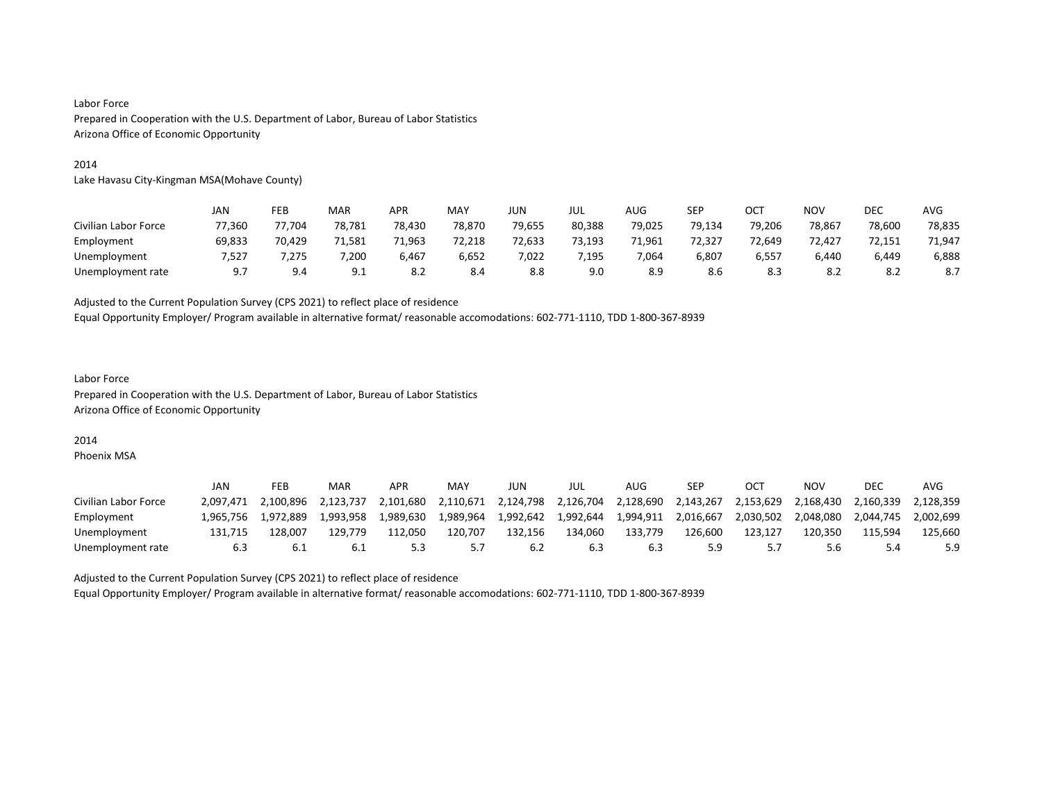#### 2014

Lake Havasu City-Kingman MSA(Mohave County)

|                      | JAN    | FEB    | MAR    | APR    | MAY    | <b>JUN</b> | JUL    | AUG    | <b>SEP</b> | OCT    | <b>NOV</b> | <b>DEC</b> | AVG    |
|----------------------|--------|--------|--------|--------|--------|------------|--------|--------|------------|--------|------------|------------|--------|
| Civilian Labor Force | 77,360 | 77.704 | 78,781 | 78,430 | 78,870 | 79,655     | 80,388 | 79,025 | 79.134     | 79,206 | 78,867     | 78,600     | 78,835 |
| Employment           | 69,833 | 70.429 | 71.581 | 71,963 | 72,218 | 72,633     | 73.193 | 71.961 | 72.327     | 72.649 | 72.427     | 72.151     | 71.947 |
| Unemployment         | 7,527  | 7,275  | 7,200  | 6,467  | 6,652  | 7,022      | 1,195  | 7,064  | 6,807      | 6,557  | 6,440      | 6,449      | 6,888  |
| Unemployment rate    | 9.7    | 9.4    | 9.1    | 8.2    | 8.4    | 8.8        | 9.0    | 8.9    | 8.6        | 8.3    | 8.2        | 8.2        | 8.7    |

Adjusted to the Current Population Survey (CPS 2021) to reflect place of residence

Equal Opportunity Employer/ Program available in alternative format/ reasonable accomodations: 602-771-1110, TDD 1-800-367-8939

# Labor Force Prepared in Cooperation with the U.S. Department of Labor, Bureau of Labor Statistics Arizona Office of Economic Opportunity

#### 2014

Phoenix MSA

|                      | JAN       | FEB       | MAR       | APR       | MAY       | JUN       | JUL       | AUG       | SEP       | ОС        | NOV       | DEC       | AVG       |
|----------------------|-----------|-----------|-----------|-----------|-----------|-----------|-----------|-----------|-----------|-----------|-----------|-----------|-----------|
| Civilian Labor Force | 2.097.471 | 2.100.896 | 2.123.737 | 2.101.680 | 2.110.671 | 2,124,798 | 2.126.704 | 2.128.690 | 2.143.267 | 2.153.629 | 2.168.430 | 2.160.339 | 2.128.359 |
| Employment           | 1.965.756 | 1.972.889 | 1.993.958 | 1.989.630 | 1.989.964 | 1.992.642 | 1.992.644 | 1.994.911 | 2.016.667 | 2.030.502 | 2.048.080 | 2.044.745 | 2.002.699 |
| Unemployment         | 131.715   | 128.007   | 129.779   | 112.050   | 120.707   | 132.156   | 134.060   | 133.779   | 126.600   | 123.127   | 120.350   | 115.594   | 125.660   |
| Unemployment rate    | 6.3       |           | 6.1       |           |           | 6.2       | 6.3       | 6.3       | 5.9       |           | 5.6       |           | 5.9       |

Adjusted to the Current Population Survey (CPS 2021) to reflect place of residence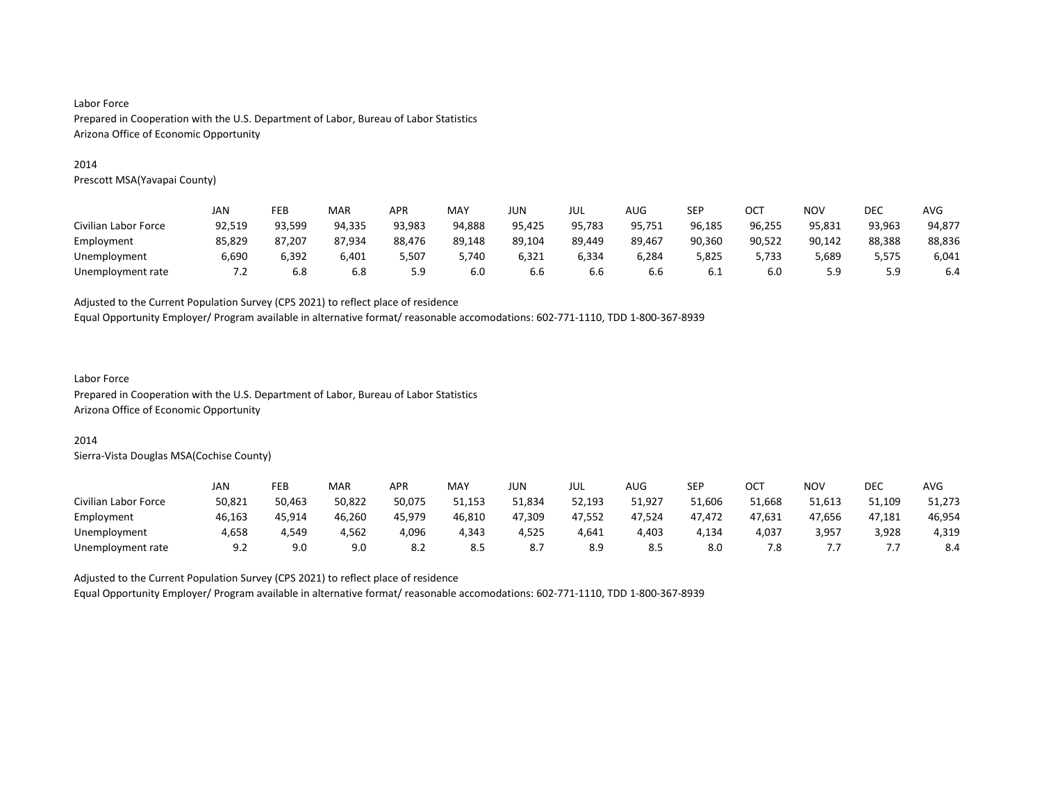#### 2014

Prescott MSA(Yavapai County)

|                      | JAN    | FEB    | MAR    | APR    | <b>MAY</b> | JUN    | JUL    | AUG    | SEP    | OC1    | <b>NOV</b> | DEC    | AVG    |
|----------------------|--------|--------|--------|--------|------------|--------|--------|--------|--------|--------|------------|--------|--------|
| Civilian Labor Force | 92,519 | 93,599 | 94,335 | 93,983 | 94,888     | 95,425 | 95,783 | 95,751 | 96,185 | 96,255 | 95,831     | 93,963 | 94,877 |
| Employment           | 85,829 | 87.207 | 87.934 | 88,476 | 89,148     | 89,104 | 89,449 | 89,467 | 90,360 | 90,522 | 90,142     | 88,388 | 88,836 |
| Unemployment         | 6,690  | 6,392  | 6,401  | 5,507  | 5,740      | 6,321  | 6,334  | 6,284  | 5,825  | 5,733  | 5,689      | 5,575  | 6,041  |
| Unemployment rate    | 7.2    | 6.8    | 6.8    | 5.9    | 6.0        | 6.6    | 6.6    | 6.6    | 6.1    | 6.0    | 5.9        | 59<br> | 6.4    |

Adjusted to the Current Population Survey (CPS 2021) to reflect place of residence

Equal Opportunity Employer/ Program available in alternative format/ reasonable accomodations: 602-771-1110, TDD 1-800-367-8939

# Labor Force

Prepared in Cooperation with the U.S. Department of Labor, Bureau of Labor Statistics Arizona Office of Economic Opportunity

#### 2014

Sierra-Vista Douglas MSA(Cochise County)

|                      | JAN    | FEB    | MAR    | <b>APR</b> | <b>MAY</b> | JUN.   | JUL    | <b>AUG</b> | <b>SEP</b> | ∩∩⊤<br>UC. | <b>NOV</b> | <b>DEC</b> | <b>AVG</b> |
|----------------------|--------|--------|--------|------------|------------|--------|--------|------------|------------|------------|------------|------------|------------|
| Civilian Labor Force | 50,821 | 50.463 | 50,822 | 50.075     | 51.153     | 51.834 | 52,193 | 51,927     | 51.606     | 51.668     | 51.613     | 51,109     | 51,273     |
| Employment           | 46,163 | 45,914 | 46,260 | 45.979     | 46,810     | 47,309 | 47,552 | 47,524     | 47.472     | 47,631     | 47,656     | 47,181     | 46,954     |
| Unemployment         | 4.658  | 4.549  | 4.562  | 4,096      | 4.343      | 4.525  | 4.641  | 4.403      | 4.134      | 4.037      | 3,957      | 3,928      | 4,319      |
| Unemployment rate    | 9.2    | 9.0    | 9.0    | 8.2        | 8.5        | ٥.,    | 8.9    | 8.5        | 8.0        | 7.8        |            |            | 8.4        |

Adjusted to the Current Population Survey (CPS 2021) to reflect place of residence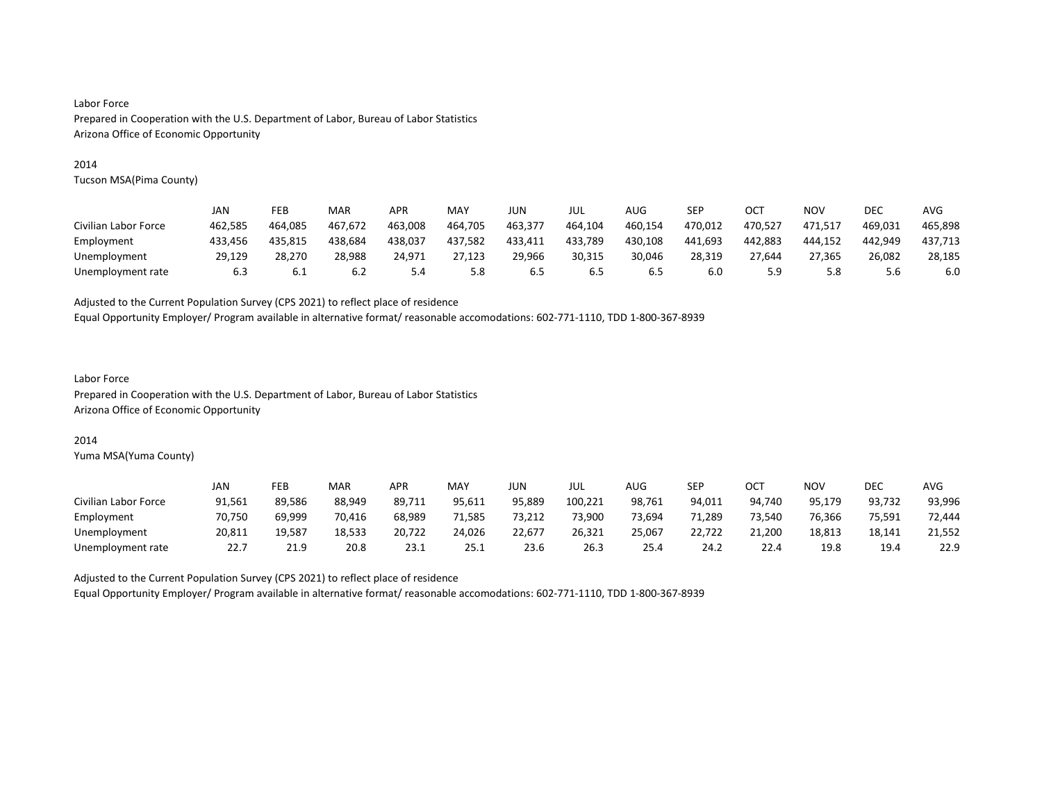#### 2014

Tucson MSA(Pima County)

|                      | JAN     | FEB     | MAR     | APR     | MAY     | JUN     | JUL     | AUG     | SEP     | OC1     | NOV     | DEC     | AVG     |
|----------------------|---------|---------|---------|---------|---------|---------|---------|---------|---------|---------|---------|---------|---------|
| Civilian Labor Force | 462.585 | 464.085 | 467.672 | 463.008 | 464,705 | 463,377 | 464,104 | 460.154 | 470,012 | 470.527 | 471,517 | 469.031 | 465.898 |
| Employment           | 433.456 | 435.815 | 438.684 | 438,037 | 437,582 | 433,411 | 433,789 | 430,108 | 441.693 | 442.883 | 444.152 | 442.949 | 437,713 |
| Unemployment         | 29.129  | 28.270  | 28.988  | 24.971  | 27.123  | 29.966  | 30.315  | 30.046  | 28.319  | 27.644  | 27.365  | 26.082  | 28.185  |
| Unemployment rate    | 6.3     | 6.1     | 6.2     | 5.4     | 5.8     | 6.5     | 6.5     | 6.5     | 6.0     | 5.9     | 5.8     | 5.6     | 6.0     |

Adjusted to the Current Population Survey (CPS 2021) to reflect place of residence

Equal Opportunity Employer/ Program available in alternative format/ reasonable accomodations: 602-771-1110, TDD 1-800-367-8939

#### Labor Force Prepared in Cooperation with the U.S. Department of Labor, Bureau of Labor Statistics Arizona Office of Economic Opportunity

#### 2014

Yuma MSA(Yuma County)

|                      | JAN    | FEB    | MAR    | <b>APR</b> | MAY    | JUN    | JUL     | AUG                      | SEP    | OCT    | NO٧    | <b>DEC</b> | <b>AVG</b> |
|----------------------|--------|--------|--------|------------|--------|--------|---------|--------------------------|--------|--------|--------|------------|------------|
| Civilian Labor Force | 91,561 | 89.586 | 88,949 | 89,711     | 95,611 | 95,889 | 100,221 | 98,761                   | 94,011 | 94.740 | 95,179 | 93,732     | 93,996     |
| Employment           | 70,750 | 69,999 | 70,416 | 68,989     | 71,585 | 73,212 | 73,900  | 73,694                   | 71,289 | 73.540 | 76,366 | 75,591     | 72,444     |
| Unemployment         | 20.811 | 19.587 | 18.533 | 20.722     | 24.026 | 22,677 | 26,321  | 25,067                   | 22.722 | 21.200 | 18,813 | 18,141     | 21.552     |
| Unemployment rate    | 22.    | 21.9   | 20.8   | 23.1       | 25.1   | 23.6   | 26.3    | $\overline{a} =$<br>25.4 | 24.2   | 22.4   | 19.8   | 19.4       | 22.9       |

Adjusted to the Current Population Survey (CPS 2021) to reflect place of residence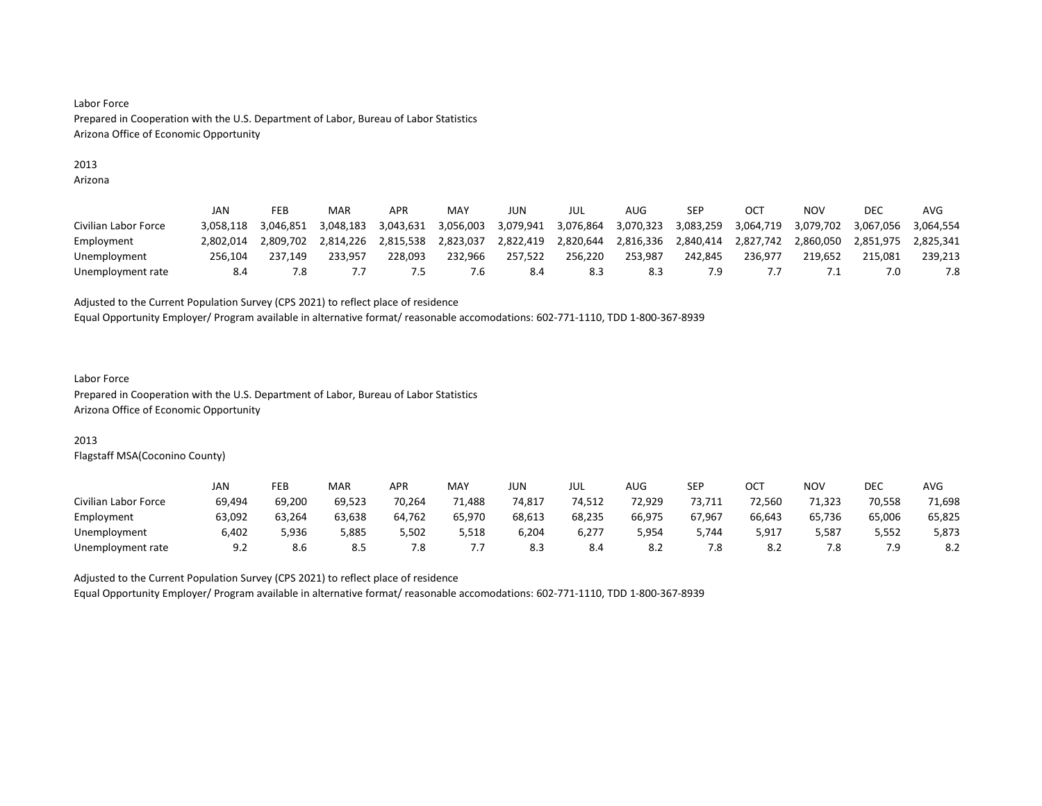# 2013

Arizona

|                      | JAN       | FEB       | MAR       | APR       | MAY       | JUN       | JUL       | AUG       | <b>SEP</b> | OC <sup>7</sup> | ΝΟν       | DEC       | AVG       |
|----------------------|-----------|-----------|-----------|-----------|-----------|-----------|-----------|-----------|------------|-----------------|-----------|-----------|-----------|
| Civilian Labor Force | 3.058.118 | 3.046.851 | 3.048.183 | 3.043.631 | 3,056,003 | 3,079,941 | 3,076,864 | 3,070,323 | 3,083,259  | 3,064,719       | 3,079,702 | 3.067.056 | 3.064.554 |
| Employment           | 2.802.014 | 2.809.702 | 2.814.226 | 2.815.538 | 2,823,037 | 2,822,419 | 2,820,644 | 2,816,336 | 2,840,414  | 2,827,742       | 2.860.050 | 2,851,975 | 2.825.341 |
| Unemployment         | 256.104   | 237.149   | 233.957   | 228.093   | 232.966   | 257.522   | 256.220   | 253.987   | 242.845    | 236.977         | 219.652   | 215.081   | 239.213   |
| Unemployment rate    | 8.4       |           |           |           | .ხ        | 8.4       | 8.3       | 8.3       | 7.9        |                 | . .       |           |           |

Adjusted to the Current Population Survey (CPS 2021) to reflect place of residence

Equal Opportunity Employer/ Program available in alternative format/ reasonable accomodations: 602-771-1110, TDD 1-800-367-8939

#### Labor Force Prepared in Cooperation with the U.S. Department of Labor, Bureau of Labor Statistics Arizona Office of Economic Opportunity

## 2013

Flagstaff MSA(Coconino County)

|                      | JAN    | FEB    | MAR    | <b>APR</b> | MAY    | <b>JUN</b> | JUL    | AUG    | SEP    | OCT    | NO۱    | DEC    | <b>AVG</b> |
|----------------------|--------|--------|--------|------------|--------|------------|--------|--------|--------|--------|--------|--------|------------|
| Civilian Labor Force | 69,494 | 69.200 | 69,523 | 70,264     | 1,488  | 74,817     | 74.512 | 72.929 | 73,711 | 72.560 | 71.323 | 70,558 | 71,698     |
| Employment           | 63,092 | 63,264 | 63,638 | 64,762     | 65,970 | 68,613     | 68,235 | 66,975 | 67.967 | 66,643 | 65,736 | 65,006 | 65,825     |
| Unemployment         | 6,402  | 5,936  | 5,885  | 5,502      | 5,518  | 6,204      | 6,277  | 5,954  | 5.744  | 5,917  | 5,587  | 5,552  | 5,873      |
| Unemployment rate    | 9.2    | 8.6    | 8.5    | 7.8        | .      | 8.3        | 8.4    | 8.2    | 7.8    | 8.2    | 7.8    | 7.9    | 8.2        |

Adjusted to the Current Population Survey (CPS 2021) to reflect place of residence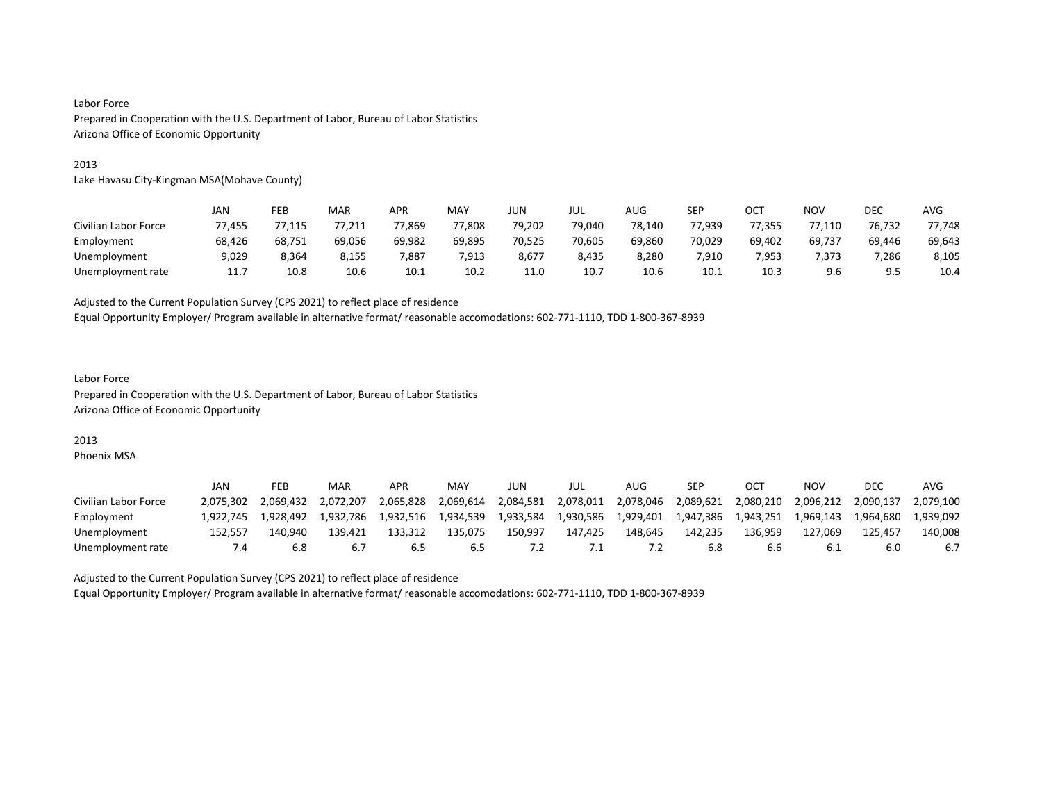#### 2013

Lake Havasu City-Kingman MSA(Mohave County)

|                      | JAN    | FEB    | MAR    | APR    | MAY    | <b>JUN</b> | JUL    | AUG    | SEP    | OCT    | <b>NOV</b> | <b>DEC</b> | AVG    |
|----------------------|--------|--------|--------|--------|--------|------------|--------|--------|--------|--------|------------|------------|--------|
| Civilian Labor Force | 77,455 | 7,115  | 77,211 | 77,869 | 77,808 | 79,202     | 79.040 | 78,140 | 77.939 | 77.355 | 77,110     | 76,732     | 77,748 |
| Employment           | 68,426 | 68.751 | 69.056 | 69.982 | 69.895 | 70,525     | 70.605 | 69.860 | 70.029 | 69.402 | 69,737     | 69,446     | 69,643 |
| Unemployment         | 9,029  | 8,364  | 8,155  | 7,887  | 7,913  | 8,677      | 8,435  | 8,280  | 7,910  | 7,953  | 7,373      | 7,286      | 8,105  |
| Unemployment rate    | 11.7   | 10.8   | 10.6   | 10.1   | 10.2   | 11.0       | 10.7   | 10.6   | 10.1   | 10.3   | 9.6        |            | 10.4   |

Adjusted to the Current Population Survey (CPS 2021) to reflect place of residence

Equal Opportunity Employer/ Program available in alternative format/ reasonable accomodations: 602-771-1110, TDD 1-800-367-8939

# Labor Force Prepared in Cooperation with the U.S. Department of Labor, Bureau of Labor Statistics Arizona Office of Economic Opportunity

# 2013

Phoenix MSA

|                      | JAN            | FEB       | MAR       | APR       | MAY       | JUN       | JUL       | AUG       | SEP       | OC <sup>T</sup> | ΝΟν       | DEC       | AVG       |
|----------------------|----------------|-----------|-----------|-----------|-----------|-----------|-----------|-----------|-----------|-----------------|-----------|-----------|-----------|
| Civilian Labor Force | 2.075.302      | 2.069.432 | 2.072.207 | 2.065.828 | 2,069,614 | 2,084,581 | 2,078,011 | 2,078,046 | 2,089,621 | 2,080,210       | 2,096,212 | 2.090.137 | 2.079.100 |
| Employment           | 1.922.745      | 1.928.492 | 1.932.786 | 1.932.516 | 1.934.539 | 1.933.584 | 1,930,586 | 1,929,401 | 1.947.386 | 1.943.251       | 1.969.143 | 1.964.680 | 1.939.092 |
| Unemployment         | 152.557        | 140.940   | 139.421   | 133.312   | 135.075   | 150.997   | 147.425   | 148.645   | 142.235   | 136.959         | 127.069   | 125.457   | 140.008   |
| Unemployment rate    | $^{\prime}$ .4 | 6.8       |           |           | 6.5       |           | ۰.        |           | 6.8       | b.b             | 6.1       | 6.C       | 6.7       |

Adjusted to the Current Population Survey (CPS 2021) to reflect place of residence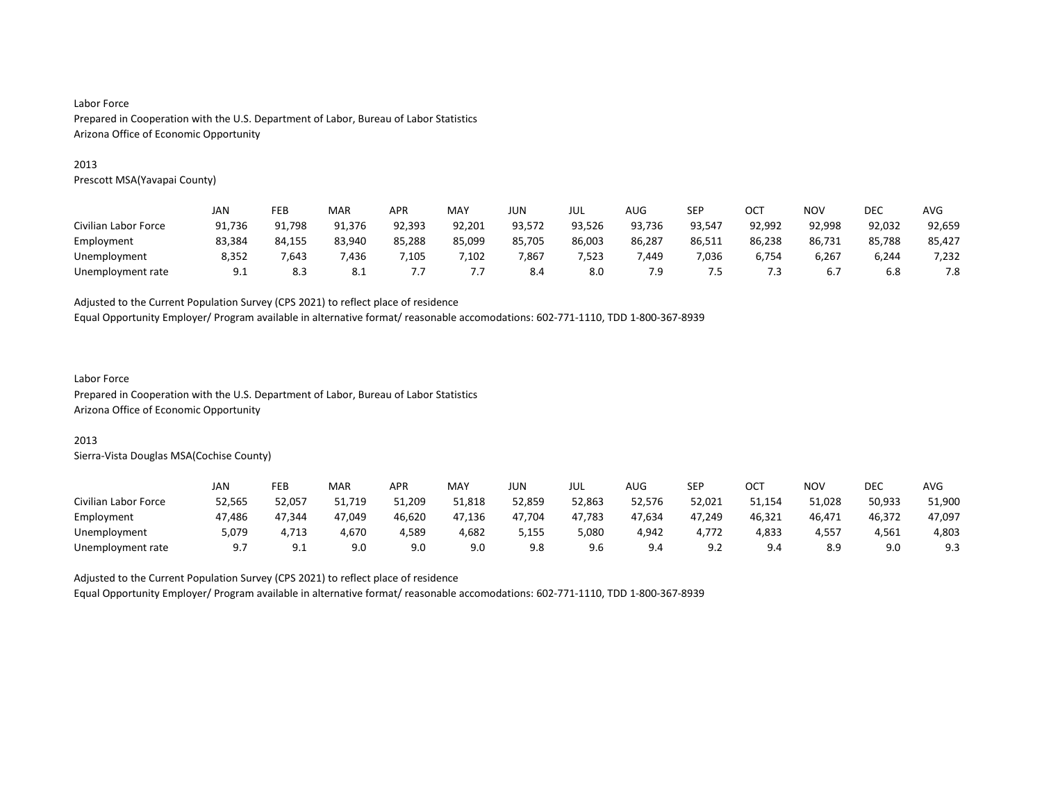#### 2013

Prescott MSA(Yavapai County)

|                      | JAN    | FEB    | MAR    | APR    | MAY    | JUN    | JUL    | AUG    | SEP    | ост    | <b>NOV</b> | DEC    | <b>AVG</b> |
|----------------------|--------|--------|--------|--------|--------|--------|--------|--------|--------|--------|------------|--------|------------|
| Civilian Labor Force | 91,736 | 91,798 | 91,376 | 92,393 | 92,201 | 93,572 | 93,526 | 93,736 | 93,547 | 92,992 | 92,998     | 92,032 | 92,659     |
| Employment           | 83.384 | 84.155 | 83.940 | 85.288 | 85.099 | 85.705 | 86.003 | 86.287 | 86,511 | 86,238 | 86,731     | 85,788 | 85,427     |
| Unemployment         | 8,352  | .643   | 7,436  | ,105   | ,102   | 7,867  | 7,523  | 7.449  | 7,036  | 6,754  | 6,267      | 6,244  | 7,232      |
| Unemployment rate    | 9.1    | 8.3    | 8.1    | .      | ,,,    | 8.4    | 8.0    | 7.9    | 7.5    | 7.3    | 6.7        | 6.8    | 7.8        |

Adjusted to the Current Population Survey (CPS 2021) to reflect place of residence

Equal Opportunity Employer/ Program available in alternative format/ reasonable accomodations: 602-771-1110, TDD 1-800-367-8939

# Labor Force

Prepared in Cooperation with the U.S. Department of Labor, Bureau of Labor Statistics Arizona Office of Economic Opportunity

#### 2013

Sierra-Vista Douglas MSA(Cochise County)

|                      | JAN       | FEB      | MAR    | <b>APR</b> | MAY    | JUN    | JUL    | AUG    | SEP    | OCT    | NO۱    | DEC    | <b>AVG</b> |
|----------------------|-----------|----------|--------|------------|--------|--------|--------|--------|--------|--------|--------|--------|------------|
| Civilian Labor Force | 52,565    | 52,057   | 51,719 | 51,209     | 51,818 | 52,859 | 52,863 | 52,576 | 52,021 | 51,154 | 51,028 | 50,933 | 51,900     |
| Employment           | 47,486    | 47.344   | 47.049 | 46,620     | 47,136 | 47.704 | 47,783 | 47,634 | 47,249 | 46,321 | 46,471 | 46,372 | 47,097     |
| Unemployment         | 5.079     | 4.713    | 4,670  | 4.589      | 4,682  | 5,155  | 5,080  | 4,942  | 4.772  | 4,833  | 4,557  | 4.561  | 4,803      |
| Unemployment rate    | <u>.,</u> | <u>.</u> | 9.0    | 9.0        | 9.0    | 9.8    | 9.6    | 9.4    | 9.2    | 9.4    | 8.9    | 9.0    | 9.3        |

Adjusted to the Current Population Survey (CPS 2021) to reflect place of residence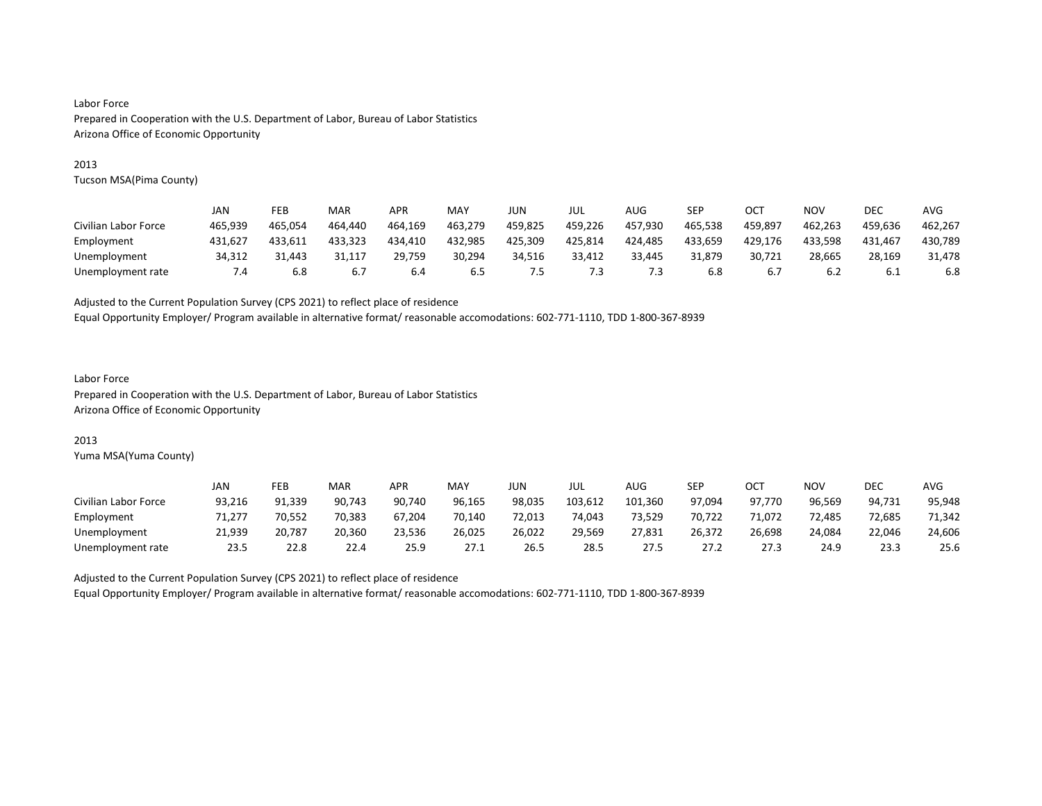#### 2013

Tucson MSA(Pima County)

|                      | JAN     | FEB     | MAR     | <b>APR</b> | MAY     | JUN     | jul     | AUG     | SEP     | OC1     | NOV     | DEC     | AVG     |
|----------------------|---------|---------|---------|------------|---------|---------|---------|---------|---------|---------|---------|---------|---------|
| Civilian Labor Force | 465.939 | 465.054 | 464.440 | 464,169    | 463,279 | 459,825 | 459,226 | 457.930 | 465,538 | 459.897 | 462,263 | 459.636 | 462,267 |
| Employment           | 431.627 | 433.611 | 433.323 | 434.410    | 432,985 | 425.309 | 425.814 | 424.485 | 433,659 | 429,176 | 433.598 | 431.467 | 430,789 |
| Unemployment         | 34.312  | 31.443  | 31.117  | 29.759     | 30.294  | 34.516  | 33.412  | 33.445  | 31.879  | 30.721  | 28.665  | 28.169  | 31.478  |
| Unemployment rate    | 4. ا    | 6.8     | 6.7     | 6.4        | 6.5     | ט.      | ٠.૩     | د.'     | 6.8     | 6.7     | 6.2     | 6.1     | 6.8     |

Adjusted to the Current Population Survey (CPS 2021) to reflect place of residence

Equal Opportunity Employer/ Program available in alternative format/ reasonable accomodations: 602-771-1110, TDD 1-800-367-8939

#### Labor Force Prepared in Cooperation with the U.S. Department of Labor, Bureau of Labor Statistics Arizona Office of Economic Opportunity

#### 2013

Yuma MSA(Yuma County)

|                      | JAN    | FEB    | MAR    | <b>APR</b> | MAY    | JUN    | JUL     | AUG     | SEP    | OCT    | <b>NOV</b> | <b>DEC</b> | <b>AVG</b> |
|----------------------|--------|--------|--------|------------|--------|--------|---------|---------|--------|--------|------------|------------|------------|
| Civilian Labor Force | 93,216 | 91,339 | 90,743 | 90.740     | 96,165 | 98,035 | 103,612 | 101,360 | 97.094 | 97.770 | 96,569     | 94.731     | 95,948     |
| Employment           | 71,277 | 70,552 | 70,383 | 67,204     | 70,140 | 72,013 | 74,043  | 73,529  | 70,722 | 71,072 | 72,485     | 72,685     | 71,342     |
| Unemployment         | 21.939 | 20.787 | 20.360 | 23.536     | 26.025 | 26,022 | 29.569  | 27.831  | 26,372 | 26,698 | 24.084     | 22.046     | 24,606     |
| Unemployment rate    | 23.5   | 22.8   | 22.4   | 25.9       | 27.1   | 26.5   | 28.5    | 27.5    | 27.2   | 27.3   | 24.9       | 23.3       | 25.6       |

Adjusted to the Current Population Survey (CPS 2021) to reflect place of residence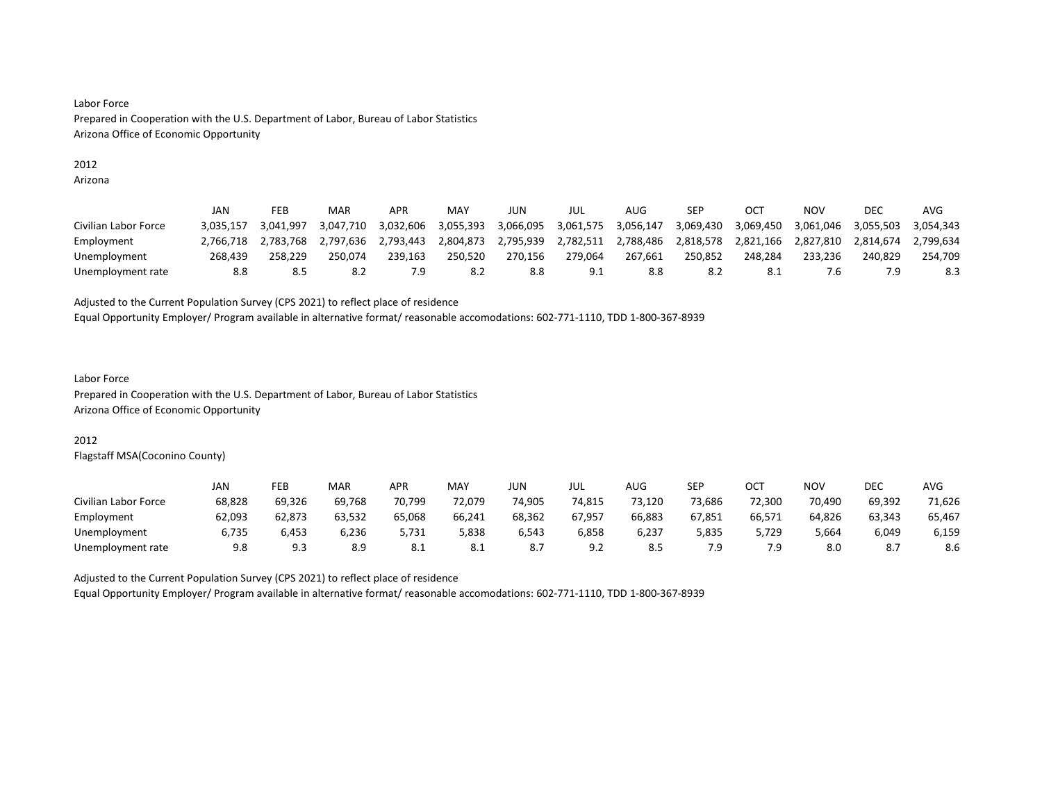#### 2012

Arizona

|                      | JAN       | FEB       | MAR       | <b>APR</b> | MAY       | JUN       | JUL       | AUG       | SEP       | OC.       | <b>NOV</b> | DEC       | AVG       |
|----------------------|-----------|-----------|-----------|------------|-----------|-----------|-----------|-----------|-----------|-----------|------------|-----------|-----------|
| Civilian Labor Force | 3.035.157 | 3.041.997 | 3.047.710 | 3.032.606  | 3,055,393 | 3,066,095 | 3,061,575 | 3.056.147 | 3.069.430 | 3.069.450 | 3.061.046  | 3.055.503 | 3.054.343 |
| Employment           | 2.766.718 | 2.783.768 | 2.797.636 | 2.793.443  | 2.804.873 | 2.795.939 | 2.782.511 | 2.788.486 | 2.818.578 | 2.821.166 | 2.827.810  | 2.814.674 | 2.799.634 |
| Unemployment         | 268.439   | 258.229   | 250.074   | 239.163    | 250.520   | 270.156   | 279.064   | 267.661   | 250.852   | 248.284   | 233.236    | 240.829   | 254.709   |
| Unemployment rate    | 8.8       | 8.5       | 8.2       |            | 8.2       | 8.8       | 9.1       | 8.8       | 8.2       | 8.1       | 7.6        |           | 8.3       |

Adjusted to the Current Population Survey (CPS 2021) to reflect place of residence

Equal Opportunity Employer/ Program available in alternative format/ reasonable accomodations: 602-771-1110, TDD 1-800-367-8939

#### Labor Force Prepared in Cooperation with the U.S. Department of Labor, Bureau of Labor Statistics Arizona Office of Economic Opportunity

# 2012

Flagstaff MSA(Coconino County)

|                      | JAN    | FEB    | MAR    | <b>APR</b> | MAY        | <b>JUN</b> | JUL    | AUG    | SEP    | OCT    | NO۱    | DEC    | <b>AVG</b> |
|----------------------|--------|--------|--------|------------|------------|------------|--------|--------|--------|--------|--------|--------|------------|
| Civilian Labor Force | 68,828 | 69.326 | 69.768 | 70.799     | 72.079     | 74.905     | 74,815 | 73.120 | 73.686 | 72.300 | 70.490 | 69,392 | 71,626     |
| Employment           | 62,093 | 62,873 | 63,532 | 65,068     | 66,241     | 68,362     | 67.957 | 66,883 | 67,851 | 66,571 | 64,826 | 63,343 | 65,467     |
| Unemployment         | 6,735  | 6,453  | 6.236  | 5.731      | 5,838      | 6,543      | 6,858  | 6,237  | 5,835  | 5.729  | 5,664  | 6,049  | 6,159      |
| Unemployment rate    | 9.8    | ر. ر   | 8.9    | O.L        | <b>8.1</b> |            | 9.2    | 8.5    | 7.9    |        | 8.0    |        | 8.6        |

Adjusted to the Current Population Survey (CPS 2021) to reflect place of residence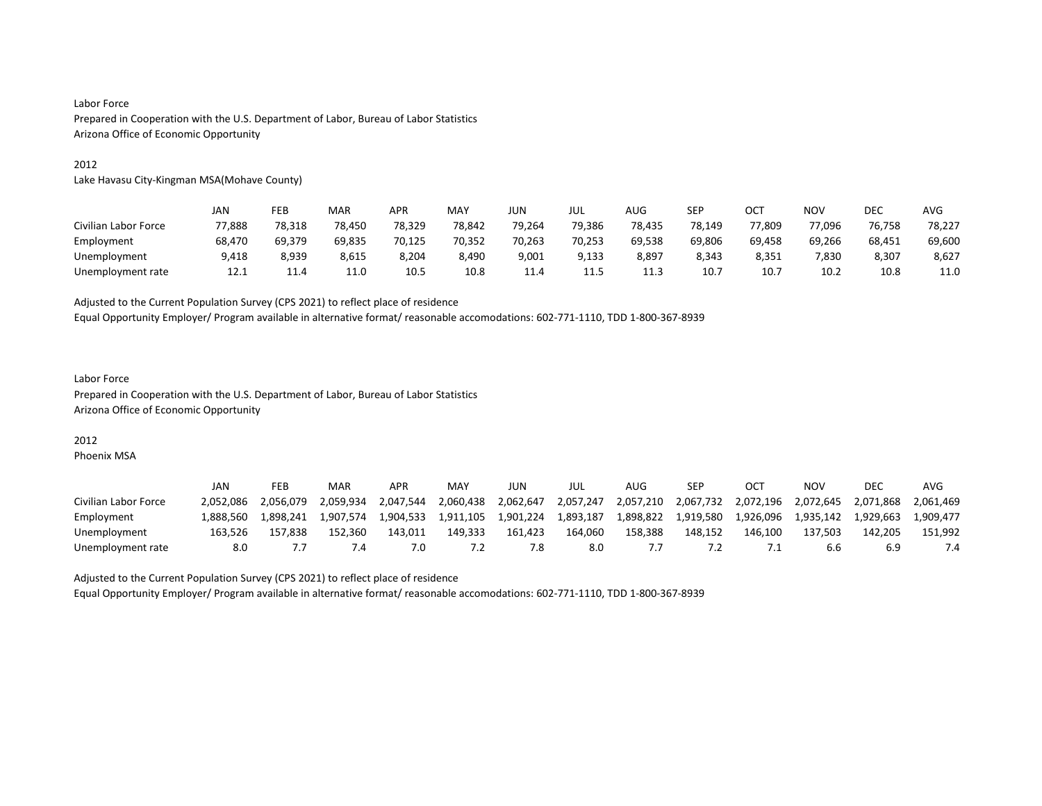#### 2012

Lake Havasu City-Kingman MSA(Mohave County)

|                      | JAN    | FEB    | MAR    | <b>APR</b> | MAY    | <b>JUN</b> | JUL    | AUG    | SEP    | ост    | <b>NOV</b> | <b>DEC</b> | AVG    |
|----------------------|--------|--------|--------|------------|--------|------------|--------|--------|--------|--------|------------|------------|--------|
| Civilian Labor Force | 77,888 | 78,318 | 78,450 | 78,329     | 78.842 | 79,264     | 79,386 | 78.435 | 78.149 | 77,809 | 77,096     | 76,758     | 78,227 |
| Employment           | 68,470 | 69.379 | 69.835 | 70,125     | 70.352 | 70,263     | 70.253 | 69,538 | 69.806 | 69,458 | 69.266     | 68,451     | 69,600 |
| Unemployment         | 9,418  | 8,939  | 8,615  | 8,204      | 8,490  | 9,001      | 9,133  | 8,897  | 8,343  | 8,351  | 7,830      | 8,307      | 8,627  |
| Unemployment rate    | 12.1   | 11.4   | 11.0   | 10.5       | 10.8   | 11.4       | 11.5   | ᆂᆂᇃ    | 10.7   | 10.7   | 10.2       | 10.8       | 11.0   |

Adjusted to the Current Population Survey (CPS 2021) to reflect place of residence

Equal Opportunity Employer/ Program available in alternative format/ reasonable accomodations: 602-771-1110, TDD 1-800-367-8939

#### Labor Force Prepared in Cooperation with the U.S. Department of Labor, Bureau of Labor Statistics Arizona Office of Economic Opportunity

# 2012

Phoenix MSA

|                      | JAN       | FEB       | MAR       | APR       | MAY       | JUN       | JUL       | AUG       | <b>SEP</b> |           | ΝΟν       | DEC       | AVG       |
|----------------------|-----------|-----------|-----------|-----------|-----------|-----------|-----------|-----------|------------|-----------|-----------|-----------|-----------|
| Civilian Labor Force | 2.052.086 | 2.056.079 | 2.059.934 | 2.047.544 | 2.060.438 | 2,062,647 | 2,057,247 | 2,057,210 | 2,067,732  | 2,072,196 | 2,072,645 | 2,071,868 | 2.061.469 |
| Employment           | L.888.560 | 1.898.241 | 1.907.574 | 1.904.533 | 1,911,105 | 1.901.224 | 1.893.187 | 1,898,822 | 1,919,580  | 1.926.096 | 1.935.142 | 1.929.663 | 1.909.477 |
| Unemployment         | 163.526   | 157.838   | 152.360   | 143.011   | 149.333   | 161.423   | 164.060   | 158.388   | 148.152    | 146.100   | 137.503   | 142.205   | 151.992   |
| Unemployment rate    | 8.0       |           | .4        | 7.G       |           |           | 8.0       |           |            |           | b.b       |           |           |

Adjusted to the Current Population Survey (CPS 2021) to reflect place of residence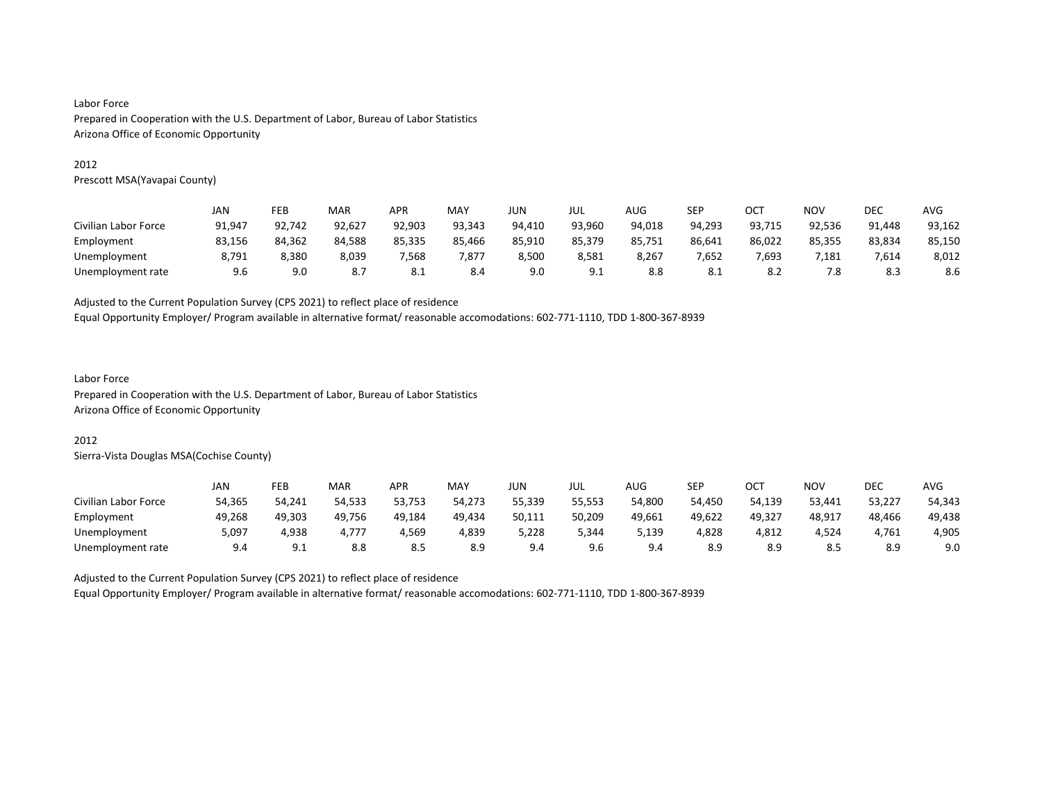#### 2012

Prescott MSA(Yavapai County)

|                      | JAN    | FEB    | MAR    | APR    | <b>MAY</b> | JUN    | JUL    | AUG    | SEP    | OCT    | <b>NOV</b> | DEC    | <b>AVG</b> |
|----------------------|--------|--------|--------|--------|------------|--------|--------|--------|--------|--------|------------|--------|------------|
| Civilian Labor Force | 91,947 | 92,742 | 92,627 | 92,903 | 93,343     | 94,410 | 93,960 | 94,018 | 94,293 | 93,715 | 92,536     | 91,448 | 93,162     |
| Employment           | 83,156 | 84.362 | 84.588 | 85,335 | 85,466     | 85,910 | 85,379 | 85,751 | 86,641 | 86,022 | 85,355     | 83,834 | 85,150     |
| Unemployment         | 8,791  | 8,380  | 8,039  | 568,   | 7,877      | 8,500  | 8,581  | 8,267  | 7,652  | 7,693  | 7,181      | 7,614  | 8,012      |
| Unemployment rate    | 9.6    | 9.0    | 8.7    | 8.1    | 8.4        | 9.0    | 9.1    | 8.8    | 8.1    | 8.2    | 7.8        | 8.3    | 8.6        |

Adjusted to the Current Population Survey (CPS 2021) to reflect place of residence

Equal Opportunity Employer/ Program available in alternative format/ reasonable accomodations: 602-771-1110, TDD 1-800-367-8939

#### Labor Force

Prepared in Cooperation with the U.S. Department of Labor, Bureau of Labor Statistics Arizona Office of Economic Opportunity

# 2012

Sierra-Vista Douglas MSA(Cochise County)

|                      | JAN    | <b>FEB</b>   | <b>MAR</b> | APR    | MAY    | JUN    | JUL    | AUG    | SEP    | ОСТ    | <b>NOV</b> | DEC    | AVG    |
|----------------------|--------|--------------|------------|--------|--------|--------|--------|--------|--------|--------|------------|--------|--------|
| Civilian Labor Force | 54.365 | 54.241       | 54.533     | 53.753 | 54.273 | 55.339 | 55.553 | 54,800 | 54.450 | 54.139 | 53,441     | 53,227 | 54,343 |
| Employment           | 49,268 | 49,303       | 49,756     | 49,184 | 49,434 | 50,111 | 50,209 | 49,661 | 49,622 | 49,327 | 48,917     | 48,466 | 49,438 |
| Unemployment         | 5.097  | 4.938        | 4.777      | 4,569  | 4,839  | 228,د  | 344,د  | 139,د  | 4,828  | 4,812  | 4,524      | 4.761  | 4,905  |
| Unemployment rate    | 9.4    | Q 1<br>ــ. ب | 8.8        | د.ه    | 8.9    | 9.4    | 9.6    | 9.4    | 8.9    | 8.9    | د.ه        | 8.9    | 9.0    |

Adjusted to the Current Population Survey (CPS 2021) to reflect place of residence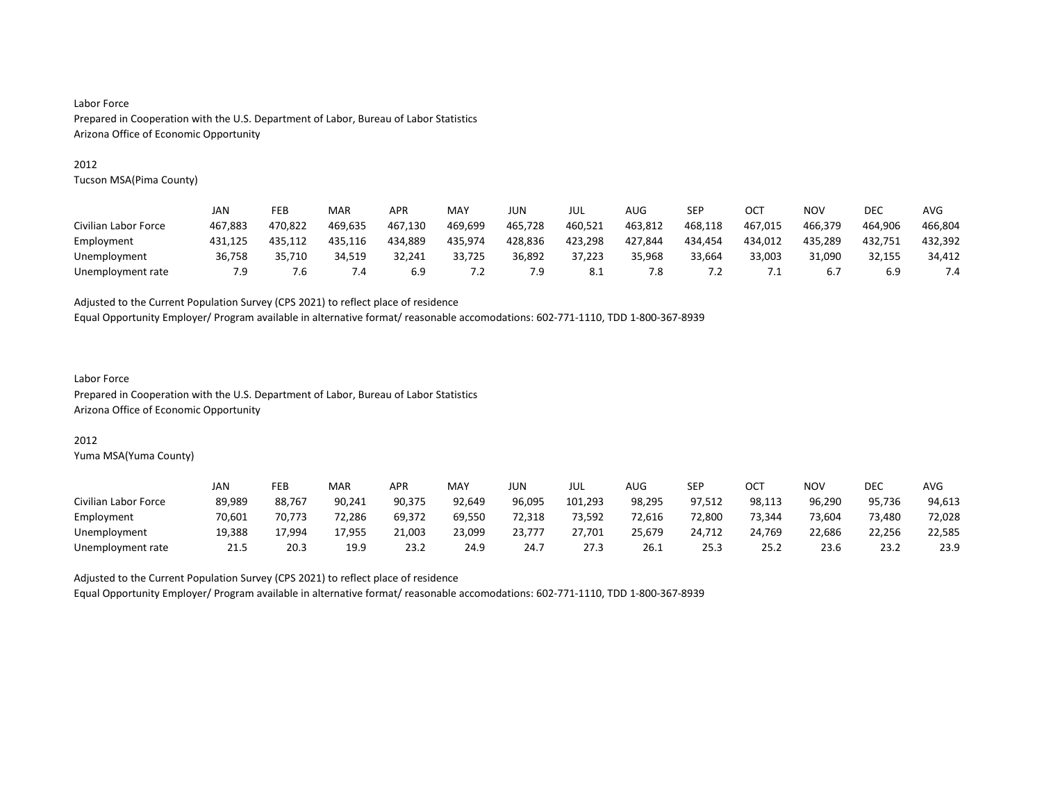#### 2012

Tucson MSA(Pima County)

|                      | JAN     | FEB     | MAR     | APR     | MAY     | JUN     | JUL     | AUG     | SEP     | OCT        | NOV     | DEC     | AVG     |
|----------------------|---------|---------|---------|---------|---------|---------|---------|---------|---------|------------|---------|---------|---------|
| Civilian Labor Force | 467.883 | 470.822 | 469.635 | 467.130 | 469.699 | 465.728 | 460.521 | 463.812 | 468.118 | 467.015    | 466.379 | 464.906 | 466.804 |
| Employment           | 431,125 | 435.112 | 435.116 | 434.889 | 435,974 | 428,836 | 423,298 | 427,844 | 434,454 | 434,012    | 435,289 | 432,751 | 432,392 |
| Unemployment         | 36,758  | 35.710  | 34.519  | 32.241  | 33,725  | 36.892  | 37.223  | 35.968  | 33.664  | 33.003     | 31.090  | 32,155  | 34.412  |
| Unemployment rate    | 7.9     | 1. б    | 4.4     | 6.9     | 7.2     | 7.9     | 8.1     | 7.8     | 7.2     | $\cdot$ 1. | 6.7     | 6.9     | 7.4     |

Adjusted to the Current Population Survey (CPS 2021) to reflect place of residence

Equal Opportunity Employer/ Program available in alternative format/ reasonable accomodations: 602-771-1110, TDD 1-800-367-8939

#### Labor Force Prepared in Cooperation with the U.S. Department of Labor, Bureau of Labor Statistics Arizona Office of Economic Opportunity

#### 2012

Yuma MSA(Yuma County)

|                      | <b>JAN</b> | FEB    | MAR    | <b>APR</b> | MAY    | JUN    | JUL     | AUG    | SEP    | ост    | <b>NOV</b> | <b>DEC</b> | <b>AVG</b> |
|----------------------|------------|--------|--------|------------|--------|--------|---------|--------|--------|--------|------------|------------|------------|
| Civilian Labor Force | 89,989     | 88.767 | 90,241 | 90,375     | 92.649 | 96,095 | 101,293 | 98,295 | 97.512 | 98,113 | 96,290     | 95,736     | 94,613     |
| Employment           | 70,601     | 70.773 | 72,286 | 69,372     | 69,550 | 72,318 | 73,592  | 72,616 | 72,800 | 73,344 | 73,604     | 73,480     | 72,028     |
| Unemployment         | 19.388     | 17.994 | 17.955 | 21,003     | 23.099 | 23,777 | 27.701  | 25,679 | 24.712 | 24.769 | 22,686     | 22.256     | 22,585     |
| Unemployment rate    | 21.5       | 20.3   | 19.9   | 23.2       | 24.9   | 24.7   | 27.3    | 26.1   | 25.3   | 25.2   | 23.6       | 23.2       | 23.9       |

Adjusted to the Current Population Survey (CPS 2021) to reflect place of residence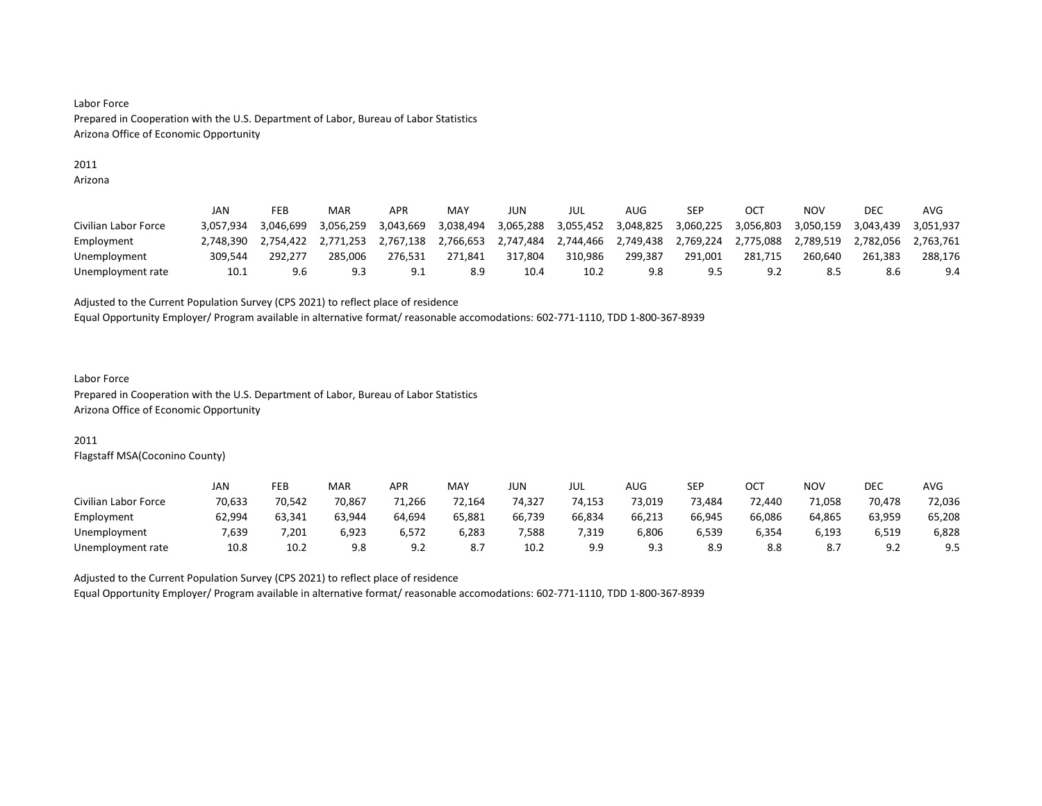### 2011

Arizona

|                      | JAN       | FEB       | MAR       | APR       | MAY       | JUN       | JUL       | AUG       | SEP       | OCT       | NOV       | DEC       | AVG       |
|----------------------|-----------|-----------|-----------|-----------|-----------|-----------|-----------|-----------|-----------|-----------|-----------|-----------|-----------|
| Civilian Labor Force | 3.057.934 | 3.046.699 | 3.056.259 | 3.043.669 | 3.038.494 | 3,065,288 | 3,055,452 | 3.048.825 | 3.060.225 | 3,056,803 | 3.050.159 | 3.043.439 | 3.051.937 |
| Employment           | 2.748.390 | 2.754.422 | 2.771.253 | 2.767.138 | 2.766.653 | 2.747.484 | 2.744.466 | 2.749.438 | 2.769.224 | 2.775.088 | 2.789.519 | 2.782.056 | 2.763.761 |
| Unemployment         | 309.544   | 292.277   | 285.006   | 276.531   | 271.841   | 317.804   | 310.986   | 299.387   | 291.001   | 281.715   | 260.640   | 261.383   | 288.176   |
| Unemployment rate    | 10.1      | 9.6       | 9.3       | 9.1       | 8.9       | 10.4      | 10.2      | 9.8       | 9.5       | 9.7       | 8.5       | 8.6       | 9.4       |

#### Adjusted to the Current Population Survey (CPS 2021) to reflect place of residence

Equal Opportunity Employer/ Program available in alternative format/ reasonable accomodations: 602-771-1110, TDD 1-800-367-8939

#### Labor Force

Prepared in Cooperation with the U.S. Department of Labor, Bureau of Labor Statistics Arizona Office of Economic Opportunity

#### 2011

Flagstaff MSA(Coconino County)

|                      | JAN    | FEB    | MAR    | <b>APR</b> | MAY    | JUN    | JUL    | AUG    | SEP    | OCT    | NO۱    | DEC    | <b>AVG</b> |
|----------------------|--------|--------|--------|------------|--------|--------|--------|--------|--------|--------|--------|--------|------------|
| Civilian Labor Force | 70.633 | 70.542 | 70.867 | 71.266     | 72.164 | 74,327 | 74.153 | 73,019 | 73.484 | 72.440 | 71.058 | 70.478 | 72,036     |
| Employment           | 62,994 | 63,341 | 63,944 | 64,694     | 65,881 | 66,739 | 66,834 | 66,213 | 66,945 | 66,086 | 64,865 | 63,959 | 65,208     |
| Unemployment         | 7,639  | .201   | 6,923  | 6,572      | 6,283  | 7,588  | 7,319  | 6,806  | 6,539  | 6,354  | 6.193  | 6,519  | 6,828      |
| Unemployment rate    | 10.8   | 10.2   | 9.8    | ے ۔        |        | 10.2   | 9.9    | د. ت   | 8.9    | 8.8    | ه.     | ے . د  | 9.5        |

Adjusted to the Current Population Survey (CPS 2021) to reflect place of residence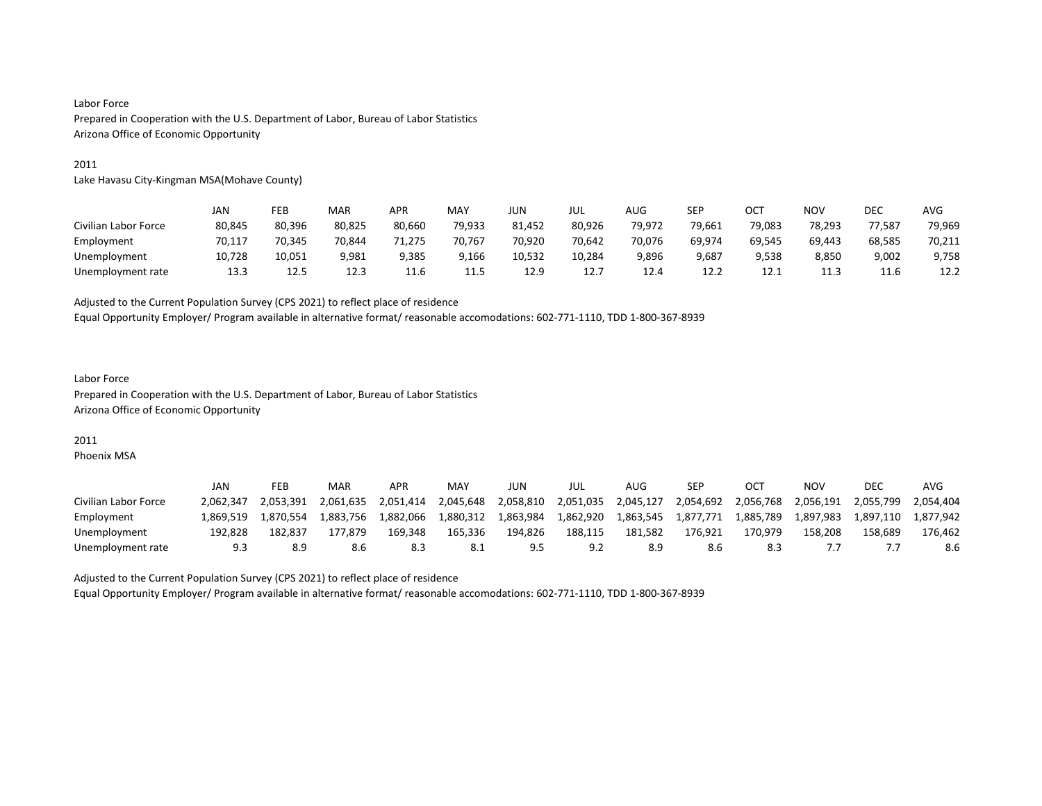#### 2011

Lake Havasu City-Kingman MSA(Mohave County)

|                      | JAN    | FEB    | MAR    | <b>APR</b> | MAY    | <b>JUN</b> | JUL    | AUG    | SEP    | ост    | <b>NOV</b> | <b>DEC</b> | AVG    |
|----------------------|--------|--------|--------|------------|--------|------------|--------|--------|--------|--------|------------|------------|--------|
| Civilian Labor Force | 80,845 | 80,396 | 80,825 | 80,660     | 79,933 | 81,452     | 80,926 | 79.972 | 79,661 | 79,083 | 78.293     | 77.587     | 79,969 |
| Employment           | 70.117 | 70,345 | 70.844 | 71,275     | 70.767 | 70,920     | 70.642 | 70,076 | 69.974 | 69,545 | 69.443     | 68,585     | 70,211 |
| Unemployment         | 10,728 | 10,051 | 9,981  | 9,385      | 9,166  | 10,532     | 10,284 | 9,896  | 9,687  | 9,538  | 8,850      | 9,002      | 9,758  |
| Unemployment rate    | 13.3   | 12.5   | 12.3   | 11.6       | 11.5   | 12.9       | 12.7   | 12.4   | 12.2   | 12.1   | 11.3       | 11.6       | 12.2   |

Adjusted to the Current Population Survey (CPS 2021) to reflect place of residence

Equal Opportunity Employer/ Program available in alternative format/ reasonable accomodations: 602-771-1110, TDD 1-800-367-8939

# Labor Force Prepared in Cooperation with the U.S. Department of Labor, Bureau of Labor Statistics Arizona Office of Economic Opportunity

#### 2011

Phoenix MSA

|                      | <b>JAN</b> | FEB       | MAR       | APR       | MAY       | JUN       | JUL       | AUG       | SEP       |           | ΝΟν       | <b>DEC</b> | AVG       |
|----------------------|------------|-----------|-----------|-----------|-----------|-----------|-----------|-----------|-----------|-----------|-----------|------------|-----------|
| Civilian Labor Force | 2.062.347  | 2.053.391 | 2.061.635 | 2.051.414 | 2.045.648 | 2.058.810 | 2,051,035 | 2,045,127 | 2,054,692 | 2.056.768 | 2.056.191 | 2.055.799  | 2.054.404 |
| Employment           | L.869.519  | 1.870.554 | 1.883.756 | 1.882.066 | 1.880.312 | 1.863.984 | 1,862,920 | 1,863,545 | 1,877,771 | 1,885,789 | 1,897,983 | 1,897,110  | 1.877.942 |
| Unemployment         | 192.828    | 182.837   | 177.879   | 169.348   | 165,336   | 194.826   | 188,115   | 181.582   | 176.921   | 170.979   | 158.208   | 158.689    | 176.462   |
| Unemployment rate    |            | 8.9       |           |           |           |           |           |           | 8.6       |           |           |            | 8.6       |

Adjusted to the Current Population Survey (CPS 2021) to reflect place of residence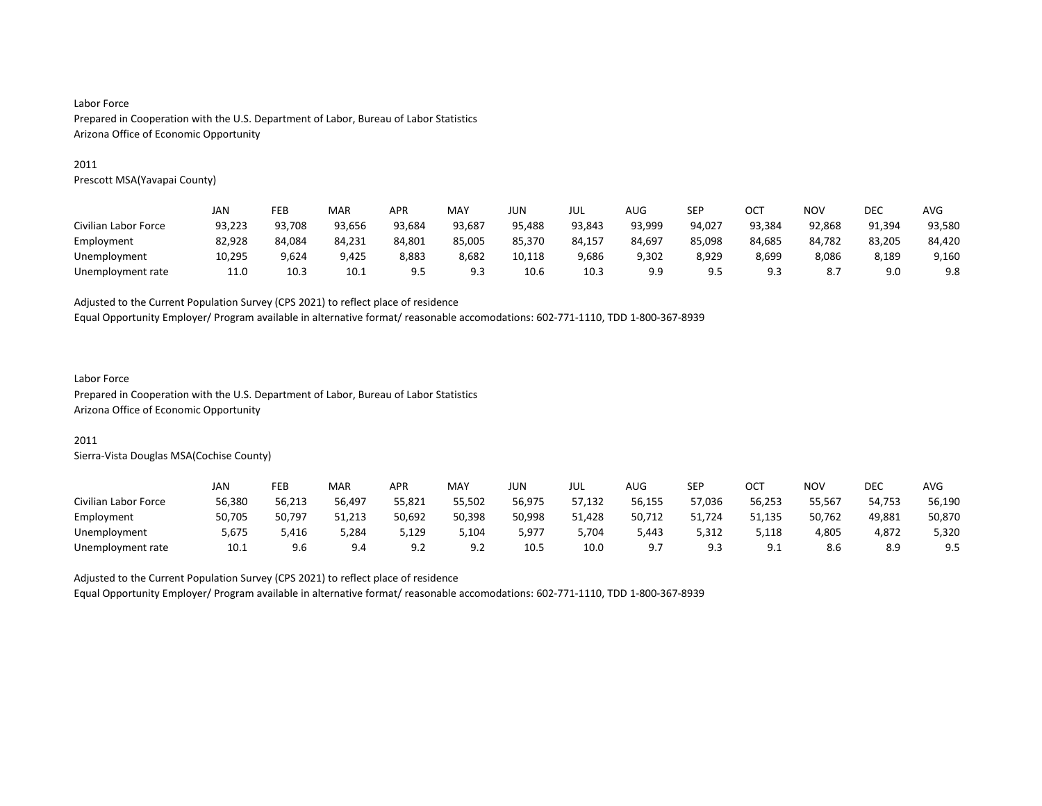#### 2011

Prescott MSA(Yavapai County)

|                      | JAN    | FEB    | MAR    | APR    | MAY    | JUN    | JUL    | AUG    | SEP    | OC1      | NOV    | DEC    | AVG    |
|----------------------|--------|--------|--------|--------|--------|--------|--------|--------|--------|----------|--------|--------|--------|
| Civilian Labor Force | 93,223 | 93,708 | 93,656 | 93,684 | 93,687 | 95,488 | 93,843 | 93,999 | 94,027 | 93,384   | 92,868 | 91,394 | 93,580 |
| Employment           | 82,928 | 84,084 | 84.231 | 84,801 | 85,005 | 85,370 | 84.157 | 84,697 | 85,098 | 84,685   | 84,782 | 83,205 | 84,420 |
| Unemployment         | 10.295 | 9.624  | 9.425  | 8.883  | 8.682  | 10.118 | 9,686  | 9.302  | 8,929  | 8.699    | 8,086  | 8.189  | 9,160  |
| Unemployment rate    | 11.0   | 10.3   | 10.1   | 9.5    | 9.3    | 10.6   | 10.3   | 9.9    | 9.5    | a a<br>. | 8.7    | 9.0    | 9.8    |

#### Adjusted to the Current Population Survey (CPS 2021) to reflect place of residence

Equal Opportunity Employer/ Program available in alternative format/ reasonable accomodations: 602-771-1110, TDD 1-800-367-8939

#### Labor Force

Prepared in Cooperation with the U.S. Department of Labor, Bureau of Labor Statistics Arizona Office of Economic Opportunity

#### 2011

Sierra-Vista Douglas MSA(Cochise County)

|                      | JAN    | FEB    | MAR    | APR         | MAY    | JUN    | JUL    | AUG    | <b>SEP</b> | ост             | NOV    | DEC    | <b>AVG</b> |
|----------------------|--------|--------|--------|-------------|--------|--------|--------|--------|------------|-----------------|--------|--------|------------|
| Civilian Labor Force | 56,380 | 56.213 | 56.497 | 55,821      | 55.502 | 56.975 | 57.132 | 56.155 | 57.036     | 56.253          | 55.567 | 54.753 | 56,190     |
| Employment           | 50,705 | 50,797 | 51,213 | 50,692      | 50,398 | 50,998 | 51,428 | 50,712 | 51,724     | 51,135          | 50,762 | 49,881 | 50,870     |
| Unemployment         | 5.675  | 5.416  | 5.284  | 129,د       | 104,د  | 5,977  | 5.704  | 5.443  | 5,312      | 5,118           | 4,805  | 4.872  | 5,320      |
| Unemployment rate    | 10.1   | 9.6    | 9.4    | ۹C<br>ے . د | 9.2    | 10.5   | 10.0   | a t    | 9.3        | ے ہ<br><u>.</u> | 8.6    | 8.9    | 9.5        |

Adjusted to the Current Population Survey (CPS 2021) to reflect place of residence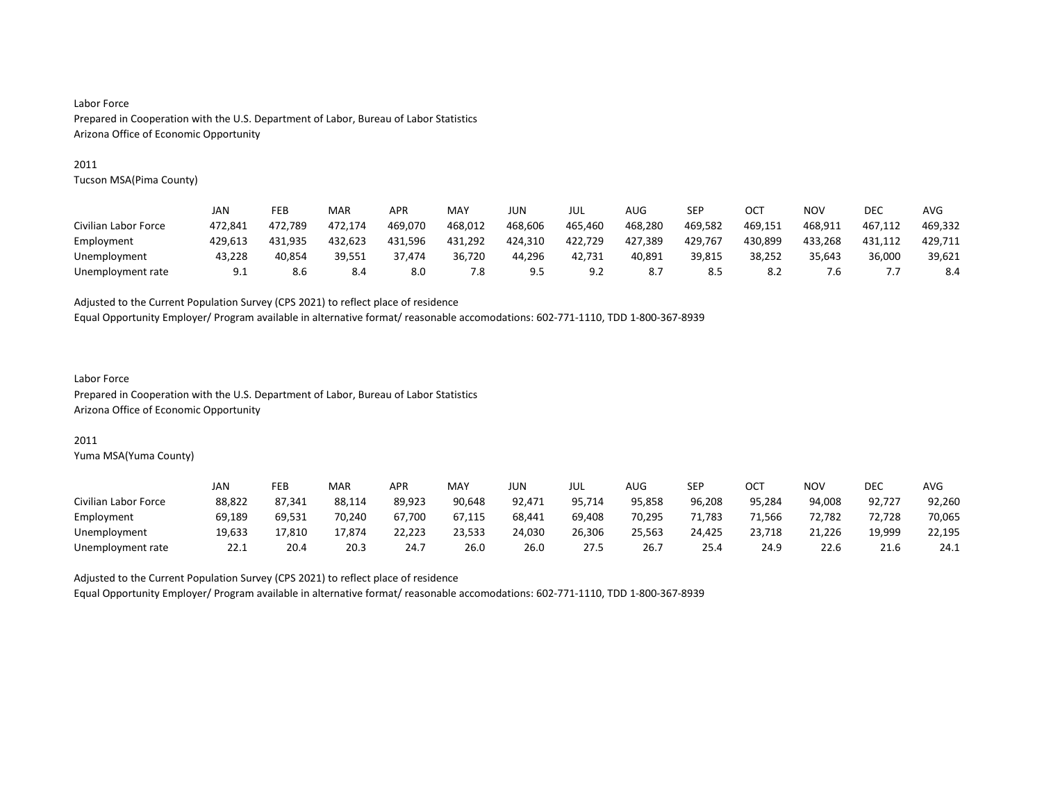#### 2011

Tucson MSA(Pima County)

|                      | JAN     | FEB     | MAR     | <b>APR</b> | MAY     | JUN     | jul     | AUG     | SEP     | OC1     | NOV     | DEC     | AVG     |
|----------------------|---------|---------|---------|------------|---------|---------|---------|---------|---------|---------|---------|---------|---------|
| Civilian Labor Force | 472.841 | 472.789 | 472.174 | 469.070    | 468,012 | 468.606 | 465,460 | 468.280 | 469,582 | 469,151 | 468,911 | 467.112 | 469,332 |
| Employment           | 429.613 | 431.935 | 432.623 | 431.596    | 431.292 | 424.310 | 422,729 | 427,389 | 429,767 | 430.899 | 433.268 | 431.112 | 429.711 |
| Unemployment         | 43.228  | 40.854  | 39.551  | 37.474     | 36.720  | 44.296  | 42.731  | 40.891  | 39.815  | 38.252  | 35.643  | 36.000  | 39.621  |
| Unemployment rate    | 9.1     | 8.6     | 8.4     | 8.0        | 7.8     | 9.5     | 9.2     |         | 8.5     | 8.2     | 6./     |         | 8.4     |

Adjusted to the Current Population Survey (CPS 2021) to reflect place of residence

Equal Opportunity Employer/ Program available in alternative format/ reasonable accomodations: 602-771-1110, TDD 1-800-367-8939

# Labor Force

Prepared in Cooperation with the U.S. Department of Labor, Bureau of Labor Statistics Arizona Office of Economic Opportunity

#### 2011

Yuma MSA(Yuma County)

|                      | JAN    | FEB    | MAR    | <b>APR</b> | MAY    | JUN    | JUL    | AUG    | SEP    | ост    | NO٧    | <b>DEC</b> | AVG    |
|----------------------|--------|--------|--------|------------|--------|--------|--------|--------|--------|--------|--------|------------|--------|
| Civilian Labor Force | 88,822 | 87,341 | 88,114 | 89,923     | 90.648 | 92,471 | 95,714 | 95,858 | 96,208 | 95.284 | 94,008 | 92,727     | 92,260 |
| Employment           | 69,189 | 69.531 | 70.240 | 67.700     | 67.115 | 68,441 | 69.408 | 70.295 | 71.783 | 71.566 | 72.782 | 72.728     | 70,065 |
| Unemployment         | 19,633 | 17.810 | 17.874 | 22,223     | 23,533 | 24,030 | 26,306 | 25.563 | 24,425 | 23.718 | 21,226 | 19.999     | 22,195 |
| Unemployment rate    | 22.1   | 20.4   | 20.3   | 24.7       | 26.0   | 26.0   | 27.5   | 26.7   | 25.4   | 24.9   | 22.6   | 21.6       | 24.1   |

Adjusted to the Current Population Survey (CPS 2021) to reflect place of residence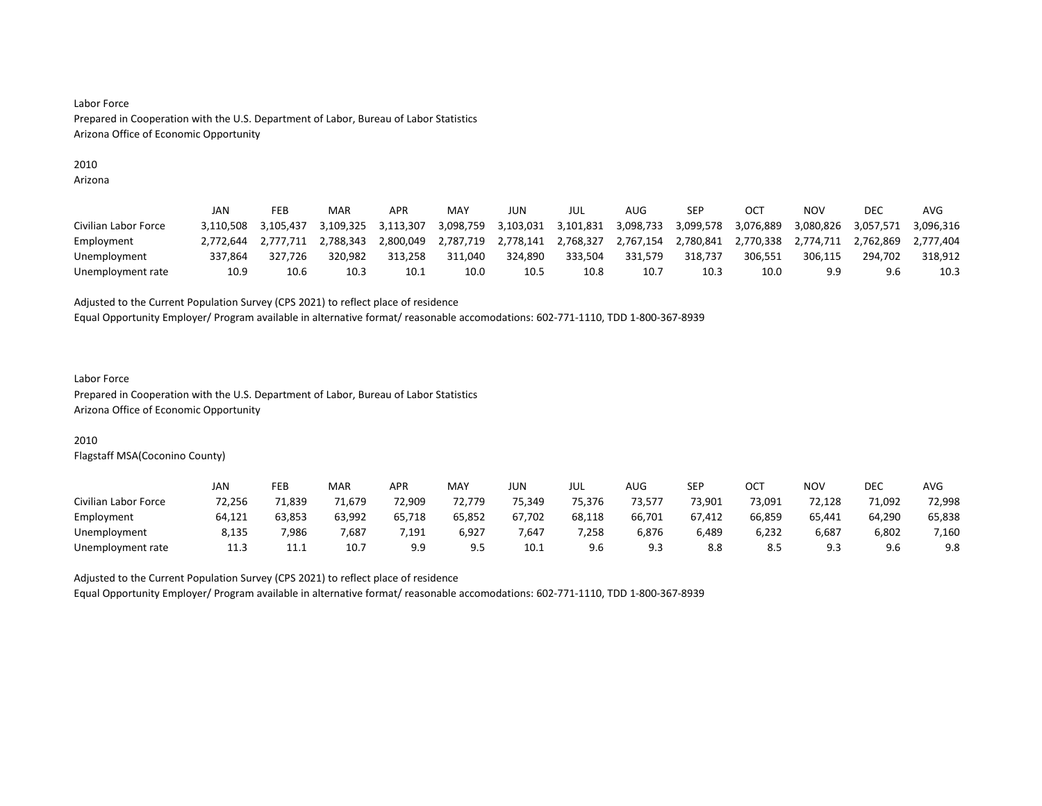# 2010

Arizona

|                      | JAN       | FEB       | MAR       | <b>APR</b> | MAY       | JUN       | JUL       | AUG       | <b>SEP</b> | OC <sub>7</sub> | NOV       | DEC       | AVG       |
|----------------------|-----------|-----------|-----------|------------|-----------|-----------|-----------|-----------|------------|-----------------|-----------|-----------|-----------|
| Civilian Labor Force | 3.110.508 | 3.105.437 | 3.109.325 | 3,113,307  | 3,098,759 | 3,103,031 | 3,101,831 | 3,098,733 | 3,099,578  | 3,076,889       | 3,080,826 | 3,057,571 | 3.096.316 |
| Employment           | 2.772.644 | 2.777.711 | 2.788.343 | 2.800.049  | 2.787.719 | 2.778.141 | 2.768.327 | 2.767.154 | 2.780.841  | 2.770.338       | 2.774.711 | 2.762.869 | 2.777.404 |
| Unemployment         | 337.864   | 327.726   | 320.982   | 313.258    | 311.040   | 324.890   | 333,504   | 331.579   | 318.737    | 306.551         | 306.115   | 294.702   | 318.912   |
| Unemployment rate    | 10.9      | 10.6      | 10.3      | 10.1       | 10.0      | 10.5      | 10.8      | 10.7      | 10.3       | 10.0            | 9.9       |           | 10.3      |

#### Adjusted to the Current Population Survey (CPS 2021) to reflect place of residence

Equal Opportunity Employer/ Program available in alternative format/ reasonable accomodations: 602-771-1110, TDD 1-800-367-8939

#### Labor Force

Prepared in Cooperation with the U.S. Department of Labor, Bureau of Labor Statistics Arizona Office of Economic Opportunity

# 2010

Flagstaff MSA(Coconino County)

|                      | JAN    | FEB    | MAR    | <b>APR</b> | <b>MAY</b> | JUN    | JUL    | <b>AUG</b> | <b>SEP</b> | ост    | <b>NOV</b> | DEC    | <b>AVG</b> |
|----------------------|--------|--------|--------|------------|------------|--------|--------|------------|------------|--------|------------|--------|------------|
| Civilian Labor Force | 72.256 | 71.839 | 71.679 | 72.909     | 72.779     | 75.349 | 75.376 | 73.577     | 73.901     | 73.091 | 72.128     | 71.092 | 72,998     |
| Employment           | 64,121 | 63,853 | 63,992 | 65,718     | 65,852     | 67,702 | 68,118 | 66,701     | 67,412     | 66,859 | 65,441     | 64,290 | 65,838     |
| Unemployment         | 8.135  | 7.986  | 7.687  | .191       | 6,927      | 7.647  | 7.258  | 6,876      | 6,489      | 6.232  | 6,687      | 6,802  | 7,160      |
| Unemployment rate    | 11.3   | 11.1   | 10.7   | 9.9        | 9.5        | 10.1   | 9.6    | α<br>ر. ت  | 8.8        | 8.5    | Ω÷<br>ن. ت | 9.6    | 9.8        |

Adjusted to the Current Population Survey (CPS 2021) to reflect place of residence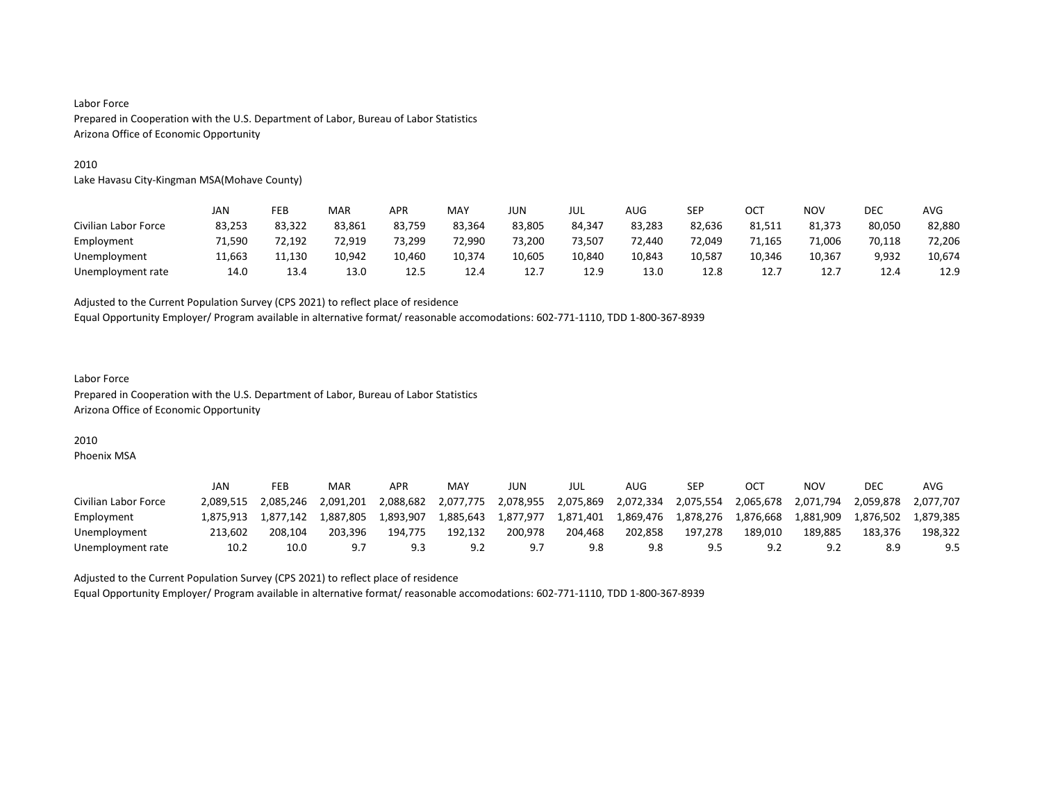#### 2010

Lake Havasu City-Kingman MSA(Mohave County)

|                      | JAN    | FEB    | MAR    | <b>APR</b> | MAY    | <b>JUN</b> | JUL    | AUG             | SEP    | ост    | <b>NOV</b> | <b>DEC</b> | AVG    |
|----------------------|--------|--------|--------|------------|--------|------------|--------|-----------------|--------|--------|------------|------------|--------|
| Civilian Labor Force | 83,253 | 83,322 | 83,861 | 83,759     | 83.364 | 83,805     | 84.347 | 83,283          | 82,636 | 81,511 | 81.373     | 80,050     | 82,880 |
| Employment           | 71.590 | 72.192 | 72.919 | 73,299     | 72.990 | 73,200     | 73.507 | 72.440          | 72.049 | 71.165 | 71.006     | 70,118     | 72,206 |
| Unemployment         | 11,663 | 11,130 | 10.942 | 10,460     | 10,374 | 10,605     | 10,840 | 10,843          | 10,587 | 10,346 | 10,367     | 9,932      | 10,674 |
| Unemployment rate    | 14.0   | 13.4   | 13.0   | 12.5       | 12.4   | 12.7       | 12.9   | 13 <sub>c</sub> | 12.8   | 12.7   | 12.7       | 12.4       | 12.9   |

Adjusted to the Current Population Survey (CPS 2021) to reflect place of residence

Equal Opportunity Employer/ Program available in alternative format/ reasonable accomodations: 602-771-1110, TDD 1-800-367-8939

#### Labor Force Prepared in Cooperation with the U.S. Department of Labor, Bureau of Labor Statistics Arizona Office of Economic Opportunity

#### 2010

Phoenix MSA

|                      | JAN       | FEB       | MAR       | APR       | MAY       | JUN       | JUL       | AUG       | SEP       |           | NOV       | DEC       | AVG       |
|----------------------|-----------|-----------|-----------|-----------|-----------|-----------|-----------|-----------|-----------|-----------|-----------|-----------|-----------|
| Civilian Labor Force | 2.089.515 | 2.085.246 | 2.091.201 | 2.088.682 | 2.077.775 | 2,078,955 | 2,075,869 | 2,072,334 | 2,075,554 | 2.065.678 | 2,071,794 | 2.059.878 | 2.077.707 |
| Employment           | 1.875.913 | 1.877.142 | 1.887.805 | 1.893.907 | 1.885.643 | 1.877.977 | 1,871,401 | 1.869.476 | 1.878.276 | 1.876.668 | 1.881.909 | 1.876.502 | 1.879.385 |
| Unemployment         | 213.602   | 208.104   | 203.396   | 194.775   | 192.132   | 200.978   | 204.468   | 202.858   | 197.278   | 189.010   | 189.885   | 183.376   | 198.322   |
| Unemployment rate    | 10.2      | 10.0      | 9.7       |           | 9.2       | a -       | 9.8       | 9.8       | 9.5       |           | 9.2       |           | 9.5       |

Adjusted to the Current Population Survey (CPS 2021) to reflect place of residence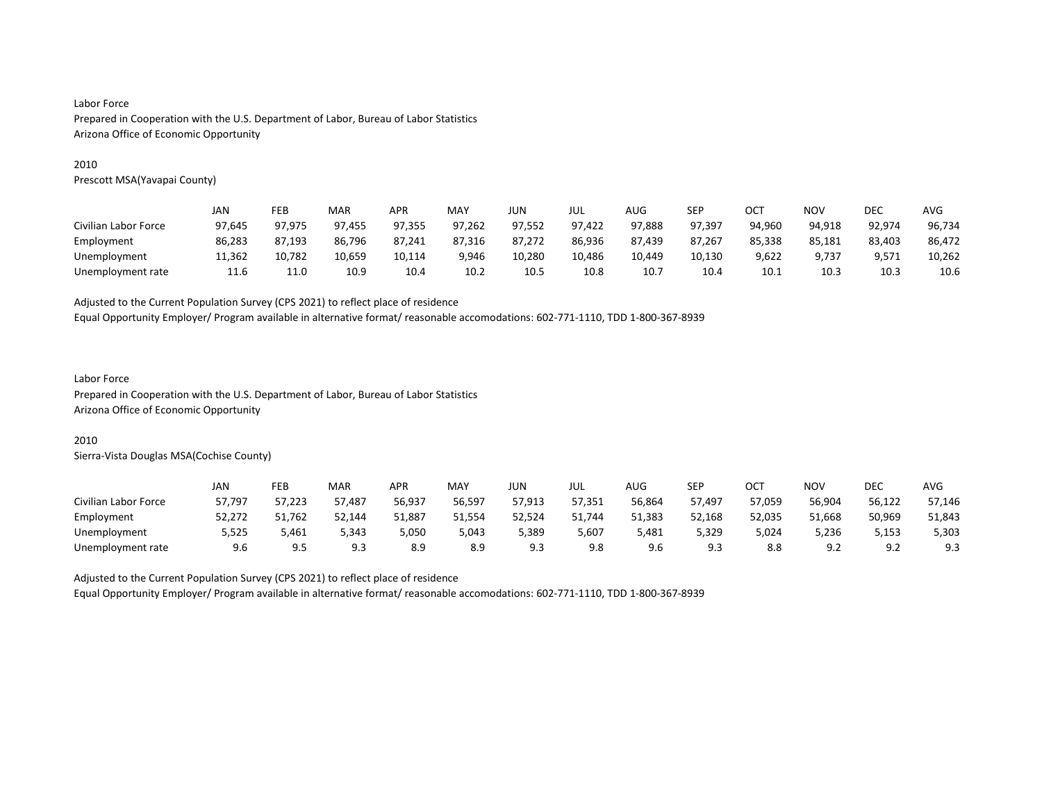#### 2010

Prescott MSA(Yavapai County)

|                      | JAN    | FEB    | MAR    | APR    | MAY    | JUN    | JUL    | AUG    | SEP    | OCT    | NOV    | DEC    | <b>AVG</b> |
|----------------------|--------|--------|--------|--------|--------|--------|--------|--------|--------|--------|--------|--------|------------|
| Civilian Labor Force | 97.645 | 97.975 | 97,455 | 97,355 | 97,262 | 97,552 | 97,422 | 97,888 | 97.397 | 94.960 | 94,918 | 92,974 | 96,734     |
| Employment           | 86.283 | 87.193 | 86.796 | 87.241 | 87.316 | 87.272 | 86,936 | 87.439 | 87.267 | 85,338 | 85,181 | 83,403 | 86,472     |
| Unemployment         | 11,362 | 10,782 | 10,659 | 10,114 | 9,946  | 10,280 | 10,486 | 10.449 | 10,130 | 9,622  | 9,737  | 9,571  | 10,262     |
| Unemployment rate    | 11.6   | 11.0   | 10.9   | 10.4   | 10.2   | 10.5   | 10.8   | 10.    | 10.4   | 10.1   | 10.3   | 10.3   | 10.6       |

Adjusted to the Current Population Survey (CPS 2021) to reflect place of residence

Equal Opportunity Employer/ Program available in alternative format/ reasonable accomodations: 602-771-1110, TDD 1-800-367-8939

#### Labor Force

Prepared in Cooperation with the U.S. Department of Labor, Bureau of Labor Statistics Arizona Office of Economic Opportunity

#### 2010

Sierra-Vista Douglas MSA(Cochise County)

|                      | JAN    | FEB    | <b>MAR</b> | <b>APR</b> | <b>MAY</b> | JUN.   | JUL    | <b>AUG</b> | SEP    | ост    | <b>NOV</b> | <b>DEC</b>                 | <b>AVG</b> |
|----------------------|--------|--------|------------|------------|------------|--------|--------|------------|--------|--------|------------|----------------------------|------------|
| Civilian Labor Force | 57.797 | 57.223 | 57.487     | 56.937     | 56,597     | 57.913 | 57.351 | 56.864     | 57.497 | 57.059 | 56.904     | 56.122                     | 57.146     |
| Employment           | 52,272 | 51,762 | 52,144     | 51,887     | 51,554     | 52,524 | 51,744 | 51,383     | 52,168 | 52,035 | 51,668     | 50,969                     | 51,843     |
| Unemployment         | 5,525  | 5,461  | 5.343      | 5,050      | 5.043      | 5,389  | 5.607  | 5.481      | 5,329  | 5,024  | 5.236      | 5,153                      | 5,303      |
| Unemployment rate    | 9.6    | 9.5    | 9.3        | 8.9        | 8.9        | 9.3    | 9.8    | 9.6        | 9.3    | 8.8    | 9.2        | Q <sub>0</sub><br><u>.</u> | 9.3        |

Adjusted to the Current Population Survey (CPS 2021) to reflect place of residence